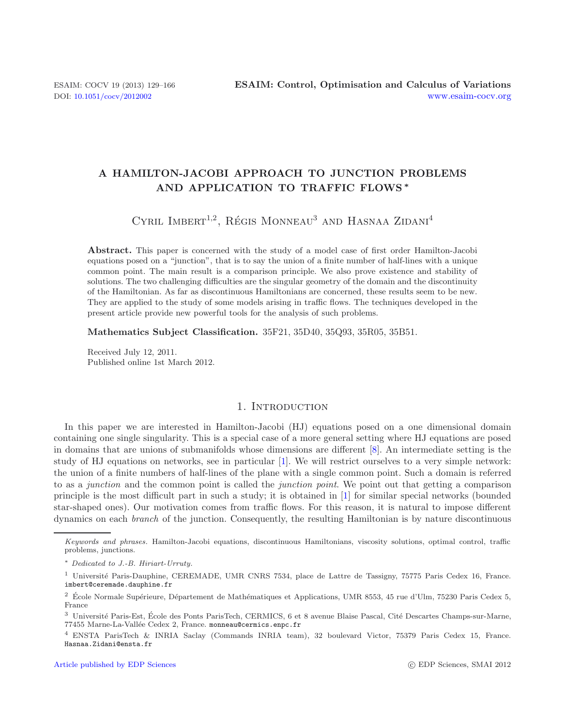# **A HAMILTON-JACOBI APPROACH TO JUNCTION PROBLEMS AND APPLICATION TO TRAFFIC FLOWS** *∗*

CYRIL IMBERT<sup>1,2</sup>, RÉGIS MONNEAU<sup>3</sup> AND HASNAA ZIDANI<sup>4</sup>

**Abstract.** This paper is concerned with the study of a model case of first order Hamilton-Jacobi equations posed on a "junction", that is to say the union of a finite number of half-lines with a unique common point. The main result is a comparison principle. We also prove existence and stability of solutions. The two challenging difficulties are the singular geometry of the domain and the discontinuity of the Hamiltonian. As far as discontinuous Hamiltonians are concerned, these results seem to be new. They are applied to the study of some models arising in traffic flows. The techniques developed in the present article provide new powerful tools for the analysis of such problems.

**Mathematics Subject Classification.** 35F21, 35D40, 35Q93, 35R05, 35B51.

Received July 12, 2011. Published online 1st March 2012.

### 1. INTRODUCTION

In this paper we are interested in Hamilton-Jacobi (HJ) equations posed on a one dimensional domain containing one single singularity. This is a special case of a more general setting where HJ equations are posed in domains that are unions of submanifolds whose dimensions are different [\[8](#page-36-0)]. An intermediate setting is the study of HJ equations on networks, see in particular [\[1](#page-36-1)]. We will restrict ourselves to a very simple network: the union of a finite numbers of half-lines of the plane with a single common point. Such a domain is referred to as a *junction* and the common point is called the *junction point*. We point out that getting a comparison principle is the most difficult part in such a study; it is obtained in [\[1\]](#page-36-1) for similar special networks (bounded star-shaped ones). Our motivation comes from traffic flows. For this reason, it is natural to impose different dynamics on each *branch* of the junction. Consequently, the resulting Hamiltonian is by nature discontinuous

Keywords and phrases. Hamilton-Jacobi equations, discontinuous Hamiltonians, viscosity solutions, optimal control, traffic problems, junctions.

<sup>∗</sup> Dedicated to J.-B. Hiriart-Urruty.

<sup>&</sup>lt;sup>1</sup> Université Paris-Dauphine, CEREMADE, UMR CNRS 7534, place de Lattre de Tassigny, 75775 Paris Cedex 16, France. imbert@ceremade.dauphine.fr

 $^2\,$ École Normale Supérieure, Département de Mathématiques et Applications, UMR 8553, 45 rue d'Ulm, 75230 Paris Cedex 5, France

 $^3$ Université Paris-Est, École des Ponts ParisTech, CERMICS, 6 et 8 avenue Blaise Pascal, Cité Descartes Champs-sur-Marne, 77455 Marne-La-Vallée Cedex 2, France. monneau@cermics.enpc.fr

<sup>4</sup> ENSTA ParisTech & INRIA Saclay (Commands INRIA team), 32 boulevard Victor, 75379 Paris Cedex 15, France. Hasnaa.Zidani@ensta.fr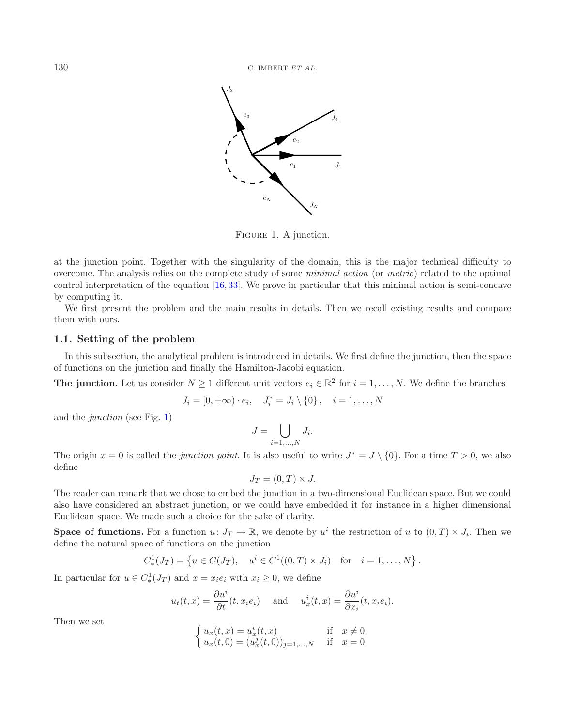<span id="page-1-0"></span>

FIGURE 1. A junction.

at the junction point. Together with the singularity of the domain, this is the major technical difficulty to overcome. The analysis relies on the complete study of some *minimal action* (or *metric*) related to the optimal control interpretation of the equation [\[16,](#page-37-0) [33\]](#page-37-1). We prove in particular that this minimal action is semi-concave by computing it.

We first present the problem and the main results in details. Then we recall existing results and compare them with ours.

### <span id="page-1-1"></span>**1.1. Setting of the problem**

In this subsection, the analytical problem is introduced in details. We first define the junction, then the space of functions on the junction and finally the Hamilton-Jacobi equation.

**The junction.** Let us consider  $N \geq 1$  different unit vectors  $e_i \in \mathbb{R}^2$  for  $i = 1, ..., N$ . We define the branches

$$
J_i = [0, +\infty) \cdot e_i, \quad J_i^* = J_i \setminus \{0\}, \quad i = 1, ..., N
$$

and the *junction* (see Fig. [1\)](#page-1-0)

$$
J = \bigcup_{i=1,\dots,N} J_i.
$$

The origin  $x = 0$  is called the *junction point*. It is also useful to write  $J^* = J \setminus \{0\}$ . For a time  $T > 0$ , we also define

$$
J_T = (0, T) \times J.
$$

The reader can remark that we chose to embed the junction in a two-dimensional Euclidean space. But we could also have considered an abstract junction, or we could have embedded it for instance in a higher dimensional Euclidean space. We made such a choice for the sake of clarity.

**Space of functions.** For a function  $u: J_T \to \mathbb{R}$ , we denote by  $u^i$  the restriction of u to  $(0,T) \times J_i$ . Then we define the natural space of functions on the junction

$$
C_*^1(J_T) = \{ u \in C(J_T), \quad u^i \in C^1((0,T) \times J_i) \text{ for } i = 1,\dots,N \}.
$$

In particular for  $u \in C^1_*(J_T)$  and  $x = x_i e_i$  with  $x_i \geq 0$ , we define

$$
u_t(t,x) = \frac{\partial u^i}{\partial t}(t, x_i e_i)
$$
 and  $u^i_x(t,x) = \frac{\partial u^i}{\partial x_i}(t, x_i e_i).$ 

Then we set

$$
\begin{cases} u_x(t,x) = u_x^i(t,x) & \text{if } x \neq 0, \\ u_x(t,0) = (u_x^j(t,0))_{j=1,...,N} & \text{if } x = 0. \end{cases}
$$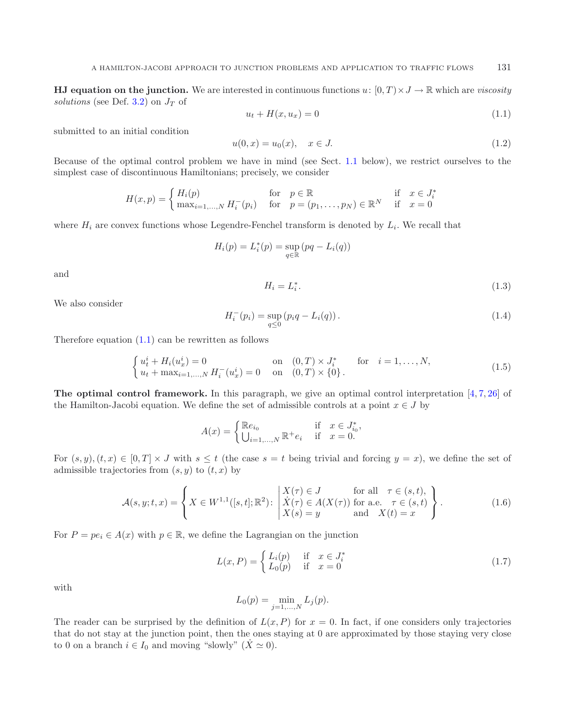<span id="page-2-3"></span><span id="page-2-0"></span>**HJ equation on the junction.** We are interested in continuous functions  $u: [0, T] \times J \rightarrow \mathbb{R}$  which are *viscosity solutions* (see Def. [3.2\)](#page-10-0) on  $J_T$  of

$$
u_t + H(x, u_x) = 0 \t\t(1.1)
$$

<span id="page-2-1"></span>submitted to an initial condition

$$
u(0,x) = u_0(x), \quad x \in J. \tag{1.2}
$$

<span id="page-2-2"></span>Because of the optimal control problem we have in mind (see Sect. [1.1](#page-1-1) below), we restrict ourselves to the simplest case of discontinuous Hamiltonians; precisely, we consider

$$
H(x,p) = \begin{cases} H_i(p) & \text{for } p \in \mathbb{R} \\ \max_{i=1,\dots,N} H_i^-(p_i) & \text{for } p = (p_1,\dots,p_N) \in \mathbb{R}^N \text{ if } x = 0 \end{cases}
$$

where  $H_i$  are convex functions whose Legendre-Fenchel transform is denoted by  $L_i$ . We recall that

<span id="page-2-6"></span>
$$
H_i(p) = L_i^*(p) = \sup_{q \in \mathbb{R}} (pq - L_i(q))
$$

and

$$
H_i = L_i^*.\tag{1.3}
$$

We also consider

<span id="page-2-5"></span>
$$
H_i^-(p_i) = \sup_{q \le 0} (p_i q - L_i(q)). \tag{1.4}
$$

Therefore equation [\(1.1\)](#page-2-0) can be rewritten as follows

$$
\begin{cases}\n u_t^i + H_i(u_x^i) = 0 & \text{on} \quad (0, T) \times J_i^* \\
 u_t + \max_{i=1,\dots,N} H_i^-(u_x^i) = 0 & \text{on} \quad (0, T) \times \{0\}.\n\end{cases} \quad \text{for} \quad i = 1,\dots,N,
$$
\n(1.5)

**The optimal control framework.** In this paragraph, we give an optimal control interpretation [\[4](#page-36-2),[7,](#page-36-3)[26\]](#page-37-2) of the Hamilton-Jacobi equation. We define the set of admissible controls at a point  $x \in J$  by

<span id="page-2-4"></span>
$$
A(x) = \begin{cases} \mathbb{R}e_{i_0} & \text{if } x \in J_{i_0}^*, \\ \bigcup_{i=1,\dots,N} \mathbb{R}^+ e_i & \text{if } x = 0. \end{cases}
$$

For  $(s, y), (t, x) \in [0, T] \times J$  with  $s \leq t$  (the case  $s = t$  being trivial and forcing  $y = x$ ), we define the set of admissible trajectories from  $(s, y)$  to  $(t, x)$  by

$$
\mathcal{A}(s,y;t,x) = \left\{ X \in W^{1,1}([s,t];\mathbb{R}^2) : \begin{vmatrix} X(\tau) \in J & \text{for all } \tau \in (s,t), \\ \dot{X}(\tau) \in A(X(\tau)) \text{ for a.e. } \tau \in (s,t) \\ X(s) = y & \text{and } X(t) = x \end{vmatrix} \right\}.
$$
 (1.6)

For  $P = pe_i \in A(x)$  with  $p \in \mathbb{R}$ , we define the Lagrangian on the junction

$$
L(x, P) = \begin{cases} L_i(p) & \text{if } x \in J_i^* \\ L_0(p) & \text{if } x = 0 \end{cases}
$$
 (1.7)

with

$$
L_0(p) = \min_{j=1,...,N} L_j(p).
$$

The reader can be surprised by the definition of  $L(x, P)$  for  $x = 0$ . In fact, if one considers only trajectories that do not stay at the junction point, then the ones staying at 0 are approximated by those staying very close to 0 on a branch  $i \in I_0$  and moving "slowly"  $(X \simeq 0)$ .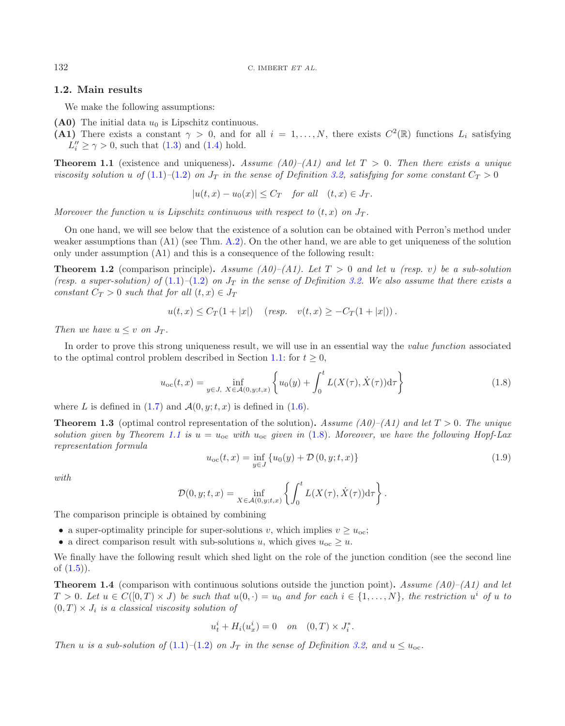# **1.2. Main results**

We make the following assumptions:

- (A0) The initial data  $u_0$  is Lipschitz continuous.
- **(A1)** There exists a constant  $\gamma > 0$ , and for all  $i = 1, \ldots, N$ , there exists  $C^2(\mathbb{R})$  functions  $L_i$  satisfying  $L_i'' \ge \gamma > 0$ , such that  $(1.3)$  and  $(1.4)$  hold.

<span id="page-3-1"></span>**Theorem 1.1** (existence and uniqueness). Assume  $(A0)$ – $(A1)$  and let  $T > 0$ . Then there exists a unique *viscosity solution* u of  $(1.1)$ – $(1.2)$  on  $J_T$  *in the sense of Definition [3.2,](#page-10-0) satisfying for some constant*  $C_T > 0$ 

<span id="page-3-4"></span><span id="page-3-2"></span><span id="page-3-0"></span>
$$
|u(t,x) - u_0(x)| \le C_T \quad \text{for all} \quad (t,x) \in J_T.
$$

*Moreover the function* u *is Lipschitz continuous with respect to*  $(t, x)$  *on*  $J_T$ *.* 

On one hand, we will see below that the existence of a solution can be obtained with Perron's method under weaker assumptions than (A1) (see Thm. [A.2\)](#page-3-0). On the other hand, we are able to get uniqueness of the solution only under assumption (A1) and this is a consequence of the following result:

**Theorem 1.2** (comparison principle). Assume  $(A0)$ – $(A1)$ . Let  $T > 0$  and let u (resp. v) be a sub-solution *(resp. a super-solution) of*  $(1.1)$ – $(1.2)$  *on*  $J<sub>T</sub>$  *in the sense of Definition* [3.2.](#page-10-0) We also assume that there exists a *constant*  $C_T > 0$  *such that for all*  $(t, x) \in J_T$ 

$$
u(t, x) \leq C_T(1+|x|)
$$
 (resp.  $v(t, x) \geq -C_T(1+|x|))$ .

<span id="page-3-5"></span>*Then we have*  $u \leq v$  *on*  $J_T$ *.* 

In order to prove this strong uniqueness result, we will use in an essential way the *value function* associated to the optimal control problem described in Section [1.1:](#page-1-1) for  $t \geq 0$ ,

$$
u_{oc}(t,x) = \inf_{y \in J, \ X \in \mathcal{A}(0,y;t,x)} \left\{ u_0(y) + \int_0^t L(X(\tau), \dot{X}(\tau)) d\tau \right\}
$$
(1.8)

where L is defined in  $(1.7)$  and  $\mathcal{A}(0, y; t, x)$  is defined in  $(1.6)$ .

<span id="page-3-3"></span>**Theorem 1.3** (optimal control representation of the solution). Assume  $(A0)$ – $(A1)$  and let  $T > 0$ . The unique *solution given by Theorem* [1.1](#page-3-1) *is*  $u = u_{\text{oc}}$  *with*  $u_{\text{oc}}$  *given in* [\(1.8\)](#page-3-2)*. Moreover, we have the following Hopf-Lax representation formula*

$$
u_{\rm oc}(t,x) = \inf_{y \in J} \{u_0(y) + \mathcal{D}(0,y;t,x)\}\tag{1.9}
$$

*with*

$$
\mathcal{D}(0, y; t, x) = \inf_{X \in \mathcal{A}(0, y; t, x)} \left\{ \int_0^t L(X(\tau), \dot{X}(\tau)) d\tau \right\}.
$$

The comparison principle is obtained by combining

- a super-optimality principle for super-solutions v, which implies  $v \geq u_{\text{oc}}$ ;
- a direct comparison result with sub-solutions u, which gives  $u_{\text{oc}} \geq u$ .

We finally have the following result which shed light on the role of the junction condition (see the second line of  $(1.5)$ ).

**Theorem 1.4** (comparison with continuous solutions outside the junction point)**.** *Assume (A0)–(A1) and let*  $T > 0$ *. Let*  $u \in C([0, T) \times J)$  *be such that*  $u(0, \cdot) = u_0$  and for each  $i \in \{1, \ldots, N\}$ , the restriction  $u^i$  of u to  $(0, T) \times J_i$  *is a classical viscosity solution of* 

$$
u_t^i + H_i(u_x^i) = 0
$$
 on  $(0, T) \times J_t^*$ .

*Then* u *is a sub-solution of* [\(1.1\)](#page-2-0)–[\(1.2\)](#page-2-3) *on*  $J_T$  *in the sense of Definition [3.2,](#page-10-0)* and  $u \leq u_{\text{oc}}$ .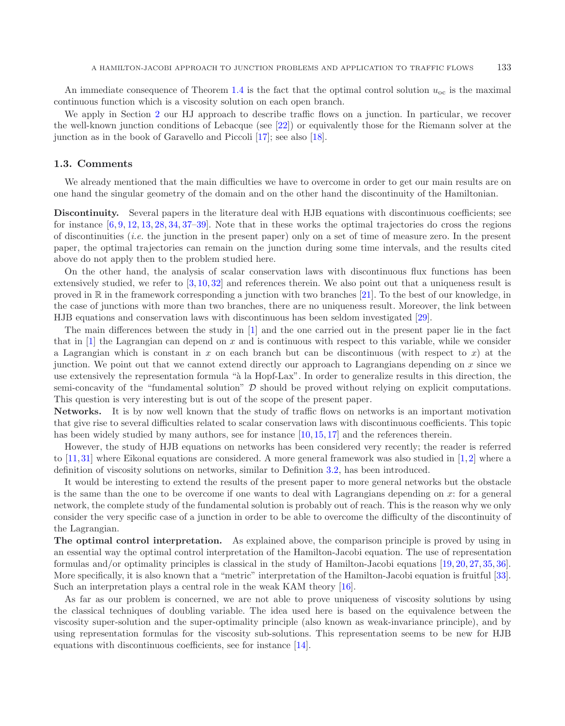An immediate consequence of Theorem [1.4](#page-3-3) is the fact that the optimal control solution  $u_{\rm oc}$  is the maximal continuous function which is a viscosity solution on each open branch.

We apply in Section [2](#page-6-0) our HJ approach to describe traffic flows on a junction. In particular, we recover the well-known junction conditions of Lebacque (see [\[22\]](#page-37-3)) or equivalently those for the Riemann solver at the junction as in the book of Garavello and Piccoli [\[17\]](#page-37-4); see also [\[18\]](#page-37-5).

### **1.3. Comments**

We already mentioned that the main difficulties we have to overcome in order to get our main results are on one hand the singular geometry of the domain and on the other hand the discontinuity of the Hamiltonian.

**Discontinuity.** Several papers in the literature deal with HJB equations with discontinuous coefficients; see for instance  $[6, 9, 12, 13, 28, 34, 37–39]$  $[6, 9, 12, 13, 28, 34, 37–39]$  $[6, 9, 12, 13, 28, 34, 37–39]$  $[6, 9, 12, 13, 28, 34, 37–39]$  $[6, 9, 12, 13, 28, 34, 37–39]$  $[6, 9, 12, 13, 28, 34, 37–39]$  $[6, 9, 12, 13, 28, 34, 37–39]$  $[6, 9, 12, 13, 28, 34, 37–39]$  $[6, 9, 12, 13, 28, 34, 37–39]$  $[6, 9, 12, 13, 28, 34, 37–39]$  $[6, 9, 12, 13, 28, 34, 37–39]$  $[6, 9, 12, 13, 28, 34, 37–39]$  $[6, 9, 12, 13, 28, 34, 37–39]$  $[6, 9, 12, 13, 28, 34, 37–39]$  $[6, 9, 12, 13, 28, 34, 37–39]$ . Note that in these works the optimal trajectories do cross the regions of discontinuities (*i.e.* the junction in the present paper) only on a set of time of measure zero. In the present paper, the optimal trajectories can remain on the junction during some time intervals, and the results cited above do not apply then to the problem studied here.

On the other hand, the analysis of scalar conservation laws with discontinuous flux functions has been extensively studied, we refer to [\[3](#page-36-7), [10](#page-36-8), [32\]](#page-37-11) and references therein. We also point out that a uniqueness result is proved in R in the framework corresponding a junction with two branches [\[21](#page-37-12)]. To the best of our knowledge, in the case of junctions with more than two branches, there are no uniqueness result. Moreover, the link between HJB equations and conservation laws with discontinuous has been seldom investigated [\[29](#page-37-13)].

The main differences between the study in [\[1\]](#page-36-1) and the one carried out in the present paper lie in the fact that in  $[1]$  $[1]$  the Lagrangian can depend on x and is continuous with respect to this variable, while we consider a Lagrangian which is constant in x on each branch but can be discontinuous (with respect to x) at the junction. We point out that we cannot extend directly our approach to Lagrangians depending on  $x$  since we use extensively the representation formula "à la Hopf-Lax". In order to generalize results in this direction, the semi-concavity of the "fundamental solution"  $D$  should be proved without relying on explicit computations. This question is very interesting but is out of the scope of the present paper.

**Networks.** It is by now well known that the study of traffic flows on networks is an important motivation that give rise to several difficulties related to scalar conservation laws with discontinuous coefficients. This topic has been widely studied by many authors, see for instance [\[10,](#page-36-8) [15,](#page-37-14) [17\]](#page-37-4) and the references therein.

However, the study of HJB equations on networks has been considered very recently; the reader is referred to [\[11,](#page-36-9)[31\]](#page-37-15) where Eikonal equations are considered. A more general framework was also studied in [\[1](#page-36-1),[2](#page-36-10)] where a definition of viscosity solutions on networks, similar to Definition [3.2,](#page-10-0) has been introduced.

It would be interesting to extend the results of the present paper to more general networks but the obstacle is the same than the one to be overcome if one wants to deal with Lagrangians depending on x: for a general network, the complete study of the fundamental solution is probably out of reach. This is the reason why we only consider the very specific case of a junction in order to be able to overcome the difficulty of the discontinuity of the Lagrangian.

**The optimal control interpretation.** As explained above, the comparison principle is proved by using in an essential way the optimal control interpretation of the Hamilton-Jacobi equation. The use of representation formulas and/or optimality principles is classical in the study of Hamilton-Jacobi equations [\[19](#page-37-16), [20](#page-37-17), [27,](#page-37-18) [35,](#page-37-19) [36](#page-37-20)]. More specifically, it is also known that a "metric" interpretation of the Hamilton-Jacobi equation is fruitful [\[33](#page-37-1)]. Such an interpretation plays a central role in the weak KAM theory [\[16\]](#page-37-0).

As far as our problem is concerned, we are not able to prove uniqueness of viscosity solutions by using the classical techniques of doubling variable. The idea used here is based on the equivalence between the viscosity super-solution and the super-optimality principle (also known as weak-invariance principle), and by using representation formulas for the viscosity sub-solutions. This representation seems to be new for HJB equations with discontinuous coefficients, see for instance [\[14](#page-37-21)].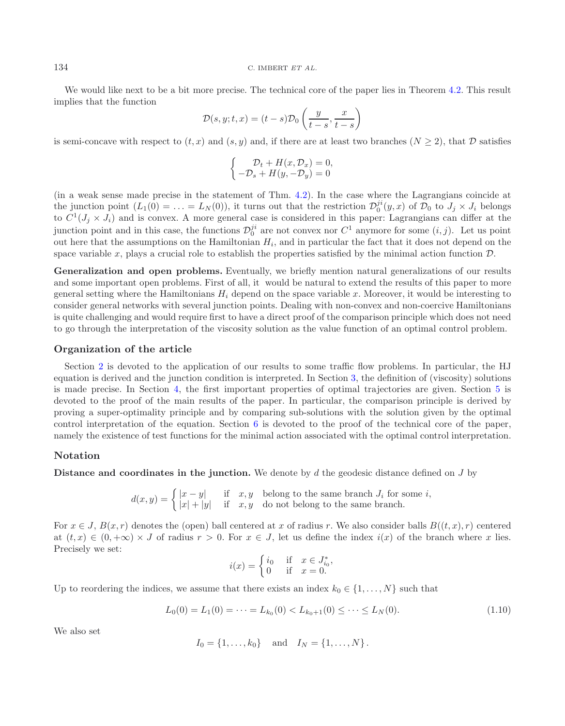#### <sup>134</sup> C. IMBERT *ET AL.*

We would like next to be a bit more precise. The technical core of the paper lies in Theorem [4.2.](#page-13-0) This result implies that the function

$$
\mathcal{D}(s, y; t, x) = (t - s)\mathcal{D}_0\left(\frac{y}{t - s}, \frac{x}{t - s}\right)
$$

is semi-concave with respect to  $(t, x)$  and  $(s, y)$  and, if there are at least two branches  $(N \geq 2)$ , that  $D$  satisfies

$$
\begin{cases}\n\mathcal{D}_t + H(x, \mathcal{D}_x) = 0, \\
-\mathcal{D}_s + H(y, -\mathcal{D}_y) = 0\n\end{cases}
$$

(in a weak sense made precise in the statement of Thm. [4.2\)](#page-13-0). In the case where the Lagrangians coincide at the junction point  $(L_1(0) = \ldots = L_N(0))$ , it turns out that the restriction  $\mathcal{D}_0^{ji}(y, x)$  of  $\mathcal{D}_0$  to  $J_j \times J_i$  belongs to  $C^1(L \times L)$  and is convex. A more general case is considered in this paper: Lagrangians can diff to  $C^1(J_j \times J_i)$  and is convex. A more general case is considered in this paper: Lagrangians can differ at the junction point and in this case, the functions  $\mathcal{D}_0^{ji}$  are not convex nor  $C^1$  anymore for some  $(i, j)$ . Let us point<br>out here that the assumptions on the Hamiltonian  $H_i$  and in particular the fact that it does not out here that the assumptions on the Hamiltonian  $H_i$ , and in particular the fact that it does not depend on the space variable x, plays a crucial role to establish the properties satisfied by the minimal action function  $\mathcal{D}$ .

**Generalization and open problems.** Eventually, we briefly mention natural generalizations of our results and some important open problems. First of all, it would be natural to extend the results of this paper to more general setting where the Hamiltonians  $H_i$  depend on the space variable x. Moreover, it would be interesting to consider general networks with several junction points. Dealing with non-convex and non-coercive Hamiltonians is quite challenging and would require first to have a direct proof of the comparison principle which does not need to go through the interpretation of the viscosity solution as the value function of an optimal control problem.

### **Organization of the article**

Section [2](#page-6-0) is devoted to the application of our results to some traffic flow problems. In particular, the HJ equation is derived and the junction condition is interpreted. In Section [3,](#page-10-1) the definition of (viscosity) solutions is made precise. In Section [4,](#page-12-0) the first important properties of optimal trajectories are given. Section [5](#page-14-0) is devoted to the proof of the main results of the paper. In particular, the comparison principle is derived by proving a super-optimality principle and by comparing sub-solutions with the solution given by the optimal control interpretation of the equation. Section [6](#page-19-0) is devoted to the proof of the technical core of the paper, namely the existence of test functions for the minimal action associated with the optimal control interpretation.

# **Notation**

**Distance and coordinates in the junction.** We denote by d the geodesic distance defined on J by

 $d(x,y) = \begin{cases} |x-y| & \text{if } x,y \text{ belong to the same branch } J_i \text{ for some } i, \\ |x|+|y| & \text{if } x,y \text{ do not belong to the same branch.} \end{cases}$ 

For  $x \in J$ ,  $B(x, r)$  denotes the (open) ball centered at x of radius r. We also consider balls  $B((t, x), r)$  centered at  $(t, x) \in (0, +\infty) \times J$  of radius  $r > 0$ . For  $x \in J$ , let us define the index  $i(x)$  of the branch where x lies. Precisely we set:

<span id="page-5-0"></span>
$$
i(x) = \begin{cases} i_0 & \text{if } x \in J_{i_0}^*, \\ 0 & \text{if } x = 0. \end{cases}
$$

Up to reordering the indices, we assume that there exists an index  $k_0 \in \{1, \ldots, N\}$  such that

$$
L_0(0) = L_1(0) = \dots = L_{k_0}(0) < L_{k_0+1}(0) \leq \dots \leq L_N(0). \tag{1.10}
$$

We also set

$$
I_0 = \{1, ..., k_0\}
$$
 and  $I_N = \{1, ..., N\}$ .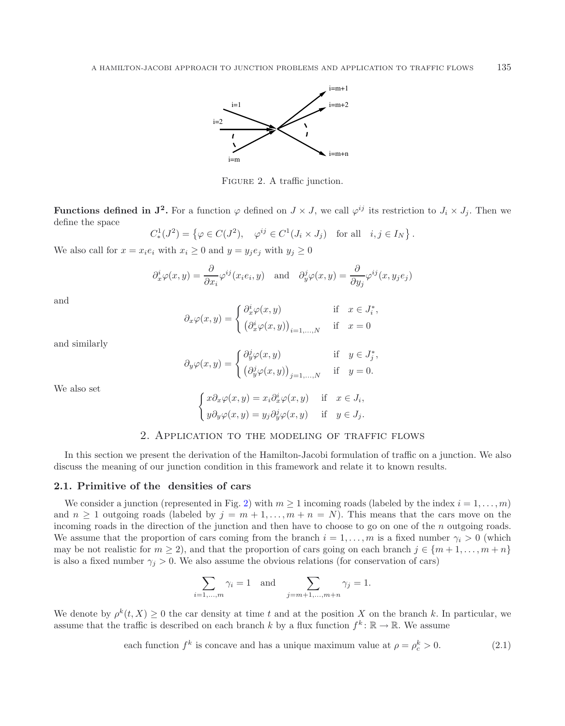<span id="page-6-1"></span>

FIGURE 2. A traffic junction.

**Functions defined in**  $J^2$ **. For a function**  $\varphi$  **defined on**  $J \times J$ **, we call**  $\varphi^{ij}$  **its restriction to**  $J_i \times J_j$ **. Then we** define the space

 $C^1_*(J^2) = \{ \varphi \in C(J^2), \quad \varphi^{ij} \in C^1(J_i \times J_j) \text{ for all } i, j \in I_N \}.$ 

We also call for  $x = x_i e_i$  with  $x_i \geq 0$  and  $y = y_i e_j$  with  $y_j \geq 0$ 

$$
\partial_x^i \varphi(x, y) = \frac{\partial}{\partial x_i} \varphi^{ij}(x_i e_i, y)
$$
 and  $\partial_y^j \varphi(x, y) = \frac{\partial}{\partial y_j} \varphi^{ij}(x, y_j e_j)$ 

and

$$
\partial_x \varphi(x, y) = \begin{cases} \partial_x^i \varphi(x, y) & \text{if } x \in J_i^*, \\ \left(\partial_x^i \varphi(x, y)\right)_{i=1,\dots,N} & \text{if } x = 0 \end{cases}
$$

and similarly

$$
\partial_y \varphi(x,y) = \begin{cases} \partial_y^j \varphi(x,y) & \text{if } y \in J_j^*, \\ \left(\partial_y^j \varphi(x,y)\right)_{j=1,...,N} & \text{if } y = 0. \end{cases}
$$

We also set

<span id="page-6-3"></span>
$$
\begin{cases}\nx\partial_x\varphi(x,y) = x_i\partial_x^i\varphi(x,y) & \text{if } x \in J_i, \\
y\partial_y\varphi(x,y) = y_j\partial_y^j\varphi(x,y) & \text{if } y \in J_j.\n\end{cases}
$$

### 2. Application to the modeling of traffic flows

<span id="page-6-0"></span>In this section we present the derivation of the Hamilton-Jacobi formulation of traffic on a junction. We also discuss the meaning of our junction condition in this framework and relate it to known results.

### <span id="page-6-2"></span>**2.1. Primitive of the densities of cars**

We consider a junction (represented in Fig. [2\)](#page-6-1) with  $m \ge 1$  incoming roads (labeled by the index  $i = 1, \ldots, m$ ) and  $n \geq 1$  outgoing roads (labeled by  $j = m + 1, \ldots, m + n = N$ ). This means that the cars move on the incoming roads in the direction of the junction and then have to choose to go on one of the n outgoing roads. We assume that the proportion of cars coming from the branch  $i = 1, \ldots, m$  is a fixed number  $\gamma_i > 0$  (which may be not realistic for  $m \ge 2$ ), and that the proportion of cars going on each branch  $j \in \{m+1,\ldots,m+n\}$ is also a fixed number  $\gamma_j > 0$ . We also assume the obvious relations (for conservation of cars)

$$
\sum_{i=1,\dots,m} \gamma_i = 1 \quad \text{and} \quad \sum_{j=m+1,\dots,m+n} \gamma_j = 1.
$$

We denote by  $\rho^{k}(t, X) \geq 0$  the car density at time t and at the position X on the branch k. In particular, we assume that the traffic is described on each branch k by a flux function  $f^k: \mathbb{R} \to \mathbb{R}$ . We assume

each function 
$$
f^k
$$
 is concave and has a unique maximum value at  $\rho = \rho_c^k > 0$ . (2.1)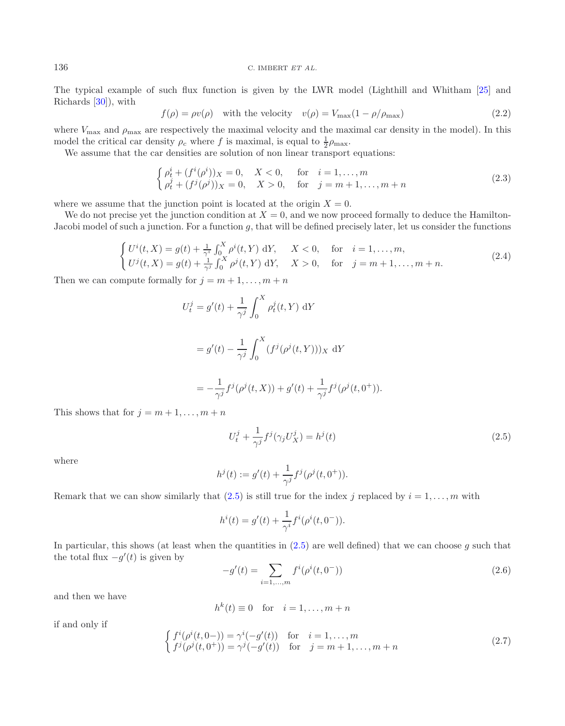#### <span id="page-7-2"></span><sup>136</sup> C. IMBERT *ET AL.*

The typical example of such flux function is given by the LWR model (Lighthill and Whitham [\[25\]](#page-37-22) and Richards [\[30\]](#page-37-23)), with

$$
f(\rho) = \rho v(\rho) \quad \text{with the velocity} \quad v(\rho) = V_{\text{max}}(1 - \rho/\rho_{\text{max}}) \tag{2.2}
$$

where  $V_{\text{max}}$  and  $\rho_{\text{max}}$  are respectively the maximal velocity and the maximal car density in the model). In this model the critical car density  $\rho_c$  where f is maximal, is equal to  $\frac{1}{2}\rho_{\text{max}}$ .<br>We assume that the car densities are solution of non-linear transport

We assume that the car densities are solution of non linear transport equations:

$$
\begin{cases}\n\rho_t^i + (f^i(\rho^i))_X = 0, & X < 0, \quad \text{for} \quad i = 1, ..., m \\
\rho_t^j + (f^j(\rho^j))_X = 0, & X > 0, \quad \text{for} \quad j = m+1, ..., m+n\n\end{cases}
$$
\n(2.3)

where we assume that the junction point is located at the origin  $X = 0$ .

We do not precise yet the junction condition at  $X = 0$ , and we now proceed formally to deduce the Hamilton-Jacobi model of such a junction. For a function  $g$ , that will be defined precisely later, let us consider the functions

$$
\begin{cases} U^{i}(t, X) = g(t) + \frac{1}{\gamma^{i}} \int_{0}^{X} \rho^{i}(t, Y) dY, & X < 0, \text{ for } i = 1, ..., m, \\ U^{j}(t, X) = g(t) + \frac{1}{\gamma^{j}} \int_{0}^{X} \rho^{j}(t, Y) dY, & X > 0, \text{ for } j = m + 1, ..., m + n. \end{cases}
$$
\n(2.4)

Then we can compute formally for  $j = m + 1, \ldots, m + n$ 

<span id="page-7-0"></span>
$$
U_t^j = g'(t) + \frac{1}{\gamma^j} \int_0^X \rho_t^j(t, Y) \, dY
$$

$$
= g'(t) - \frac{1}{\gamma^j} \int_0^X (f^j(\rho^j(t, Y)))_X \, dY
$$

$$
= -\frac{1}{\gamma^{j}} f^{j}(\rho^{j}(t, X)) + g'(t) + \frac{1}{\gamma^{j}} f^{j}(\rho^{j}(t, 0^{+})).
$$

<span id="page-7-1"></span>This shows that for  $j = m + 1, \ldots, m + n$ 

$$
U_t^j + \frac{1}{\gamma^j} f^j(\gamma_j U_X^j) = h^j(t)
$$
\n(2.5)

where

$$
h^{j}(t) := g'(t) + \frac{1}{\gamma^{j}} f^{j}(\rho^{j}(t, 0^{+})).
$$

<span id="page-7-3"></span>Remark that we can show similarly that [\(2.5\)](#page-7-0) is still true for the index j replaced by  $i = 1, \ldots, m$  with

$$
h^{i}(t) = g'(t) + \frac{1}{\gamma^{i}} f^{i}(\rho^{i}(t, 0^{-})).
$$

In particular, this shows (at least when the quantities in  $(2.5)$  are well defined) that we can choose g such that the total flux  $-g'(t)$  is given by

$$
-g'(t) = \sum_{i=1,\dots,m} f^i(\rho^i(t, 0^-))
$$
\n(2.6)

and then we have

$$
h^{k}(t) \equiv 0 \quad \text{for} \quad i = 1, \dots, m+n
$$

if and only if

$$
\begin{cases}\nf^i(\rho^i(t,0-)) = \gamma^i(-g'(t)) & \text{for} \quad i = 1,\dots, m \\
f^j(\rho^j(t,0^+)) = \gamma^j(-g'(t)) & \text{for} \quad j = m+1,\dots, m+n\n\end{cases}
$$
\n(2.7)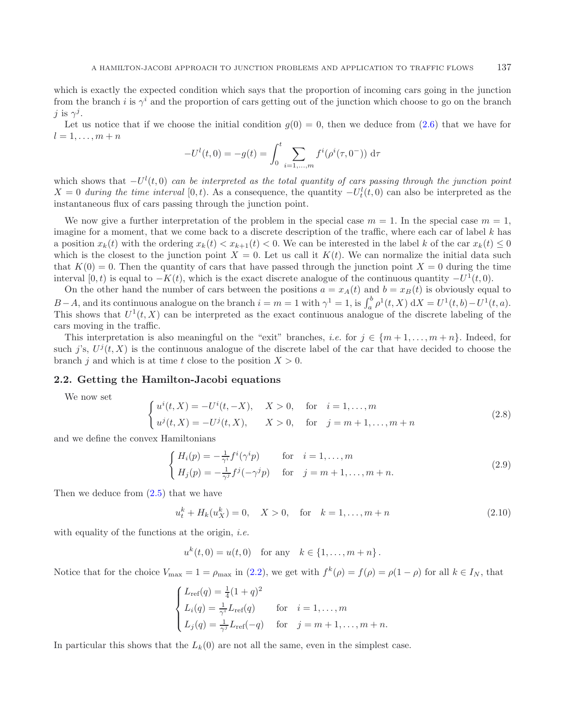which is exactly the expected condition which says that the proportion of incoming cars going in the junction from the branch i is  $\gamma^{i}$  and the proportion of cars getting out of the junction which choose to go on the branch j is  $\gamma^j$ .

Let us notice that if we choose the initial condition  $g(0) = 0$ , then we deduce from [\(2.6\)](#page-7-1) that we have for  $l=1,\ldots,m+n$ 

$$
-U^{l}(t,0) = -g(t) = \int_{0}^{t} \sum_{i=1,...,m} f^{i}(\rho^{i}(\tau,0^{-})) d\tau
$$

which shows that  $-U^l(t,0)$  *can be interpreted as the total quantity of cars passing through the junction point*  $X = 0$  *during the time interval* [0,*t*). As a consequence, the quantity  $-U_t^l(t,0)$  can also be interpreted as the instantaneous flux of cars passing through the junction point.

<span id="page-8-1"></span>We now give a further interpretation of the problem in the special case  $m = 1$ . In the special case  $m = 1$ , imagine for a moment, that we come back to a discrete description of the traffic, where each car of label k has a position  $x_k(t)$  with the ordering  $x_k(t) < x_{k+1}(t) < 0$ . We can be interested in the label k of the car  $x_k(t) \leq 0$ which is the closest to the junction point  $X = 0$ . Let us call it  $K(t)$ . We can normalize the initial data such that  $K(0) = 0$ . Then the quantity of cars that have passed through the junction point  $X = 0$  during the time interval [0, t) is equal to  $-K(t)$ , which is the exact discrete analogue of the continuous quantity  $-U^1(t, 0)$ .

On the other hand the number of cars between the positions  $a = x_A(t)$  and  $b = x_B(t)$  is obviously equal to B−A, and its continuous analogue on the branch  $i = m = 1$  with  $\gamma^1 = 1$ , is  $\int_a^b \rho^1(t, X) dX = U^1(t, b) - U^1(t, a)$ . This shows that  $U^1(t, X)$  can be interpreted as the exact continuous analogue of the discrete labeling of the cars moving in the traffic.

This interpretation is also meaningful on the "exit" branches, *i.e.* for  $j \in \{m+1,\ldots,m+n\}$ . Indeed, for such j's,  $U^{j}(t, X)$  is the continuous analogue of the discrete label of the car that have decided to choose the branch j and which is at time t close to the position  $X > 0$ .

### **2.2. Getting the Hamilton-Jacobi equations**

We now set

<span id="page-8-0"></span>
$$
\begin{cases}\nu^{i}(t,X) = -U^{i}(t,-X), & X > 0, \text{ for } i = 1,\dots, m \\
u^{j}(t,X) = -U^{j}(t,X), & X > 0, \text{ for } j = m+1,\dots, m+n\n\end{cases}
$$
\n(2.8)

and we define the convex Hamiltonians

$$
\begin{cases}\nH_i(p) = -\frac{1}{\gamma^i} f^i(\gamma^i p) & \text{for } i = 1, \dots, m \\
H_j(p) = -\frac{1}{\gamma^j} f^j(-\gamma^j p) & \text{for } j = m+1, \dots, m+n.\n\end{cases}
$$
\n(2.9)

Then we deduce from [\(2.5\)](#page-7-0) that we have

 $u_t^k + H_k(u_X^k) = 0, \quad X > 0, \quad \text{for} \quad k = 1, \dots, m + n$  (2.10)

with equality of the functions at the origin, *i.e.*

 $u^{k}(t, 0) = u(t, 0)$  for any  $k \in \{1, ..., m+n\}$ .

Notice that for the choice  $V_{\text{max}} = 1 = \rho_{\text{max}}$  in [\(2.2\)](#page-7-2), we get with  $f^k(\rho) = f(\rho) = \rho(1 - \rho)$  for all  $k \in I_N$ , that

$$
\begin{cases}\nL_{\text{ref}}(q) = \frac{1}{4}(1+q)^2 \\
L_i(q) = \frac{1}{\gamma^i}L_{\text{ref}}(q) \quad \text{for} \quad i = 1, \dots, m \\
L_j(q) = \frac{1}{\gamma^j}L_{\text{ref}}(-q) \quad \text{for} \quad j = m+1, \dots, m+n.\n\end{cases}
$$

In particular this shows that the  $L_k(0)$  are not all the same, even in the simplest case.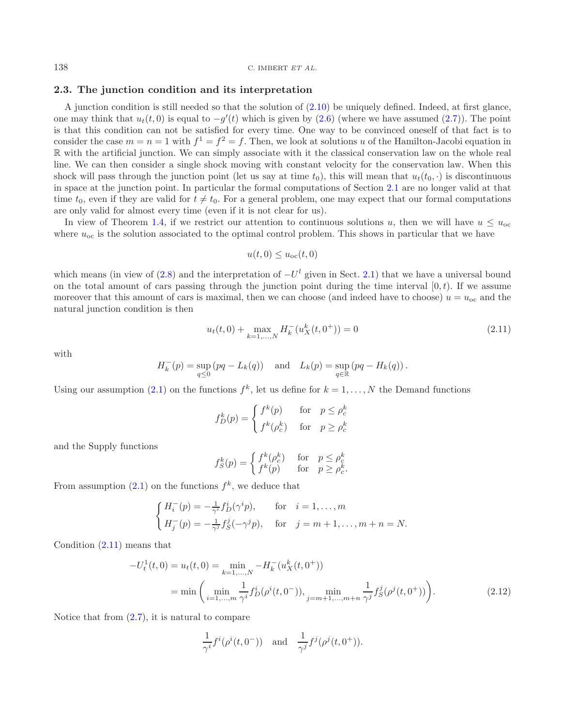<sup>138</sup> C. IMBERT *ET AL.*

### **2.3. The junction condition and its interpretation**

A junction condition is still needed so that the solution of  $(2.10)$  be uniquely defined. Indeed, at first glance, one may think that  $u_t(t,0)$  is equal to  $-g'(t)$  which is given by  $(2.6)$  (where we have assumed  $(2.7)$ ). The point is that this condition can not be satisfied for every time. One way to be convinced oneself of that fact is to consider the case  $m = n = 1$  with  $f^1 = f^2 = f$ . Then, we look at solutions u of the Hamilton-Jacobi equation in R with the artificial junction. We can simply associate with it the classical conservation law on the whole real line. We can then consider a single shock moving with constant velocity for the conservation law. When this shock will pass through the junction point (let us say at time  $t_0$ ), this will mean that  $u_t(t_0, \cdot)$  is discontinuous in space at the junction point. In particular the formal computations of Section [2.1](#page-6-2) are no longer valid at that time  $t_0$ , even if they are valid for  $t \neq t_0$ . For a general problem, one may expect that our formal computations are only valid for almost every time (even if it is not clear for us).

<span id="page-9-0"></span>In view of Theorem [1.4,](#page-3-3) if we restrict our attention to continuous solutions u, then we will have  $u \leq u_{\rm oc}$ where  $u_{\rm oc}$  is the solution associated to the optimal control problem. This shows in particular that we have

$$
u(t,0) \le u_{\rm oc}(t,0)
$$

which means (in view of [\(2.8\)](#page-8-1) and the interpretation of  $-U^l$  given in Sect. [2.1\)](#page-6-2) that we have a universal bound on the total amount of cars passing through the junction point during the time interval  $[0, t)$ . If we assume moreover that this amount of cars is maximal, then we can choose (and indeed have to choose)  $u = u_{\rm oc}$  and the natural junction condition is then

$$
u_t(t,0) + \max_{k=1,\dots,N} H_k^-(u_X^k(t,0^+)) = 0
$$
\n(2.11)

with

$$
H_k^-(p) = \sup_{q \le 0} (pq - L_k(q)) \text{ and } L_k(p) = \sup_{q \in \mathbb{R}} (pq - H_k(q)).
$$

Using our assumption [\(2.1\)](#page-6-3) on the functions  $f^k$ , let us define for  $k = 1, \ldots, N$  the Demand functions

$$
f_D^k(p) = \begin{cases} f^k(p) & \text{for } p \le \rho_c^k \\ f^k(\rho_c^k) & \text{for } p \ge \rho_c^k \end{cases}
$$

and the Supply functions

<span id="page-9-1"></span>
$$
f_S^k(p) = \begin{cases} f^k(\rho_c^k) & \text{for } p \le \rho_c^k \\ f^k(p) & \text{for } p \ge \rho_c^k. \end{cases}
$$

From assumption [\(2.1\)](#page-6-3) on the functions  $f^k$ , we deduce that

$$
\begin{cases}\nH_i^-(p) = -\frac{1}{\gamma^i} f_D^i(\gamma^i p), & \text{for } i = 1, ..., m \\
H_j^-(p) = -\frac{1}{\gamma^j} f_S^j(-\gamma^j p), & \text{for } j = m+1, ..., m+n = N.\n\end{cases}
$$

Condition [\(2.11\)](#page-9-0) means that

$$
-U_t^1(t,0) = u_t(t,0) = \min_{k=1,\dots,N} -H_k^-(u_X^k(t,0^+))
$$
  
= min  $\left(\min_{i=1,\dots,m} \frac{1}{\gamma^i} f_D^i(\rho^i(t,0^-)), \min_{j=m+1,\dots,m+n} \frac{1}{\gamma^j} f_S^j(\rho^j(t,0^+))\right)$ . (2.12)

Notice that from  $(2.7)$ , it is natural to compare

$$
\frac{1}{\gamma^{i}} f^{i}(\rho^{i}(t, 0^{-})) \text{ and } \frac{1}{\gamma^{j}} f^{j}(\rho^{j}(t, 0^{+})).
$$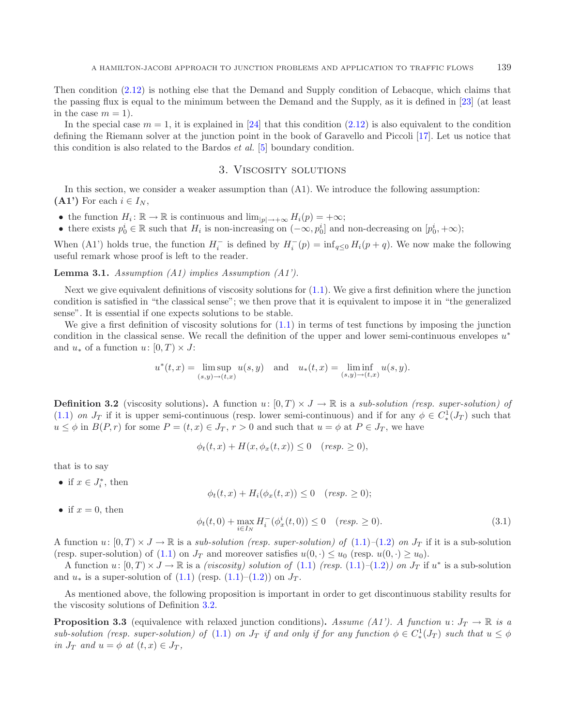Then condition [\(2.12\)](#page-9-1) is nothing else that the Demand and Supply condition of Lebacque, which claims that the passing flux is equal to the minimum between the Demand and the Supply, as it is defined in [\[23\]](#page-37-24) (at least in the case  $m = 1$ .

<span id="page-10-1"></span>In the special case  $m = 1$ , it is explained in [\[24\]](#page-37-25) that this condition [\(2.12\)](#page-9-1) is also equivalent to the condition defining the Riemann solver at the junction point in the book of Garavello and Piccoli [\[17](#page-37-4)]. Let us notice that this condition is also related to the Bardos *et al.* [\[5](#page-36-11)] boundary condition.

### <span id="page-10-4"></span>3. Viscosity solutions

In this section, we consider a weaker assumption than (A1). We introduce the following assumption:  $(A1')$  For each  $i \in I_N$ ,

- the function  $H_i: \mathbb{R} \to \mathbb{R}$  is continuous and  $\lim_{|p| \to +\infty} H_i(p) = +\infty;$
- there exists  $p_0^i \in \mathbb{R}$  such that  $H_i$  is non-increasing on  $(-\infty, p_0^i]$  and non-decreasing on  $[p_0^i, +\infty)$ ;

<span id="page-10-0"></span>When (A1') holds true, the function  $H_i^-$  is defined by  $H_i^-(p) = \inf_{q \leq 0} H_i(p+q)$ . We now make the following useful remark whose proof is left to the reader.

**Lemma 3.1.** *Assumption (A1) implies Assumption (A1').*

Next we give equivalent definitions of viscosity solutions for [\(1.1\)](#page-2-0). We give a first definition where the junction condition is satisfied in "the classical sense"; we then prove that it is equivalent to impose it in "the generalized sense". It is essential if one expects solutions to be stable.

We give a first definition of viscosity solutions for  $(1.1)$  in terms of test functions by imposing the junction condition in the classical sense. We recall the definition of the upper and lower semi-continuous envelopes  $u^*$ and  $u_*$  of a function  $u: [0, T] \times J$ :

$$
u^*(t, x) = \limsup_{(s,y)\to(t,x)} u(s,y)
$$
 and  $u_*(t,x) = \liminf_{(s,y)\to(t,x)} u(s,y)$ .

<span id="page-10-2"></span>**Definition 3.2** (viscosity solutions). A function  $u: [0, T] \times J \to \mathbb{R}$  is a *sub-solution (resp. super-solution) of* [\(1.1\)](#page-2-0) *on*  $J_T$  if it is upper semi-continuous (resp. lower semi-continuous) and if for any  $\phi \in C^1_*(J_T)$  such that  $u \leq \phi$  in  $B(P,r)$  for some  $P = (t,x) \in J_T$ ,  $r > 0$  and such that  $u = \phi$  at  $P \in J_T$ , we have

<span id="page-10-3"></span>
$$
\phi_t(t,x) + H(x, \phi_x(t,x)) \le 0 \quad (resp. \ge 0),
$$

that is to say

• if  $x \in J_i^*$ , then

 $\phi_t(t, x) + H_i(\phi_x(t, x)) \leq 0$  (*resp.* > 0);

• if  $x = 0$ , then

$$
\phi_t(t,0) + \max_{i \in I_N} H_i^-(\phi_x^i(t,0)) \le 0 \quad (resp. \ge 0). \tag{3.1}
$$

A function  $u: [0, T] \times J \to \mathbb{R}$  is a *sub-solution (resp. super-solution) of*  $(1.1)$ – $(1.2)$  *on*  $J_T$  if it is a sub-solution (resp. super-solution) of [\(1.1\)](#page-2-0) on  $J_T$  and moreover satisfies  $u(0, \cdot) \le u_0$  (resp.  $u(0, \cdot) \ge u_0$ ).

A function  $u: [0, T) \times J \to \mathbb{R}$  is a *(viscosity) solution of* [\(1.1\)](#page-2-0) *(resp.* (1.1)–[\(1.2\)](#page-2-3)*)* on  $J_T$  if  $u^*$  is a sub-solution and  $u_*$  is a super-solution of  $(1.1)$  (resp.  $(1.1)$ – $(1.2)$ ) on  $J_T$ .

As mentioned above, the following proposition is important in order to get discontinuous stability results for the viscosity solutions of Definition [3.2.](#page-10-0)

**Proposition 3.3** (equivalence with relaxed junction conditions). Assume (A1'). A function  $u: J_T \to \mathbb{R}$  is a  $sub-solution$  (resp. super-solution) of [\(1.1\)](#page-2-0) on  $J_T$  if and only if for any function  $\phi \in C^1_*(J_T)$  such that  $u \leq \phi$ *in*  $J_T$  *and*  $u = \phi$  *at*  $(t, x) \in J_T$ ,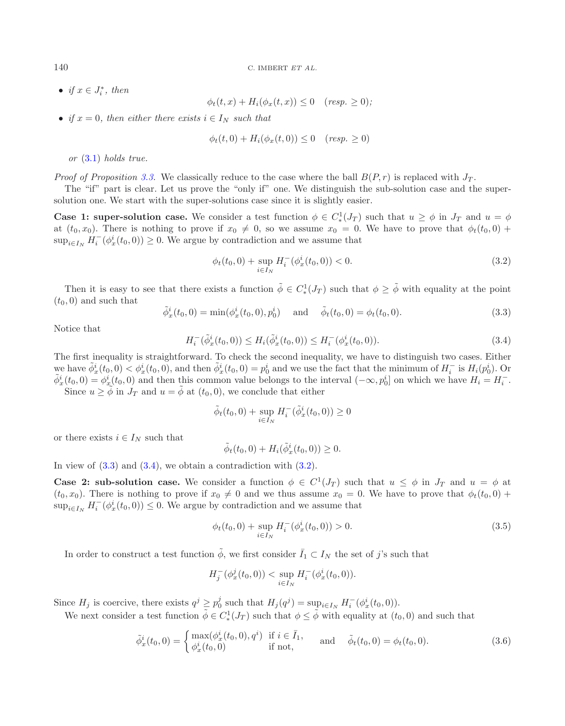• *if*  $x \in J_i^*$ , then

<span id="page-11-2"></span>
$$
\phi_t(t,x) + H_i(\phi_x(t,x)) \le 0 \quad (resp. \ge 0),
$$

• *if*  $x = 0$ *, then either there exists*  $i \in I_N$  *such that* 

$$
\phi_t(t,0) + H_i(\phi_x(t,0)) \le 0 \quad (resp. \ge 0)
$$

<span id="page-11-0"></span>*or* [\(3.1\)](#page-10-2) *holds true.*

*Proof of Proposition* [3.3.](#page-10-3) We classically reduce to the case where the ball  $B(P,r)$  is replaced with  $J_T$ .

<span id="page-11-1"></span>The "if" part is clear. Let us prove the "only if" one. We distinguish the sub-solution case and the supersolution one. We start with the super-solutions case since it is slightly easier.

**Case 1: super-solution case.** We consider a test function  $\phi \in C^1_*(J_T)$  such that  $u \ge \phi$  in  $J_T$  and  $u = \phi$ at  $(t_0, x_0)$ . There is nothing to prove if  $x_0 \neq 0$ , so we assume  $x_0 = 0$ . We have to prove that  $\phi_t(t_0, 0)$  +  $\sup_{i\in I_N} H_i^-(\phi_x^i(t_0,0)) \geq 0$ . We argue by contradiction and we assume that

$$
\phi_t(t_0, 0) + \sup_{i \in I_N} H_i^-(\phi_x^i(t_0, 0)) < 0. \tag{3.2}
$$

Then it is easy to see that there exists a function  $\tilde{\phi} \in C^1_*(J_T)$  such that  $\phi \geq \tilde{\phi}$  with equality at the point  $(t_0, 0)$  and such that

$$
\tilde{\phi}_x^i(t_0,0) = \min(\phi_x^i(t_0,0), p_0^i) \quad \text{and} \quad \tilde{\phi}_t(t_0,0) = \phi_t(t_0,0). \tag{3.3}
$$

Notice that

$$
H_i^-(\tilde{\phi}_x^i(t_0,0)) \le H_i(\tilde{\phi}_x^i(t_0,0)) \le H_i^-(\phi_x^i(t_0,0)).
$$
\n(3.4)

The first inequality is straightforward. To check the second inequality, we have to distinguish two cases. Either we have  $\tilde{\phi}_x^i(t_0,0) < \phi_x^i(t_0,0)$ , and then  $\tilde{\phi}_x^i(t_0,0) = p_0^i$  and we use the fact that the minimum of  $H_i^-$  is  $H_i(p_0^i)$ . Or  $\tilde{\phi}_x^i(t_0,0) = \phi_x^i(t_0,0)$  and then this common value belongs to the interval  $(-\in$  $\tilde{\phi}_x^i(t_0, 0) = \phi_x^i(t_0, 0)$  and then this common value belongs to the interval  $(-\infty, p_0^i]$  on which we have  $H_i = H_i^-$ .<br>Since  $u > \tilde{\phi}$  in  $L_i$  and  $u = \tilde{\phi}$  at  $(t_i, 0)$  we conclude that either Since  $u \geq \tilde{\phi}$  in  $J_T$  and  $u = \tilde{\phi}$  at  $(t_0, 0)$ , we conclude that either

<span id="page-11-4"></span>
$$
\tilde{\phi}_t(t_0, 0) + \sup_{i \in I_N} H_i^-(\tilde{\phi}_x^i(t_0, 0)) \ge 0
$$

or there exists  $i \in I_N$  such that

<span id="page-11-3"></span>
$$
\tilde{\phi}_t(t_0,0) + H_i(\tilde{\phi}_x^i(t_0,0)) \geq 0.
$$

In view of  $(3.3)$  and  $(3.4)$ , we obtain a contradiction with  $(3.2)$ .

**Case 2: sub-solution case.** We consider a function  $\phi \in C^1(J_T)$  such that  $u \leq \phi$  in  $J_T$  and  $u = \phi$  at  $(t_0, x_0)$ . There is nothing to prove if  $x_0 \neq 0$  and we thus assume  $x_0 = 0$ . We have to prove that  $\phi_t(t_0, 0)$  +  $\sup_{i\in I_N} H_i^-(\phi_x^i(t_0,0)) \leq 0$ . We argue by contradiction and we assume that

$$
\phi_t(t_0, 0) + \sup_{i \in I_N} H_i^-(\phi_x^i(t_0, 0)) > 0. \tag{3.5}
$$

In order to construct a test function  $\tilde{\phi}$ , we first consider  $\bar{I}_1 \subset I_N$  the set of j's such that

$$
H_j^-(\phi_x^j(t_0,0)) < \sup_{i \in I_N} H_i^-(\phi_x^i(t_0,0)).
$$

Since  $H_j$  is coercive, there exists  $q^j \geq p_0^j$  such that  $H_j(q^j) = \sup_{i \in I_N} H_i^-(\phi_x^i(t_0, 0)).$ <br>We need sensitive that for the  $\tilde{j} \in Cl(I_1)$  and that  $j \in \tilde{j}$  with sensitive to  $(t_0, t_0)$ .

We next consider a test function  $\tilde{\phi} \in C^1_*(J_T)$  such that  $\phi \leq \tilde{\phi}$  with equality at  $(t_0, 0)$  and such that

$$
\tilde{\phi}_x^i(t_0, 0) = \begin{cases}\n\max(\phi_x^i(t_0, 0), q^i) & \text{if } i \in \bar{I}_1, \\
\phi_x^i(t_0, 0) & \text{if } \text{not,}\n\end{cases} \quad \text{and} \quad \tilde{\phi}_t(t_0, 0) = \phi_t(t_0, 0).
$$
\n(3.6)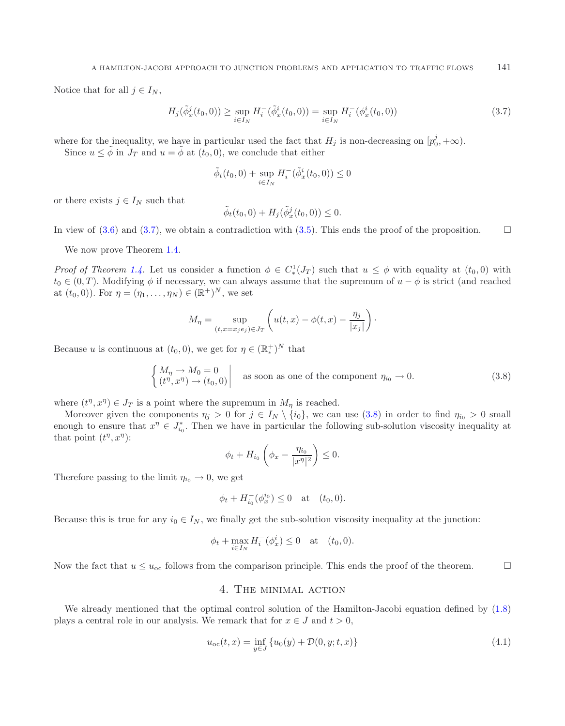<span id="page-12-1"></span>Notice that for all  $j \in I_N$ ,

$$
H_j(\tilde{\phi}_x^j(t_0,0)) \ge \sup_{i \in I_N} H_i^-(\tilde{\phi}_x^i(t_0,0)) = \sup_{i \in I_N} H_i^-(\phi_x^i(t_0,0))
$$
\n(3.7)

where for the inequality, we have in particular used the fact that  $H_j$  is non-decreasing on  $[p_0^j, +\infty)$ .<br>Since  $u \leq \tilde{\phi}$  in  $I_{\overline{\phi}}$  and  $u = \tilde{\phi}$  at  $(t_0, 0)$ , we conclude that either

Since  $u \leq \tilde{\phi}$  in  $J_T$  and  $u = \tilde{\phi}$  at  $(t_0, 0)$ , we conclude that either

$$
\tilde{\phi}_t(t_0, 0) + \sup_{i \in I_N} H_i^-(\tilde{\phi}_x^i(t_0, 0)) \le 0
$$

or there exists  $j \in I_N$  such that

<span id="page-12-2"></span>
$$
\tilde{\phi}_t(t_0,0) + H_j(\tilde{\phi}_x^j(t_0,0)) \leq 0.
$$

In view of [\(3.6\)](#page-11-3) and [\(3.7\)](#page-12-1), we obtain a contradiction with [\(3.5\)](#page-11-4). This ends the proof of the proposition.  $\Box$ 

We now prove Theorem [1.4.](#page-3-3)

*Proof of Theorem [1.4.](#page-3-3)* Let us consider a function  $\phi \in C^1_*(J_T)$  such that  $u \leq \phi$  with equality at  $(t_0, 0)$  with  $t_0 \in C^1_*(J_T)$ .  $t_0 \in (0,T)$ . Modifying  $\phi$  if necessary, we can always assume that the supremum of  $u - \phi$  is strict (and reached at  $(t_0, 0)$ ). For  $\eta = (\eta_1, \ldots, \eta_N) \in (\mathbb{R}^+)^N$ , we set

$$
M_{\eta} = \sup_{(t,x=x_j\epsilon_j)\in J_T} \left( u(t,x) - \phi(t,x) - \frac{\eta_j}{|x_j|} \right).
$$

Because u is continuous at  $(t_0, 0)$ , we get for  $\eta \in (\mathbb{R}_*^+)^N$  that

$$
\begin{cases}\nM_{\eta} \to M_0 = 0 \\
(t^{\eta}, x^{\eta}) \to (t_0, 0)\n\end{cases}
$$
 as soon as one of the component  $\eta_{i_0} \to 0$ . (3.8)

where  $(t^n, x^n) \in J_T$  is a point where the supremum in  $M_\eta$  is reached.

Moreover given the components  $\eta_j > 0$  for  $j \in I_N \setminus \{i_0\}$ , we can use [\(3.8\)](#page-12-2) in order to find  $\eta_{i_0} > 0$  small enough to ensure that  $x^{\eta} \in J_{i_0}^*$ . Then we have in particular the following sub-solution viscosity inequality at that point  $(t^{\eta}, x^{\eta})$ :

<span id="page-12-3"></span>
$$
\phi_t + H_{i_0} \left( \phi_x - \frac{\eta_{i_0}}{|x^{\eta}|^2} \right) \leq 0.
$$

Therefore passing to the limit  $\eta_{i_0} \to 0$ , we get

$$
\phi_t + H_{i_0}^{-}(\phi_x^{i_0}) \le 0
$$
 at  $(t_0, 0)$ .

Because this is true for any  $i_0 \in I_N$ , we finally get the sub-solution viscosity inequality at the junction:

$$
\phi_t + \max_{i \in I_N} H_i^-(\phi_x^i) \le 0
$$
 at  $(t_0, 0)$ .

<span id="page-12-0"></span>Now the fact that  $u \leq u_{\rm oc}$  follows from the comparison principle. This ends the proof of the theorem.

# 4. The minimal action

We already mentioned that the optimal control solution of the Hamilton-Jacobi equation defined by [\(1.8\)](#page-3-2) plays a central role in our analysis. We remark that for  $x \in J$  and  $t > 0$ ,

$$
u_{oc}(t,x) = \inf_{y \in J} \{u_0(y) + \mathcal{D}(0, y; t, x)\}\
$$
\n(4.1)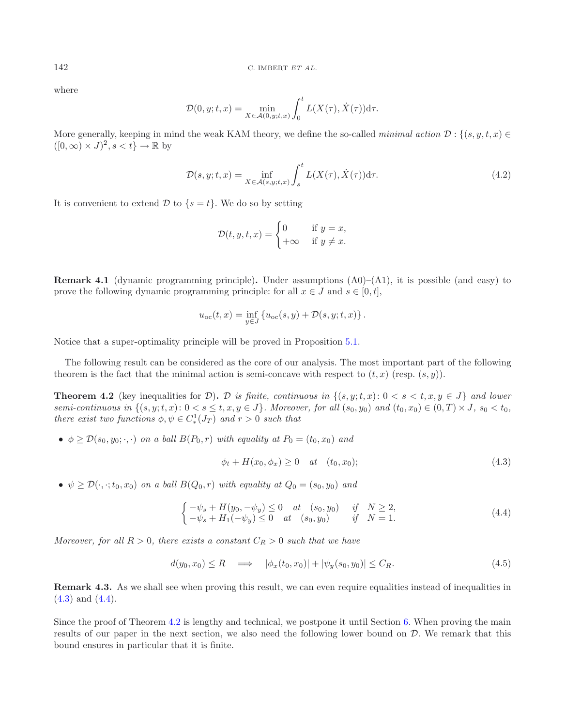where

$$
\mathcal{D}(0, y; t, x) = \min_{X \in \mathcal{A}(0, y; t, x)} \int_0^t L(X(\tau), \dot{X}(\tau)) d\tau.
$$

More generally, keeping in mind the weak KAM theory, we define the so-called *minimal action*  $\mathcal{D}: \{(s, y, t, x) \in$  $([0,\infty) \times J)^2$ ,  $s < t$   $\rightarrow \mathbb{R}$  by

$$
\mathcal{D}(s, y; t, x) = \inf_{X \in \mathcal{A}(s, y; t, x)} \int_{s}^{t} L(X(\tau), \dot{X}(\tau)) \, d\tau.
$$
\n(4.2)

It is convenient to extend  $\mathcal{D}$  to  $\{s = t\}$ . We do so by setting

<span id="page-13-0"></span>
$$
\mathcal{D}(t, y, t, x) = \begin{cases} 0 & \text{if } y = x, \\ +\infty & \text{if } y \neq x. \end{cases}
$$

**Remark 4.1** (dynamic programming principle). Under assumptions  $(A0)$ –(A1), it is possible (and easy) to prove the following dynamic programming principle: for all  $x \in J$  and  $s \in [0, t]$ ,

<span id="page-13-2"></span><span id="page-13-1"></span>
$$
u_{\rm oc}(t,x) = \inf_{y \in J} \{ u_{\rm oc}(s,y) + \mathcal{D}(s,y;t,x) \} .
$$

Notice that a super-optimality principle will be proved in Proposition [5.1.](#page-14-1)

The following result can be considered as the core of our analysis. The most important part of the following theorem is the fact that the minimal action is semi-concave with respect to  $(t, x)$  (resp.  $(s, y)$ ).

**Theorem 4.2** (key inequalities for D). D is finite, continuous in  $\{(s, y; t, x): 0 < s < t, x, y \in J\}$  and lower *semi-continuous in*  $\{(s, y; t, x): 0 < s \le t, x, y \in J\}$ *. Moreover, for all*  $(s_0, y_0)$  *and*  $(t_0, x_0) \in (0, T) \times J$ *,*  $s_0 < t_0$ *, there exist two functions*  $\phi, \psi \in C^1_*(J_T)$  *and*  $r > 0$  *such that* 

•  $\phi \geq \mathcal{D}(s_0, y_0; \cdot, \cdot)$  *on a ball*  $B(P_0, r)$  *with equality at*  $P_0 = (t_0, x_0)$  *and* 

<span id="page-13-4"></span>
$$
\phi_t + H(x_0, \phi_x) \ge 0 \quad at \quad (t_0, x_0); \tag{4.3}
$$

•  $\psi \ge \mathcal{D}(\cdot, \cdot; t_0, x_0)$  *on a ball*  $B(Q_0, r)$  *with equality at*  $Q_0 = (s_0, y_0)$  *and* 

<span id="page-13-3"></span>
$$
\begin{cases}\n-\psi_s + H(y_0, -\psi_y) \le 0 & at \quad (s_0, y_0) \quad \text{if} \quad N \ge 2, \\
-\psi_s + H_1(-\psi_y) \le 0 & at \quad (s_0, y_0) \quad \text{if} \quad N = 1.\n\end{cases}
$$
\n(4.4)

*Moreover, for all*  $R > 0$ *, there exists a constant*  $C_R > 0$  *such that we have* 

$$
d(y_0, x_0) \le R \quad \Longrightarrow \quad |\phi_x(t_0, x_0)| + |\psi_y(s_0, y_0)| \le C_R. \tag{4.5}
$$

**Remark 4.3.** As we shall see when proving this result, we can even require equalities instead of inequalities in  $(4.3)$  and  $(4.4)$ .

Since the proof of Theorem [4.2](#page-13-0) is lengthy and technical, we postpone it until Section [6.](#page-19-0) When proving the main results of our paper in the next section, we also need the following lower bound on D. We remark that this bound ensures in particular that it is finite.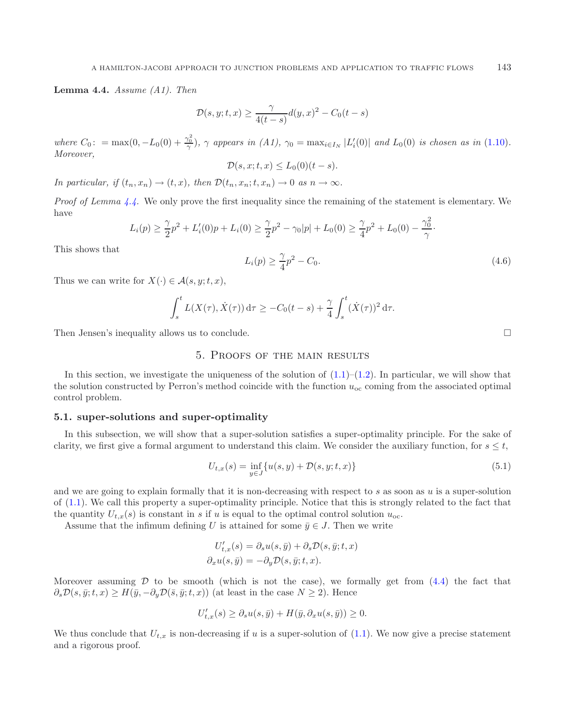<span id="page-14-2"></span>**Lemma 4.4.** *Assume (A1). Then*

$$
\mathcal{D}(s, y; t, x) \ge \frac{\gamma}{4(t-s)} d(y, x)^2 - C_0(t-s)
$$

*where*  $C_0$ : = max(0, -L<sub>0</sub>(0) +  $\frac{\gamma_0^2}{\gamma}$ ,  $\gamma$  appears in (A1),  $\gamma_0 = \max_{i \in I_N} |L'_i(0)|$  and  $L_0(0)$  is chosen as in [\(1.10\)](#page-5-0)*.*<br>*Moreover Moreover,*

$$
\mathcal{D}(s, x; t, x) \le L_0(0)(t - s).
$$

*In particular, if*  $(t_n, x_n) \rightarrow (t, x)$ *, then*  $\mathcal{D}(t_n, x_n; t, x_n) \rightarrow 0$  *as*  $n \rightarrow \infty$ *.* 

*Proof of Lemma [4.4.](#page-13-3)* We only prove the first inequality since the remaining of the statement is elementary. We have

$$
L_i(p) \ge \frac{\gamma}{2}p^2 + L'_i(0)p + L_i(0) \ge \frac{\gamma}{2}p^2 - \gamma_0|p| + L_0(0) \ge \frac{\gamma}{4}p^2 + L_0(0) - \frac{\gamma_0^2}{\gamma}.
$$

This shows that

$$
L_i(p) \ge \frac{\gamma}{4}p^2 - C_0. \tag{4.6}
$$

Thus we can write for  $X(\cdot) \in \mathcal{A}(s, y; t, x)$ ,

$$
\int_s^t L(X(\tau), \dot{X}(\tau)) d\tau \geq -C_0(t-s) + \frac{\gamma}{4} \int_s^t (\dot{X}(\tau))^2 d\tau.
$$

<span id="page-14-0"></span>Then Jensen's inequality allows us to conclude.  $\Box$ 

# 5. Proofs of the main results

In this section, we investigate the uniqueness of the solution of  $(1.1)$ – $(1.2)$ . In particular, we will show that the solution constructed by Perron's method coincide with the function  $u_{\rm oc}$  coming from the associated optimal control problem.

#### **5.1. super-solutions and super-optimality**

In this subsection, we will show that a super-solution satisfies a super-optimality principle. For the sake of clarity, we first give a formal argument to understand this claim. We consider the auxiliary function, for  $s \leq t$ ,

$$
U_{t,x}(s) = \inf_{y \in J} \{ u(s, y) + \mathcal{D}(s, y; t, x) \}
$$
\n(5.1)

and we are going to explain formally that it is non-decreasing with respect to  $s$  as soon as  $u$  is a super-solution of [\(1.1\)](#page-2-0). We call this property a super-optimality principle. Notice that this is strongly related to the fact that the quantity  $U_{t,x}(s)$  is constant in s if u is equal to the optimal control solution  $u_{\text{oc}}$ .

<span id="page-14-1"></span>Assume that the infimum defining U is attained for some  $\bar{y} \in J$ . Then we write

$$
U'_{t,x}(s) = \partial_s u(s, \bar{y}) + \partial_s \mathcal{D}(s, \bar{y}; t, x)
$$

$$
\partial_x u(s, \bar{y}) = -\partial_y \mathcal{D}(s, \bar{y}; t, x).
$$

Moreover assuming  $D$  to be smooth (which is not the case), we formally get from  $(4.4)$  the fact that  $\partial_s \mathcal{D}(s, \bar{y}; t, x) \geq H(\bar{y}, -\partial_y \mathcal{D}(\bar{s}, \bar{y}; t, x))$  (at least in the case  $N \geq 2$ ). Hence

$$
U'_{t,x}(s) \ge \partial_s u(s,\bar{y}) + H(\bar{y}, \partial_x u(s,\bar{y})) \ge 0.
$$

We thus conclude that  $U_{t,x}$  is non-decreasing if u is a super-solution of  $(1.1)$ . We now give a precise statement and a rigorous proof.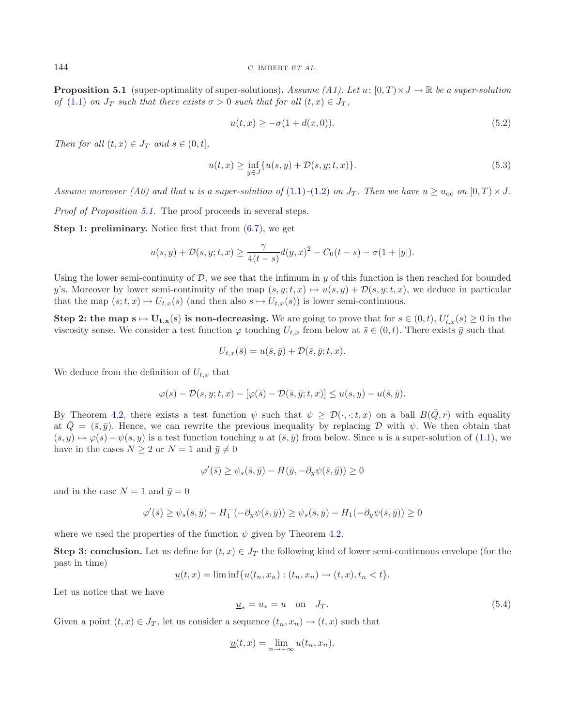<span id="page-15-1"></span>**Proposition 5.1** (super-optimality of super-solutions). Assume  $(A1)$ . Let  $u: [0, T] \times J \rightarrow \mathbb{R}$  be a super-solution *of* [\(1.1\)](#page-2-0) *on*  $J_T$  *such that there exists*  $\sigma > 0$  *such that for all*  $(t, x) \in J_T$ ,

$$
u(t,x) \ge -\sigma(1 + d(x,0)).
$$
\n(5.2)

*Then for all*  $(t, x) \in J_T$  *and*  $s \in (0, t]$ *,* 

$$
u(t,x) \ge \inf_{y \in J} \{ u(s,y) + \mathcal{D}(s,y;t,x) \}. \tag{5.3}
$$

*Assume moreover* (A0) and that u is a super-solution of [\(1.1\)](#page-2-0)–[\(1.2\)](#page-2-3) on  $J_T$ . Then we have  $u \geq u_{\infty}$  on  $[0, T) \times J$ .

*Proof of Proposition [5.1.](#page-14-1)* The proof proceeds in several steps.

**Step 1: preliminary.** Notice first that from  $(6.7)$ , we get

$$
u(s,y) + \mathcal{D}(s,y;t,x) \ge \frac{\gamma}{4(t-s)}d(y,x)^2 - C_0(t-s) - \sigma(1+|y|).
$$

Using the lower semi-continuity of D, we see that the infimum in y of this function is then reached for bounded y's. Moreover by lower semi-continuity of the map  $(s, y; t, x) \mapsto u(s, y) + \mathcal{D}(s, y; t, x)$ , we deduce in particular that the map  $(s; t, x) \mapsto U_{t,x}(s)$  (and then also  $s \mapsto U_{t,x}(s)$ ) is lower semi-continuous.

**Step 2: the map**  $s \mapsto U_{t,x}(s)$  **is non-decreasing. We are going to prove that for**  $s \in (0,t)$ **,**  $U'_{t,x}(s) \ge 0$  **in the** viscosity sense. We consider a test function  $\varphi$  touching  $U_{t,x}$  from below at  $\bar{s} \in (0,t)$ . There exists  $\bar{y}$  such that

$$
U_{t,x}(\bar{s}) = u(\bar{s}, \bar{y}) + \mathcal{D}(\bar{s}, \bar{y}; t, x).
$$

We deduce from the definition of  $U_{t,x}$  that

$$
\varphi(s)-\mathcal{D}(s,y;t,x)-[\varphi(\bar{s})-\mathcal{D}(\bar{s},\bar{y};t,x)]\leq u(s,y)-u(\bar{s},\bar{y}).
$$

<span id="page-15-0"></span>By Theorem [4.2,](#page-13-0) there exists a test function  $\psi$  such that  $\psi \ge \mathcal{D}(\cdot, \cdot; t, x)$  on a ball  $B(\bar{Q}, r)$  with equality at  $\overline{Q} = (\overline{s}, \overline{y})$ . Hence, we can rewrite the previous inequality by replacing D with  $\psi$ . We then obtain that  $(s, y) \mapsto \varphi(s) - \psi(s, y)$  is a test function touching u at  $(\bar{s}, \bar{y})$  from below. Since u is a super-solution of  $(1.1)$ , we have in the cases  $N \geq 2$  or  $N = 1$  and  $\bar{y} \neq 0$ 

$$
\varphi'(\bar{s}) \ge \psi_s(\bar{s}, \bar{y}) - H(\bar{y}, -\partial_y \psi(\bar{s}, \bar{y})) \ge 0
$$

and in the case  $N = 1$  and  $\bar{y} = 0$ 

$$
\varphi'(\bar{s}) \ge \psi_s(\bar{s}, \bar{y}) - H_1^-(-\partial_y \psi(\bar{s}, \bar{y})) \ge \psi_s(\bar{s}, \bar{y}) - H_1(-\partial_y \psi(\bar{s}, \bar{y})) \ge 0
$$

where we used the properties of the function  $\psi$  given by Theorem [4.2.](#page-13-0)

**Step 3: conclusion.** Let us define for  $(t, x) \in J_T$  the following kind of lower semi-continuous envelope (for the past in time)

$$
\underline{u}(t,x) = \liminf \{ u(t_n, x_n) : (t_n, x_n) \to (t,x), t_n < t \}.
$$

Let us notice that we have

$$
\underline{u}_* = u_* = u \quad \text{on} \quad J_T. \tag{5.4}
$$

Given a point  $(t, x) \in J_T$ , let us consider a sequence  $(t_n, x_n) \to (t, x)$  such that

$$
\underline{u}(t,x) = \lim_{n \to +\infty} u(t_n, x_n).
$$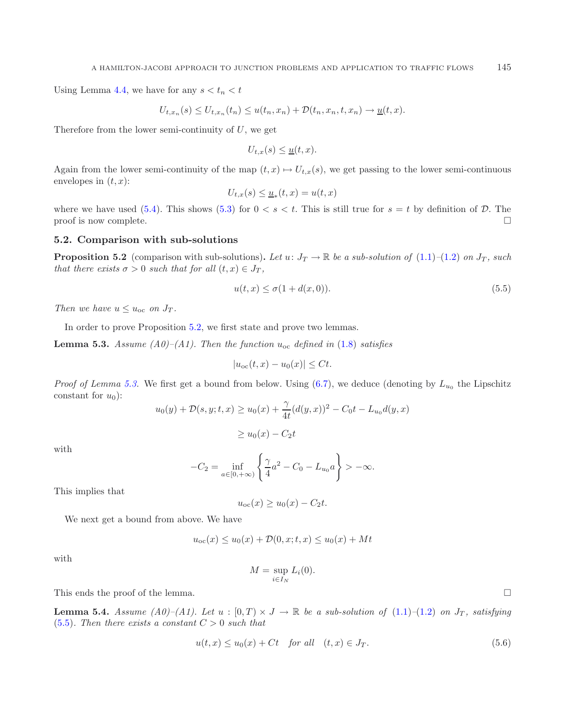Using Lemma [4.4,](#page-13-3) we have for any  $s < t_n < t$ 

<span id="page-16-2"></span>
$$
U_{t,x_n}(s) \leq U_{t,x_n}(t_n) \leq u(t_n,x_n) + \mathcal{D}(t_n,x_n,t,x_n) \to \underline{u}(t,x).
$$

Therefore from the lower semi-continuity of  $U$ , we get

<span id="page-16-1"></span>
$$
U_{t,x}(s) \leq \underline{u}(t,x).
$$

Again from the lower semi-continuity of the map  $(t, x) \mapsto U_{t, x}(s)$ , we get passing to the lower semi-continuous envelopes in  $(t, x)$ :

$$
U_{t,x}(s) \leq \underline{u}_*(t,x) = u(t,x)
$$

where we have used [\(5.4\)](#page-15-0). This shows [\(5.3\)](#page-15-1) for  $0 < s < t$ . This is still true for  $s = t$  by definition of  $D$ . The proof is now complete.  $\Box$ 

### <span id="page-16-0"></span>**5.2. Comparison with sub-solutions**

**Proposition 5.2** (comparison with sub-solutions). Let  $u: J_T \to \mathbb{R}$  be a sub-solution of  $(1.1)-(1.2)$  $(1.1)-(1.2)$  $(1.1)-(1.2)$  on  $J_T$ , such *that there exists*  $\sigma > 0$  *such that for all*  $(t, x) \in J_T$ ,

$$
u(t,x) \le \sigma(1 + d(x,0)).\tag{5.5}
$$

*Then we have*  $u \leq u_{\text{oc}}$  *on*  $J_T$ *.* 

In order to prove Proposition [5.2,](#page-16-0) we first state and prove two lemmas.

**Lemma 5.3.** *Assume (A0)–(A1). Then the function*  $u_{\text{oc}}$  *defined in* [\(1.8\)](#page-3-2) *satisfies* 

$$
|u_{\rm oc}(t,x)-u_0(x)|\leq Ct.
$$

*Proof of Lemma [5.3.](#page-16-1)* We first get a bound from below. Using  $(6.7)$ , we deduce (denoting by  $L_{u_0}$  the Lipschitz constant for  $u_0$ :

$$
u_0(y) + \mathcal{D}(s, y; t, x) \ge u_0(x) + \frac{\gamma}{4t} (d(y, x))^2 - C_0 t - L_{u_0} d(y, x)
$$

$$
\geq u_0(x) - C_2 t
$$

with

<span id="page-16-4"></span>
$$
-C_2 = \inf_{a \in [0, +\infty)} \left\{ \frac{\gamma}{4} a^2 - C_0 - L_{u_0} a \right\} > -\infty.
$$

This implies that

$$
u_{\rm oc}(x) \ge u_0(x) - C_2 t.
$$

We next get a bound from above. We have

$$
u_{\text{oc}}(x) \le u_0(x) + \mathcal{D}(0, x; t, x) \le u_0(x) + Mt
$$

with

$$
M = \sup_{i \in I_N} L_i(0).
$$

<span id="page-16-3"></span>This ends the proof of the lemma.  $\Box$ 

**Lemma 5.4.** *Assume (A0)–(A1).* Let  $u : [0, T) \times J \rightarrow \mathbb{R}$  be a sub-solution of [\(1.1\)](#page-2-0)–[\(1.2\)](#page-2-3) on  $J_T$ , satisfying [\(5.5\)](#page-16-2). Then there exists a constant  $C > 0$  such that

$$
u(t,x) \le u_0(x) + Ct \quad \text{for all} \quad (t,x) \in J_T. \tag{5.6}
$$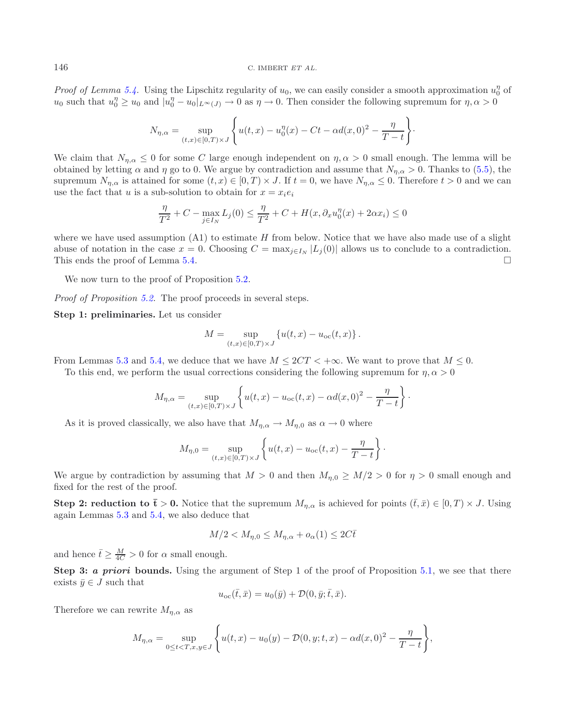*Proof of Lemma [5.4.](#page-16-3)* Using the Lipschitz regularity of  $u_0$ , we can easily consider a smooth approximation  $u_0^{\eta}$  of  $u_0$  such that  $u^{\eta} > u_0$  and  $|u^{\eta} - u_0| \le u_0 \implies 0$  as  $n \to 0$ . Then consider the following sup  $u_0$  such that  $u_0^{\eta} \ge u_0$  and  $|u_0^{\eta} - u_0|_{L^{\infty}(J)} \to 0$  as  $\eta \to 0$ . Then consider the following supremum for  $\eta, \alpha > 0$ 

$$
N_{\eta,\alpha} = \sup_{(t,x)\in[0,T)\times J} \left\{ u(t,x) - u_0^{\eta}(x) - Ct - \alpha d(x,0)^2 - \frac{\eta}{T-t} \right\}.
$$

We claim that  $N_{n,\alpha} \leq 0$  for some C large enough independent on  $\eta, \alpha > 0$  small enough. The lemma will be obtained by letting  $\alpha$  and  $\eta$  go to 0. We argue by contradiction and assume that  $N_{\eta,\alpha} > 0$ . Thanks to [\(5.5\)](#page-16-2), the supremum  $N_{\eta,\alpha}$  is attained for some  $(t, x) \in [0, T) \times J$ . If  $t = 0$ , we have  $N_{\eta,\alpha} \leq 0$ . Therefore  $t > 0$  and we can use the fact that u is a sub-solution to obtain for  $x = x_i e_i$ 

$$
\frac{\eta}{T^2} + C - \max_{j \in I_N} L_j(0) \le \frac{\eta}{T^2} + C + H(x, \partial_x u_0^{\eta}(x) + 2\alpha x_i) \le 0
$$

where we have used assumption  $(A1)$  to estimate H from below. Notice that we have also made use of a slight abuse of notation in the case  $x = 0$ . Choosing  $C = \max_{j \in I_N} |L_j(0)|$  allows us to conclude to a contradiction. This ends the proof of Lemma  $5.4$ .  $\Box$ 

We now turn to the proof of Proposition  $5.2$ .

*Proof of Proposition [5.2.](#page-16-0)* The proof proceeds in several steps.

**Step 1: preliminaries.** Let us consider

$$
M = \sup_{(t,x)\in[0,T)\times J} \{u(t,x) - u_{\text{oc}}(t,x)\}.
$$

From Lemmas [5.3](#page-16-1) and [5.4,](#page-16-3) we deduce that we have  $M \leq 2CT < +\infty$ . We want to prove that  $M \leq 0$ .

To this end, we perform the usual corrections considering the following supremum for  $\eta, \alpha > 0$ 

$$
M_{\eta,\alpha} = \sup_{(t,x)\in[0,T)\times J} \left\{ u(t,x) - u_{\text{oc}}(t,x) - \alpha d(x,0)^2 - \frac{\eta}{T-t} \right\}.
$$

As it is proved classically, we also have that  $M_{\eta,\alpha} \to M_{\eta,0}$  as  $\alpha \to 0$  where

$$
M_{\eta,0} = \sup_{(t,x)\in[0,T)\times J} \left\{ u(t,x) - u_{\text{oc}}(t,x) - \frac{\eta}{T-t} \right\}.
$$

We argue by contradiction by assuming that  $M > 0$  and then  $M_{\eta,0} \geq M/2 > 0$  for  $\eta > 0$  small enough and fixed for the rest of the proof.

**Step 2: reduction to**  $\bar{\mathbf{t}} > 0$ **. Notice that the supremum**  $M_{\eta,\alpha}$  **is achieved for points**  $(\bar{t},\bar{x}) \in [0,T) \times J$ **. Using** again Lemmas [5.3](#page-16-1) and [5.4,](#page-16-3) we also deduce that

$$
M/2 < M_{\eta,0} \le M_{\eta,\alpha} + o_{\alpha}(1) \le 2C\bar{t}
$$

and hence  $\bar{t} \geq \frac{M}{4C} > 0$  for  $\alpha$  small enough.

**Step 3:** *a priori* **bounds.** Using the argument of Step 1 of the proof of Proposition [5.1,](#page-14-1) we see that there exists  $\bar{y} \in J$  such that

$$
u_{\rm oc}(\bar{t},\bar{x}) = u_0(\bar{y}) + \mathcal{D}(0,\bar{y};\bar{t},\bar{x}).
$$

Therefore we can rewrite  $M_{n,\alpha}$  as

$$
M_{\eta,\alpha} = \sup_{0 \le t < T, x, y \in J} \left\{ u(t,x) - u_0(y) - \mathcal{D}(0,y;t,x) - \alpha d(x,0)^2 - \frac{\eta}{T-t} \right\},\,
$$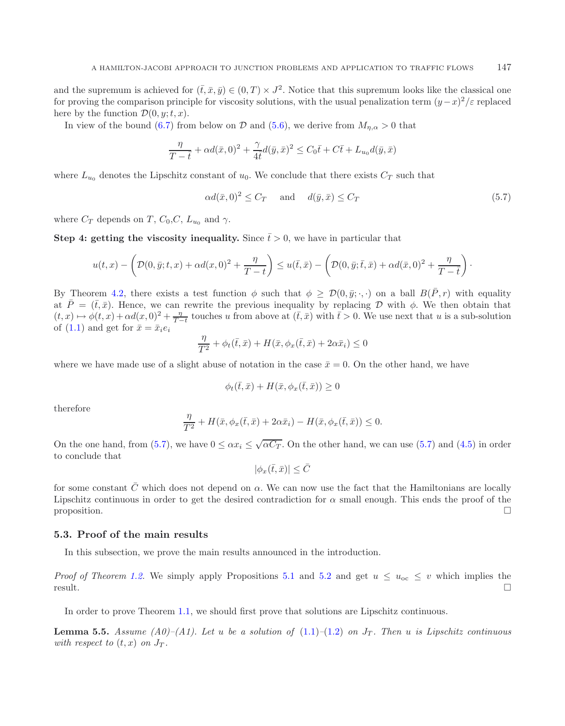and the supremum is achieved for  $(\bar{t}, \bar{x}, \bar{y}) \in (0, T) \times J^2$ . Notice that this supremum looks like the classical one for proving the comparison principle for viscosity solutions, with the usual penalization term  $(y-x)^2/\varepsilon$  replaced here by the function  $\mathcal{D}(0, y; t, x)$ .

In view of the bound [\(6.7\)](#page-20-0) from below on D and [\(5.6\)](#page-16-4), we derive from  $M_{n,\alpha} > 0$  that

<span id="page-18-0"></span>
$$
\frac{\eta}{T-\bar{t}} + \alpha d(\bar{x},0)^2 + \frac{\gamma}{4\bar{t}}d(\bar{y},\bar{x})^2 \leq C_0\bar{t} + C\bar{t} + L_{u_0}d(\bar{y},\bar{x})
$$

where  $L_{u_0}$  denotes the Lipschitz constant of  $u_0$ . We conclude that there exists  $C_T$  such that

$$
\alpha d(\bar{x}, 0)^2 \le C_T \quad \text{and} \quad d(\bar{y}, \bar{x}) \le C_T \tag{5.7}
$$

where  $C_T$  depends on T,  $C_0$ ,  $C$ ,  $L_{u_0}$  and  $\gamma$ .

**Step 4: getting the viscosity inequality.** Since  $\bar{t} > 0$ , we have in particular that

$$
u(t,x) - \left(\mathcal{D}(0,\bar{y};t,x) + \alpha d(x,0)^2 + \frac{\eta}{T-t}\right) \leq u(\bar{t},\bar{x}) - \left(\mathcal{D}(0,\bar{y};\bar{t},\bar{x}) + \alpha d(\bar{x},0)^2 + \frac{\eta}{T-t}\right).
$$

By Theorem [4.2,](#page-13-0) there exists a test function  $\phi$  such that  $\phi \ge \mathcal{D}(0, \bar{y}; \cdot, \cdot)$  on a ball  $B(\bar{P}, r)$  with equality at  $\bar{P} = (\bar{t}, \bar{x})$ . Hence, we can rewrite the previous inequality by replacing D with  $\phi$ . We then obtain that  $(t, x) \mapsto \phi(t, x) + \alpha d(x, 0)^2 + \frac{\eta}{T-t}$  touches u from above at  $(\bar{t}, \bar{x})$  with  $\bar{t} > 0$ . We use next that u is a sub-solution of  $(1.1)$  and get for  $\bar{x} = \bar{x}_i e_i$ 

$$
\frac{\eta}{T^2} + \phi_t(\bar{t}, \bar{x}) + H(\bar{x}, \phi_x(\bar{t}, \bar{x}) + 2\alpha \bar{x}_i) \le 0
$$

where we have made use of a slight abuse of notation in the case  $\bar{x} = 0$ . On the other hand, we have

$$
\phi_t(\bar{t}, \bar{x}) + H(\bar{x}, \phi_x(\bar{t}, \bar{x})) \ge 0
$$

therefore

$$
\frac{\eta}{T^2} + H(\bar{x}, \phi_x(\bar{t}, \bar{x}) + 2\alpha \bar{x}_i) - H(\bar{x}, \phi_x(\bar{t}, \bar{x})) \le 0.
$$

On the one hand, from [\(5.7\)](#page-18-0), we have  $0 \leq \alpha x_i \leq \sqrt{\alpha C_T}$ . On the other hand, we can use (5.7) and [\(4.5\)](#page-13-4) in order to conclude that

<span id="page-18-1"></span>
$$
|\phi_x(\bar{t}, \bar{x})| \leq \bar{C}
$$

for some constant  $\bar{C}$  which does not depend on  $\alpha$ . We can now use the fact that the Hamiltonians are locally Lipschitz continuous in order to get the desired contradiction for  $\alpha$  small enough. This ends the proof of the proposition.  $\square$  $\Box$ 

#### **5.3. Proof of the main results**

In this subsection, we prove the main results announced in the introduction.

*Proof of Theorem [1.2.](#page-3-0)* We simply apply Propositions [5.1](#page-14-1) and [5.2](#page-16-0) and get  $u \le u_{\text{oc}} \le v$  which implies the result.  $\Box$  result.  $\Box$ 

In order to prove Theorem [1.1,](#page-3-1) we should first prove that solutions are Lipschitz continuous.

**Lemma 5.5.** *Assume (A0)–(A1). Let u be a solution of*  $(1.1)–(1.2)$  $(1.1)–(1.2)$  $(1.1)–(1.2)$  *on*  $J_T$ . Then *u is Lipschitz continuous with respect to*  $(t, x)$  *on*  $J_T$ *.*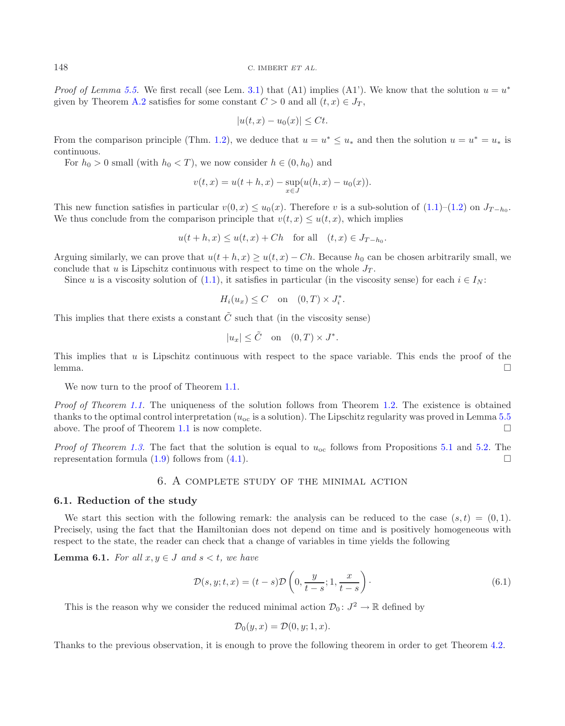<sup>148</sup> C. IMBERT *ET AL.*

*Proof of Lemma* [5.5.](#page-18-1) We first recall (see Lem. [3.1\)](#page-10-4) that (A1) implies (A1'). We know that the solution  $u = u^*$ given by Theorem [A.2](#page-3-0) satisfies for some constant  $C > 0$  and all  $(t, x) \in J_T$ ,

$$
|u(t,x) - u_0(x)| \le Ct.
$$

From the comparison principle (Thm. [1.2\)](#page-3-0), we deduce that  $u = u^* \le u_*$  and then the solution  $u = u^* = u_*$  is continuous.

For  $h_0 > 0$  small (with  $h_0 < T$ ), we now consider  $h \in (0, h_0)$  and

$$
v(t,x) = u(t+h,x) - \sup_{x \in J} (u(h,x) - u_0(x)).
$$

This new function satisfies in particular  $v(0, x) \leq u_0(x)$ . Therefore v is a sub-solution of  $(1.1)$ – $(1.2)$  on  $J_{T-h_0}$ . We thus conclude from the comparison principle that  $v(t, x) \leq u(t, x)$ , which implies

$$
u(t+h,x) \le u(t,x) + Ch \quad \text{for all} \quad (t,x) \in J_{T-h_0}.
$$

Arguing similarly, we can prove that  $u(t + h, x) \ge u(t, x) - Ch$ . Because  $h_0$  can be chosen arbitrarily small, we conclude that u is Lipschitz continuous with respect to time on the whole  $J_T$ .

Since u is a viscosity solution of [\(1.1\)](#page-2-0), it satisfies in particular (in the viscosity sense) for each  $i \in I_N$ :

$$
H_i(u_x) \le C \quad \text{on} \quad (0,T) \times J_i^*.
$$

This implies that there exists a constant  $\tilde{C}$  such that (in the viscosity sense)

$$
|u_x| \leq \tilde{C} \quad \text{on} \quad (0,T) \times J^*.
$$

This implies that  $u$  is Lipschitz continuous with respect to the space variable. This ends the proof of the lemma.  $\Box$ 

We now turn to the proof of Theorem [1.1.](#page-3-1)

*Proof of Theorem [1.1.](#page-3-1)* The uniqueness of the solution follows from Theorem [1.2.](#page-3-0) The existence is obtained thanks to the optimal control interpretation ( $u_{\text{oc}}$  is a solution). The Lipschitz regularity was proved in Lemma [5.5](#page-18-1) above. The proof of Theorem 1.1 is now complete. above. The proof of Theorem  $1.1$  is now complete.

<span id="page-19-0"></span>*Proof of Theorem [1.3.](#page-3-4)* The fact that the solution is equal to  $u_{\text{oc}}$  follows from Propositions [5.1](#page-14-1) and [5.2.](#page-16-0) The representation formula  $(1.9)$  follows from  $(4.1)$ .  $\Box$ 

### 6. A complete study of the minimal action

#### **6.1. Reduction of the study**

We start this section with the following remark: the analysis can be reduced to the case  $(s,t) = (0,1)$ . Precisely, using the fact that the Hamiltonian does not depend on time and is positively homogeneous with respect to the state, the reader can check that a change of variables in time yields the following

**Lemma 6.1.** *For all*  $x, y \in J$  *and*  $s < t$ *, we have* 

$$
\mathcal{D}(s, y; t, x) = (t - s)\mathcal{D}\left(0, \frac{y}{t - s}; 1, \frac{x}{t - s}\right). \tag{6.1}
$$

This is the reason why we consider the reduced minimal action  $\mathcal{D}_0: J^2 \to \mathbb{R}$  defined by

<span id="page-19-1"></span>
$$
\mathcal{D}_0(y, x) = \mathcal{D}(0, y; 1, x).
$$

Thanks to the previous observation, it is enough to prove the following theorem in order to get Theorem [4.2.](#page-13-0)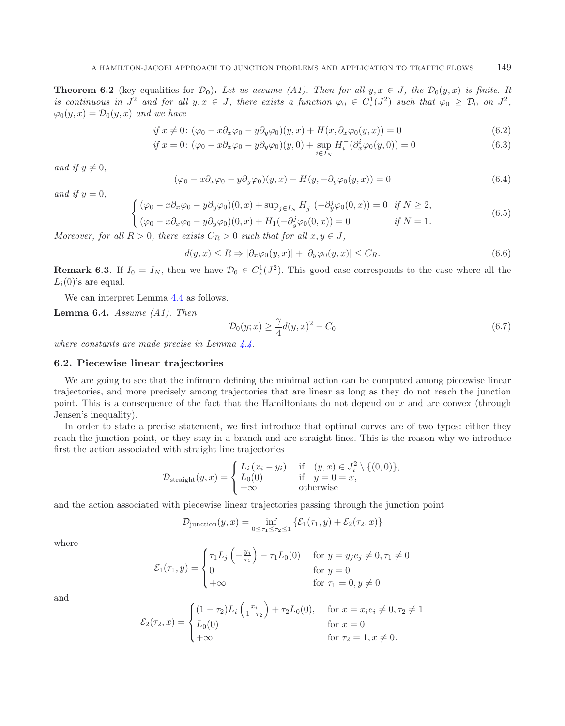**Theorem 6.2** (key equalities for  $\mathcal{D}_0$ ). Let us assume (A1). Then for all  $y, x \in J$ , the  $\mathcal{D}_0(y, x)$  is finite. It *is continuous in*  $J^2$  *and for all*  $y, x \in J$ *, there exists a function*  $\varphi_0 \in C^1_*(J^2)$  *such that*  $\varphi_0 \geq \mathcal{D}_0$  *on*  $J^2$ *,*  $\varphi_0(y, x) = \mathcal{D}_0(y, x)$  *and we have* 

<span id="page-20-1"></span>
$$
if x \neq 0: (\varphi_0 - x \partial_x \varphi_0 - y \partial_y \varphi_0)(y, x) + H(x, \partial_x \varphi_0(y, x)) = 0
$$
\n(6.2)

$$
if x = 0: (\varphi_0 - x\partial_x \varphi_0 - y\partial_y \varphi_0)(y, 0) + \sup_{i \in I_N} H_i^-(\partial_x^i \varphi_0(y, 0)) = 0
$$
\n(6.3)

*and if*  $y \neq 0$ *,* 

$$
(\varphi_0 - x\partial_x \varphi_0 - y\partial_y \varphi_0)(y, x) + H(y, -\partial_y \varphi_0(y, x)) = 0
$$
\n(6.4)

*and if*  $y = 0$ *,* 

<span id="page-20-0"></span>
$$
\begin{cases}\n(\varphi_0 - x \partial_x \varphi_0 - y \partial_y \varphi_0)(0, x) + \sup_{j \in I_N} H_j^-(-\partial_y^j \varphi_0(0, x)) = 0 & \text{if } N \ge 2, \\
(\varphi_0 - x \partial_x \varphi_0 - y \partial_y \varphi_0)(0, x) + H_1(-\partial_y^j \varphi_0(0, x)) = 0 & \text{if } N = 1.\n\end{cases}
$$
\n(6.5)

*Moreover, for all*  $R > 0$ *, there exists*  $C_R > 0$  *such that for all*  $x, y \in J$ *,* 

$$
d(y,x) \le R \Rightarrow |\partial_x \varphi_0(y,x)| + |\partial_y \varphi_0(y,x)| \le C_R. \tag{6.6}
$$

**Remark 6.3.** If  $I_0 = I_N$ , then we have  $\mathcal{D}_0 \in C^1_*(J^2)$ . This good case corresponds to the case where all the  $I_0(S)$  are squal.  $L_i(0)$ 's are equal.

We can interpret Lemma [4.4](#page-13-3) as follows.

**Lemma 6.4.** *Assume (A1). Then*

$$
\mathcal{D}_0(y; x) \ge \frac{\gamma}{4} d(y, x)^2 - C_0 \tag{6.7}
$$

*where constants are made precise in Lemma [4.4.](#page-13-3)*

### **6.2. Piecewise linear trajectories**

We are going to see that the infimum defining the minimal action can be computed among piecewise linear trajectories, and more precisely among trajectories that are linear as long as they do not reach the junction point. This is a consequence of the fact that the Hamiltonians do not depend on x and are convex (through Jensen's inequality).

In order to state a precise statement, we first introduce that optimal curves are of two types: either they reach the junction point, or they stay in a branch and are straight lines. This is the reason why we introduce first the action associated with straight line trajectories

$$
\mathcal{D}_{\text{straight}}(y,x) = \begin{cases} L_i (x_i - y_i) & \text{if } (y,x) \in J_i^2 \setminus \{ (0,0) \}, \\ L_0(0) & \text{if } y = 0 = x, \\ +\infty & \text{otherwise} \end{cases}
$$

and the action associated with piecewise linear trajectories passing through the junction point

$$
\mathcal{D}_{\text{junction}}(y,x) = \inf_{0 \le \tau_1 \le \tau_2 \le 1} \left\{ \mathcal{E}_1(\tau_1, y) + \mathcal{E}_2(\tau_2, x) \right\}
$$

where

$$
\mathcal{E}_1(\tau_1, y) = \begin{cases} \tau_1 L_j \left( -\frac{y_j}{\tau_1} \right) - \tau_1 L_0(0) & \text{for } y = y_j e_j \neq 0, \tau_1 \neq 0 \\ 0 & \text{for } y = 0 \\ +\infty & \text{for } \tau_1 = 0, y \neq 0 \end{cases}
$$

and

$$
\mathcal{E}_2(\tau_2, x) = \begin{cases}\n(1 - \tau_2)L_i \left(\frac{x_i}{1 - \tau_2}\right) + \tau_2 L_0(0), & \text{for } x = x_i e_i \neq 0, \tau_2 \neq 1 \\
L_0(0) & \text{for } x = 0 \\
+\infty & \text{for } \tau_2 = 1, x \neq 0.\n\end{cases}
$$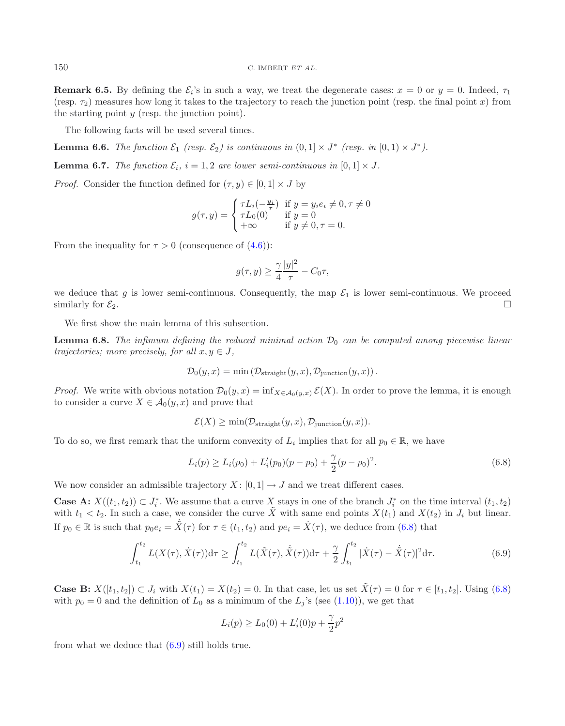<span id="page-21-3"></span>**Remark 6.5.** By defining the  $\mathcal{E}_i$ 's in such a way, we treat the degenerate cases:  $x = 0$  or  $y = 0$ . Indeed,  $\tau_1$ (resp.  $\tau_2$ ) measures how long it takes to the trajectory to reach the junction point (resp. the final point x) from the starting point  $y$  (resp. the junction point).

The following facts will be used several times.

<span id="page-21-2"></span>**Lemma 6.6.** *The function*  $\mathcal{E}_1$  *(resp.*  $\mathcal{E}_2$ *) is continuous in*  $(0, 1] \times J^*$  *(resp. in*  $[0, 1] \times J^*$ *).* 

**Lemma 6.7.** *The function*  $\mathcal{E}_i$ ,  $i = 1, 2$  *are lower semi-continuous in*  $[0, 1] \times J$ *.* 

*Proof.* Consider the function defined for  $(\tau, y) \in [0, 1] \times J$  by

<span id="page-21-4"></span>
$$
g(\tau, y) = \begin{cases} \tau L_i(-\frac{y_i}{\tau}) & \text{if } y = y_i e_i \neq 0, \tau \neq 0 \\ \tau L_0(0) & \text{if } y = 0 \\ +\infty & \text{if } y \neq 0, \tau = 0. \end{cases}
$$

From the inequality for  $\tau > 0$  (consequence of  $(4.6)$ ):

<span id="page-21-0"></span>
$$
g(\tau, y) \ge \frac{\gamma}{4} \frac{|y|^2}{\tau} - C_0 \tau,
$$

we deduce that g is lower semi-continuous. Consequently, the map  $\mathcal{E}_1$  is lower semi-continuous. We proceed similarly for  $\mathcal{E}_2$ . similarly for  $\mathcal{E}_2$ .

We first show the main lemma of this subsection.

**Lemma 6.8.** *The infimum defining the reduced minimal action*  $\mathcal{D}_0$  *can be computed among piecewise linear trajectories; more precisely, for all*  $x, y \in J$ *,* 

$$
\mathcal{D}_0(y,x) = \min (\mathcal{D}_{\text{straight}}(y,x), \mathcal{D}_{\text{junction}}(y,x)).
$$

*Proof.* We write with obvious notation  $\mathcal{D}_0(y, x) = \inf_{X \in \mathcal{A}_0(y, x)} \mathcal{E}(X)$ . In order to prove the lemma, it is enough to consider a curve  $X \in \mathcal{A}_0(y, x)$  and prove that

<span id="page-21-1"></span>
$$
\mathcal{E}(X) \ge \min(\mathcal{D}_{\text{straight}}(y, x), \mathcal{D}_{\text{junction}}(y, x)).
$$

To do so, we first remark that the uniform convexity of  $L_i$  implies that for all  $p_0 \in \mathbb{R}$ , we have

$$
L_i(p) \ge L_i(p_0) + L'_i(p_0)(p - p_0) + \frac{\gamma}{2}(p - p_0)^2.
$$
\n(6.8)

We now consider an admissible trajectory  $X : [0,1] \to J$  and we treat different cases.

**Case A:**  $X((t_1, t_2)) \subset J_i^*$ . We assume that a curve X stays in one of the branch  $J_i^*$  on the time interval  $(t_1, t_2)$ with  $t_1 < t_2$ . In such a case, we consider the curve X with same end points  $X(t_1)$  and  $X(t_2)$  in  $J_i$  but linear. If  $p_0 \in \mathbb{R}$  is such that  $p_0 e_i = \dot{X}(\tau)$  for  $\tau \in (t_1, t_2)$  and  $pe_i = \dot{X}(\tau)$ , we deduce from [\(6.8\)](#page-21-0) that

$$
\int_{t_1}^{t_2} L(X(\tau), \dot{X}(\tau)) d\tau \ge \int_{t_1}^{t_2} L(\tilde{X}(\tau), \dot{\tilde{X}}(\tau)) d\tau + \frac{\gamma}{2} \int_{t_1}^{t_2} |\dot{X}(\tau) - \dot{\tilde{X}}(\tau)|^2 d\tau.
$$
 (6.9)

**Case B:**  $X([t_1, t_2]) \subset J_i$  with  $X(t_1) = X(t_2) = 0$ . In that case, let us set  $\tilde{X}(\tau) = 0$  for  $\tau \in [t_1, t_2]$ . Using [\(6.8\)](#page-21-0) with  $p_0 = 0$  and the definition of  $L_0$  as a minimum of the  $L_j$ 's (see [\(1.10\)](#page-5-0)), we get that

$$
L_i(p) \ge L_0(0) + L'_i(0)p + \frac{\gamma}{2}p^2
$$

from what we deduce that [\(6.9\)](#page-21-1) still holds true.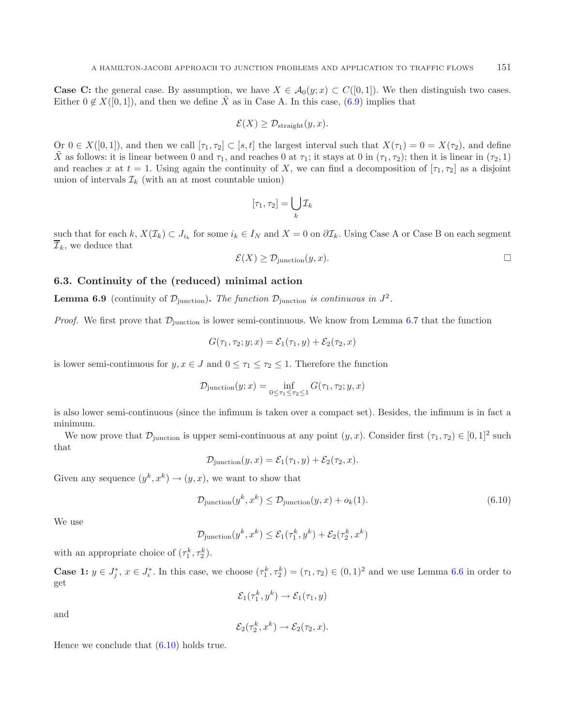**Case C:** the general case. By assumption, we have  $X \in \mathcal{A}_0(y; x) \subset C([0, 1])$ . We then distinguish two cases. Either  $0 \notin X([0,1])$ , and then we define  $\tilde{X}$  as in Case A. In this case, [\(6.9\)](#page-21-1) implies that

$$
\mathcal{E}(X) \geq \mathcal{D}_{\text{straight}}(y, x).
$$

Or  $0 \in X([0,1])$ , and then we call  $[\tau_1, \tau_2] \subset [s,t]$  the largest interval such that  $X(\tau_1)=0=X(\tau_2)$ , and define X as follows: it is linear between 0 and  $\tau_1$ , and reaches 0 at  $\tau_1$ ; it stays at 0 in  $(\tau_1, \tau_2)$ ; then it is linear in  $(\tau_2, 1)$ and reaches x at  $t = 1$ . Using again the continuity of X, we can find a decomposition of  $[\tau_1, \tau_2]$  as a disjoint union of intervals  $\mathcal{I}_k$  (with an at most countable union)

$$
[\tau_1, \tau_2] = \bigcup_k \mathcal{I}_k
$$

such that for each k,  $X(\mathcal{I}_k) \subset J_{i_k}$  for some  $i_k \in I_N$  and  $X = 0$  on  $\partial \mathcal{I}_k$ . Using Case A or Case B on each segment  $\overline{\mathcal{I}}_k$ , we deduce that

$$
\mathcal{E}(X) \ge \mathcal{D}_{\text{junction}}(y, x). \qquad \qquad \Box
$$

### <span id="page-22-1"></span>**6.3. Continuity of the (reduced) minimal action**

**Lemma 6.9** (continuity of  $\mathcal{D}_{\text{junction}}$ ). The function  $\mathcal{D}_{\text{junction}}$  is continuous in  $J^2$ .

*Proof.* We first prove that  $\mathcal{D}_{\text{junction}}$  is lower semi-continuous. We know from Lemma [6.7](#page-21-2) that the function

<span id="page-22-0"></span>
$$
G(\tau_1, \tau_2; y; x) = \mathcal{E}_1(\tau_1, y) + \mathcal{E}_2(\tau_2, x)
$$

is lower semi-continuous for  $y, x \in J$  and  $0 \leq \tau_1 \leq \tau_2 \leq 1$ . Therefore the function

$$
\mathcal{D}_{\text{junction}}(y; x) = \inf_{0 \le \tau_1 \le \tau_2 \le 1} G(\tau_1, \tau_2; y, x)
$$

is also lower semi-continuous (since the infimum is taken over a compact set). Besides, the infimum is in fact a minimum.

We now prove that  $\mathcal{D}_{\text{junction}}$  is upper semi-continuous at any point  $(y, x)$ . Consider first  $(\tau_1, \tau_2) \in [0, 1]^2$  such that

$$
\mathcal{D}_{\text{junction}}(y, x) = \mathcal{E}_1(\tau_1, y) + \mathcal{E}_2(\tau_2, x).
$$

Given any sequence  $(y^k, x^k) \rightarrow (y, x)$ , we want to show that

$$
\mathcal{D}_{\text{junction}}(y^k, x^k) \le \mathcal{D}_{\text{junction}}(y, x) + o_k(1). \tag{6.10}
$$

We use

$$
\mathcal{D}_{\text{junction}}(y^k, x^k) \le \mathcal{E}_1(\tau_1^k, y^k) + \mathcal{E}_2(\tau_2^k, x^k)
$$

with an appropriate choice of  $(\tau_1^k, \tau_2^k)$ .

**Case 1:**  $y \in J_j^*$ ,  $x \in J_i^*$ . In this case, we choose  $(\tau_1^k, \tau_2^k) = (\tau_1, \tau_2) \in (0, 1)^2$  and we use Lemma [6.6](#page-21-3) in order to get

 $\mathcal{E}_1(\tau_1^k, y^k) \rightarrow \mathcal{E}_1(\tau_1, y)$ 

and

$$
\mathcal{E}_2(\tau_2^k, x^k) \to \mathcal{E}_2(\tau_2, x).
$$

Hence we conclude that [\(6.10\)](#page-22-0) holds true.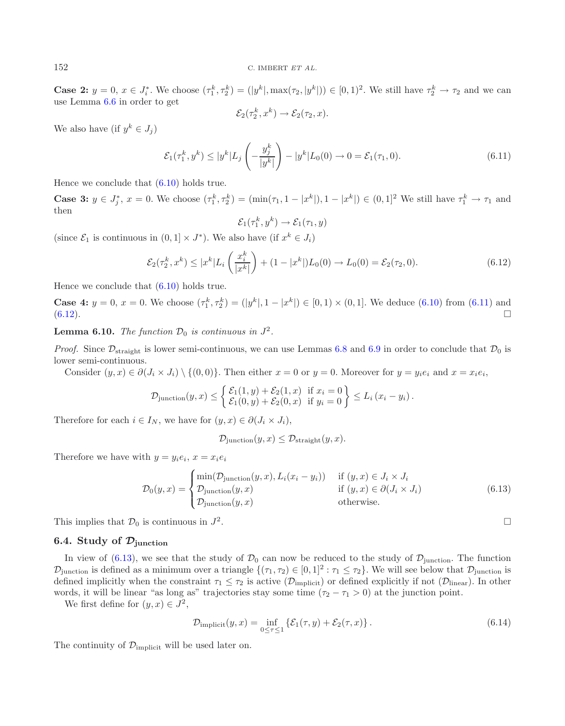**Case 2:**  $y = 0, x \in J_i^*$ . We choose  $(\tau_1^k, \tau_2^k) = (|y^k|, \max(\tau_2, |y^k|)) \in [0, 1)^2$ . We still have  $\tau_2^k \to \tau_2$  and we can use Lemma [6.6](#page-21-3) in order to get

<span id="page-23-1"></span>
$$
\mathcal{E}_2(\tau_2^k, x^k) \to \mathcal{E}_2(\tau_2, x).
$$

We also have (if  $y^k \in J_i$ )

$$
\mathcal{E}_1(\tau_1^k, y^k) \le |y^k| L_j \left( -\frac{y_j^k}{|y^k|} \right) - |y^k| L_0(0) \to 0 = \mathcal{E}_1(\tau_1, 0). \tag{6.11}
$$

Hence we conclude that [\(6.10\)](#page-22-0) holds true.

**Case 3:**  $y \in J_j^*$ ,  $x = 0$ . We choose  $(\tau_1^k, \tau_2^k) = (\min(\tau_1, 1 - |x^k|), 1 - |x^k|) \in (0, 1]^2$  We still have  $\tau_1^k \to \tau_1$  and then then

$$
\mathcal{E}_1(\tau_1^k, y^k) \to \mathcal{E}_1(\tau_1, y)
$$

(since  $\mathcal{E}_1$  is continuous in  $(0, 1] \times J^*$ ). We also have (if  $x^k \in J_i$ )

<span id="page-23-2"></span>
$$
\mathcal{E}_2(\tau_2^k, x^k) \le |x^k| L_i\left(\frac{x_i^k}{|x^k|}\right) + (1 - |x^k|)L_0(0) \to L_0(0) = \mathcal{E}_2(\tau_2, 0). \tag{6.12}
$$

Hence we conclude that [\(6.10\)](#page-22-0) holds true.

**Case 4:**  $y = 0$ ,  $x = 0$ . We choose  $(\tau_1^k, \tau_2^k) = (|y^k|, 1 - |x^k|) \in [0, 1) \times (0, 1]$ . We deduce  $(6.10)$  from  $(6.11)$  and  $(6.12)$  $(6.12)$ .

**Lemma 6.10.** *The function*  $\mathcal{D}_0$  *is continuous in*  $J^2$ *.* 

*Proof.* Since  $\mathcal{D}_{\text{straight}}$  is lower semi-continuous, we can use Lemmas [6.8](#page-21-4) and [6.9](#page-22-1) in order to conclude that  $\mathcal{D}_0$  is lower semi-continuous.

Consider  $(y, x) \in \partial (J_i \times J_i) \setminus \{(0, 0)\}\)$ . Then either  $x = 0$  or  $y = 0$ . Moreover for  $y = y_i e_i$  and  $x = x_i e_i$ ,

$$
\mathcal{D}_{\text{junction}}(y,x) \leq \left\{ \begin{aligned} &\mathcal{E}_1(1,y) + \mathcal{E}_2(1,x) \text{ if } x_i = 0 \\ &\mathcal{E}_1(0,y) + \mathcal{E}_2(0,x) \text{ if } y_i = 0 \end{aligned} \right\} \leq L_i(x_i - y_i).
$$

Therefore for each  $i \in I_N$ , we have for  $(y, x) \in \partial (J_i \times J_i)$ ,

$$
\mathcal{D}_{\text{junction}}(y, x) \leq \mathcal{D}_{\text{straight}}(y, x).
$$

Therefore we have with  $y = y_i e_i$ ,  $x = x_i e_i$ 

<span id="page-23-3"></span>
$$
\mathcal{D}_0(y,x) = \begin{cases}\n\min(\mathcal{D}_{\text{junction}}(y,x), L_i(x_i - y_i)) & \text{if } (y,x) \in J_i \times J_i \\
\mathcal{D}_{\text{junction}}(y,x) & \text{if } (y,x) \in \partial(J_i \times J_i) \\
\mathcal{D}_{\text{junction}}(y,x) & \text{otherwise.} \n\end{cases}
$$
\n(6.13)

This implies that  $\mathcal{D}_0$  is continuous in  $J^2$ .

# **6.4. Study of** *<sup>D</sup>***junction**

In view of [\(6.13\)](#page-23-2), we see that the study of  $\mathcal{D}_0$  can now be reduced to the study of  $\mathcal{D}_i$ <sub>unction</sub>. The function  $\mathcal{D}_{\text{junction}}$  is defined as a minimum over a triangle  $\{(\tau_1, \tau_2) \in [0, 1]^2 : \tau_1 \leq \tau_2\}$ . We will see below that  $\mathcal{D}_{\text{junction}}$  is defined implicitly when the constraint  $\tau_1 \leq \tau_2$  is active  $(\mathcal{D}_{\text{implicit}})$  or defined explicitly if not  $(\mathcal{D}_{\text{linear}})$ . In other words, it will be linear "as long as" trajectories stay some time  $(\tau_2 - \tau_1 > 0)$  at the junction point.

We first define for  $(y, x) \in J^2$ ,

$$
\mathcal{D}_{\text{implicit}}(y,x) = \inf_{0 \le \tau \le 1} \left\{ \mathcal{E}_1(\tau,y) + \mathcal{E}_2(\tau,x) \right\}. \tag{6.14}
$$

The continuity of  $\mathcal{D}_{\text{implicit}}$  will be used later on.

<span id="page-23-0"></span>

$$
\Box
$$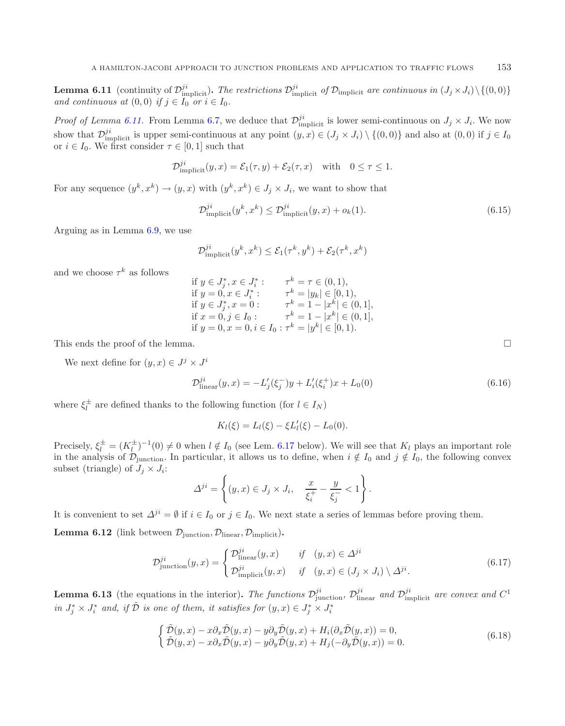**Lemma 6.11** (continuity of  $\mathcal{D}_{i}^{ji}$ ). The restrictions  $\mathcal{D}_{i}^{ji}$  of  $\mathcal{D}_{i}^{j}$  are continuous in  $(J_j \times J_i)\setminus\{(0,0)\}$ <br>and continuous at  $(0, 0)$  if  $j \in I_0$  or  $j \in I_0$ *and continuous at*  $(0, 0)$  *if*  $j \in I_0$  *or*  $i \in I_0$ *.* 

*Proof of Lemma [6.11.](#page-23-3)* From Lemma [6.7,](#page-21-2) we deduce that  $\mathcal{D}_{\text{implicit}}^{ji}$  is lower semi-continuous on  $J_j \times J_i$ . We now show that  $\mathcal{D}_{\text{implicit}}^{ji}$  is upper semi-continuous at any point  $(y, x) \in (J_j \times J_i) \setminus \{(0, 0)\}\$  and also at  $(0, 0)$  if  $j \in I_0$ <br>or  $i \in I_0$ . We first consider  $\tau \in [0, 1]$  such that or  $i \in I_0$ . We first consider  $\tau \in [0, 1]$  such that

$$
\mathcal{D}_{\text{implicit}}^{ji}(y,x) = \mathcal{E}_1(\tau, y) + \mathcal{E}_2(\tau, x) \quad \text{with} \quad 0 \le \tau \le 1.
$$

For any sequence  $(y^k, x^k) \to (y, x)$  with  $(y^k, x^k) \in J_i \times J_i$ , we want to show that

$$
\mathcal{D}_{\text{implicit}}^{ji}(y^k, x^k) \le \mathcal{D}_{\text{implicit}}^{ji}(y, x) + o_k(1). \tag{6.15}
$$

Arguing as in Lemma [6.9,](#page-22-1) we use

$$
\mathcal{D}_{\text{implicit}}^{ji}(y^k, x^k) \le \mathcal{E}_1(\tau^k, y^k) + \mathcal{E}_2(\tau^k, x^k)
$$

and we choose  $\tau^k$  as follows

if 
$$
y \in J_j^*
$$
,  $x \in J_i^*$ :  
\nif  $y = 0$ ,  $x \in J_i^*$ :  
\nif  $y = 0$ ,  $x \in J_i^*$ :  
\nif  $y \in J_j^*$ ,  $x = 0$ :  
\nif  $x = 0$ ,  $j \in I_0$ :  
\nif  $x = 0$ ,  $j \in I_0$ :  
\nif  $x = 0$ ,  $i \in I_0$ :  
\nif  $x = 0$ ,  $i \in I_0$ :  
\nif  $x = 0$ ,  $i \in I_0$ :  
\n $\tau^k = 1 - |x^k| \in (0, 1]$ ,  
\nif  $y = 0$ ,  $x = 0$ ,  $i \in I_0$ :  
\n $\tau^k = |y^k| \in [0, 1)$ .

This ends the proof of the lemma.

We next define for  $(y, x) \in J^j \times J^i$ 

<span id="page-24-3"></span>
$$
\mathcal{D}_{\text{linear}}^{ji}(y,x) = -L'_{j}(\xi_{j}^{-})y + L'_{i}(\xi_{i}^{+})x + L_{0}(0)
$$
\n(6.16)

where  $\xi_l^{\pm}$  are defined thanks to the following function (for  $l \in I_N$ )

<span id="page-24-2"></span>
$$
K_l(\xi) = L_l(\xi) - \xi L'_l(\xi) - L_0(0).
$$

Precisely,  $\xi^{\pm} = (K^{\pm}_{l})^{-1}(0) \neq 0$  when  $l \notin I_0$  (see Lem. [6.17](#page-25-0) below). We will see that  $K_l$  plays an important role<br>in the englised  $\mathcal{D}$ in the analysis of  $\mathcal{D}_{\text{junction}}$ . In particular, it allows us to define, when  $i \notin I_0$  and  $j \notin I_0$ , the following convex subset (triangle) of  $J_i \times J_i$ :

$$
\Delta^{ji} = \left\{ (y, x) \in J_j \times J_i, \quad \frac{x}{\xi_i^+} - \frac{y}{\xi_j^-} < 1 \right\}.
$$

It is convenient to set  $\Delta^{ji} = \emptyset$  if  $i \in I_0$  or  $j \in I_0$ . We next state a series of lemmas before proving them.

**Lemma 6.12** (link between  $\mathcal{D}_{\text{junction}}, \mathcal{D}_{\text{linear}}, \mathcal{D}_{\text{implicit}})$ .

$$
\mathcal{D}_{\text{junction}}^{ji}(y,x) = \begin{cases} \mathcal{D}_{\text{linear}}^{ji}(y,x) & \text{if } (y,x) \in \Delta^{ji} \\ \mathcal{D}_{\text{implicit}}^{ji}(y,x) & \text{if } (y,x) \in (J_j \times J_i) \setminus \Delta^{ji}. \end{cases} \tag{6.17}
$$

<span id="page-24-1"></span>**Lemma 6.13** (the equations in the interior). The functions  $\mathcal{D}_{\text{junction}}^{ji}$ ,  $\mathcal{D}_{\text{linear}}^{ji}$  and  $\mathcal{D}_{\text{implicit}}^{ji}$  are convex and  $C^1$  $in J_j^* \times J_i^*$  and, if  $\tilde{\mathcal{D}}$  is one of them, it satisfies for  $(y, x) \in J_j^* \times J_i^*$ 

$$
\begin{cases}\n\tilde{\mathcal{D}}(y,x) - x \partial_x \tilde{\mathcal{D}}(y,x) - y \partial_y \tilde{\mathcal{D}}(y,x) + H_i(\partial_x \tilde{\mathcal{D}}(y,x)) = 0, \\
\tilde{\mathcal{D}}(y,x) - x \partial_x \tilde{\mathcal{D}}(y,x) - y \partial_y \tilde{\mathcal{D}}(y,x) + H_j(-\partial_y \tilde{\mathcal{D}}(y,x)) = 0.\n\end{cases}
$$
\n(6.18)

<span id="page-24-0"></span> $\Box$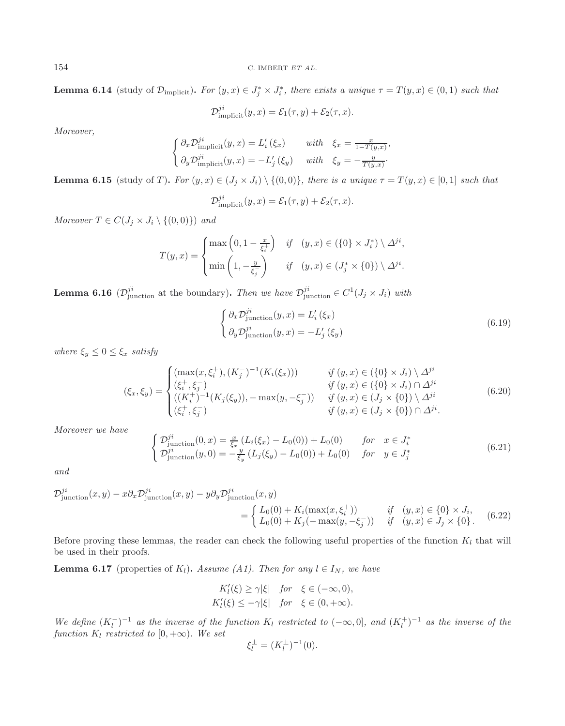<sup>154</sup> C. IMBERT *ET AL.*

**Lemma 6.14** (study of  $\mathcal{D}_{\text{implicit}}$ ). For  $(y, x) \in J_j^* \times J_i^*$ , there exists a unique  $\tau = T(y, x) \in (0, 1)$  such that

<span id="page-25-3"></span>
$$
\mathcal{D}_{\text{implicit}}^{ji}(y,x) = \mathcal{E}_1(\tau, y) + \mathcal{E}_2(\tau, x).
$$

*Moreover,*

$$
\begin{cases}\n\partial_x \mathcal{D}_{\text{implicit}}^{j^i}(y, x) = L'_i(\xi_x) & \text{with} \quad \xi_x = \frac{x}{1 - T(y, x)}, \\
\partial_y \mathcal{D}_{\text{implicit}}^{ji}(y, x) = -L'_j(\xi_y) & \text{with} \quad \xi_y = -\frac{y}{T(y, x)}.\n\end{cases}
$$

<span id="page-25-1"></span>**Lemma 6.15** (study of T). For  $(y, x) \in (J_j \times J_i) \setminus \{(0, 0)\}\$ , there is a unique  $\tau = T(y, x) \in [0, 1]$  such that

$$
\mathcal{D}_{\text{implicit}}^{ji}(y,x) = \mathcal{E}_1(\tau, y) + \mathcal{E}_2(\tau, x).
$$

<span id="page-25-4"></span>*Moreover*  $T \in C(J_j \times J_i \setminus \{(0,0)\})$  *and* 

$$
T(y,x) = \begin{cases} \max\left(0,1-\frac{x}{\xi_i^+}\right) & \text{if} \quad (y,x) \in (\{0\} \times J_i^*) \setminus \Delta^{ji}, \\ \min\left(1,-\frac{y}{\xi_j^-}\right) & \text{if} \quad (y,x) \in (J_j^* \times \{0\}) \setminus \Delta^{ji}. \end{cases}
$$

<span id="page-25-2"></span>**Lemma 6.16** ( $\mathcal{D}_{\text{junction}}^{ji}$  at the boundary). *Then we have*  $\mathcal{D}_{\text{junction}}^{ji} \in C^{1}(J_{j} \times J_{i})$  *with* 

<span id="page-25-5"></span>
$$
\begin{cases}\n\partial_x \mathcal{D}_{\text{junction}}^{ji}(y, x) = L'_i(\xi_x) \\
\partial_y \mathcal{D}_{\text{junction}}^{ji}(y, x) = -L'_j(\xi_y)\n\end{cases}
$$
\n(6.19)

*where*  $\xi_y \leq 0 \leq \xi_x$  *satisfy* 

$$
(\xi_x, \xi_y) = \begin{cases} (\max(x, \xi_i^+), (K_j^-)^{-1}(K_i(\xi_x))) & \text{if } (y, x) \in (\{0\} \times J_i) \setminus \Delta^{ji} \\ (\xi_i^+, \xi_j^-) & \text{if } (y, x) \in (\{0\} \times J_i) \cap \Delta^{ji} \\ ((K_i^+)^{-1}(K_j(\xi_y)), -\max(y, -\xi_j^-)) & \text{if } (y, x) \in (J_j \times \{0\}) \setminus \Delta^{ji} \\ (\xi_i^+, \xi_j^-) & \text{if } (y, x) \in (J_j \times \{0\}) \cap \Delta^{ji}. \end{cases} \tag{6.20}
$$

<span id="page-25-0"></span>*Moreover we have*

$$
\begin{cases}\n\mathcal{D}_{\text{junction}}^{ji}(0,x) = \frac{x}{\xi_x} \left( L_i(\xi_x) - L_0(0) \right) + L_0(0) & \text{for } x \in J_i^* \\
\mathcal{D}_{\text{junction}}^{ji}(y,0) = -\frac{y}{\xi_y} \left( L_j(\xi_y) - L_0(0) \right) + L_0(0) & \text{for } y \in J_j^* \n\end{cases}
$$
\n(6.21)

*and*

$$
\mathcal{D}_{\text{junction}}^{ji}(x,y) - x\partial_x \mathcal{D}_{\text{junction}}^{ji}(x,y) - y\partial_y \mathcal{D}_{\text{junction}}^{ji}(x,y) = \begin{cases} L_0(0) + K_i(\max(x,\xi_i^+)) & \text{if } (y,x) \in \{0\} \times J_i, \\ L_0(0) + K_j(-\max(y,-\xi_j^-)) & \text{if } (y,x) \in J_j \times \{0\}. \end{cases} \tag{6.22}
$$

Before proving these lemmas, the reader can check the following useful properties of the function  $K_l$  that will be used in their proofs.

**Lemma 6.17** (properties of  $K_l$ ). *Assume (A1). Then for any*  $l \in I_N$ *, we have* 

$$
K'_{l}(\xi) \ge \gamma |\xi| \quad \text{for} \quad \xi \in (-\infty, 0),
$$
  

$$
K'_{l}(\xi) \le -\gamma |\xi| \quad \text{for} \quad \xi \in (0, +\infty).
$$

*We define*  $(K_l^-)^{-1}$  *as the inverse of the function*  $K_l$  *restricted to*  $(-\infty,0]$ *, and*  $(K_l^+)^{-1}$  *as the inverse of the function*  $K_l$  *restricted to*  $[0, +\infty)$ *. We set* 

$$
\xi_l^{\pm} = (K_l^{\pm})^{-1}(0).
$$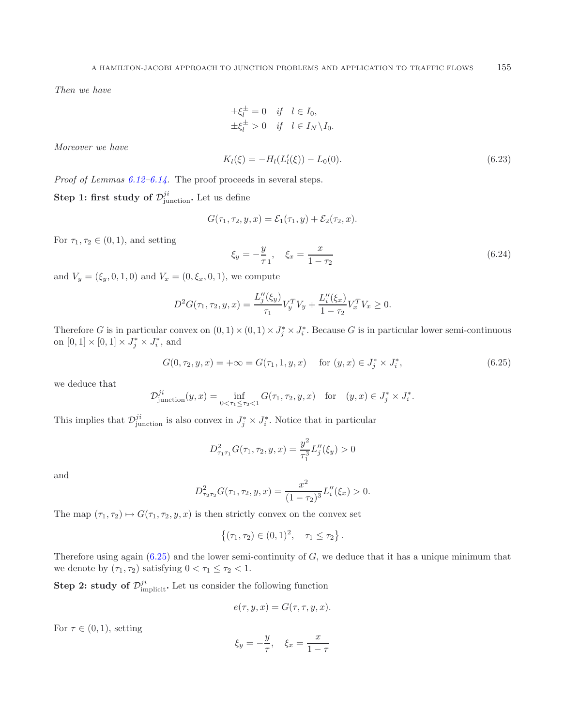<span id="page-26-2"></span><span id="page-26-1"></span>*Then we have*

$$
\pm \xi_l^{\pm} = 0 \quad \text{if} \quad l \in I_0, \pm \xi_l^{\pm} > 0 \quad \text{if} \quad l \in I_N \backslash I_0.
$$

*Moreover we have*

$$
K_l(\xi) = -H_l(L'_l(\xi)) - L_0(0). \tag{6.23}
$$

*Proof of Lemmas [6.12–](#page-24-0)[6.14.](#page-24-1)* The proof proceeds in several steps.

<span id="page-26-0"></span>**Step 1: first study of**  $\mathcal{D}_{\text{junction}}^{ji}$ **. Let us define** 

$$
G(\tau_1, \tau_2, y, x) = \mathcal{E}_1(\tau_1, y) + \mathcal{E}_2(\tau_2, x).
$$

For  $\tau_1, \tau_2 \in (0, 1)$ , and setting

$$
\xi_y = -\frac{y}{\tau_1}, \quad \xi_x = \frac{x}{1 - \tau_2} \tag{6.24}
$$

and  $V_y = (\xi_y, 0, 1, 0)$  and  $V_x = (0, \xi_x, 0, 1)$ , we compute

$$
D^{2}G(\tau_{1},\tau_{2},y,x) = \frac{L''_{j}(\xi_{y})}{\tau_{1}}V_{y}^{T}V_{y} + \frac{L''_{i}(\xi_{x})}{1-\tau_{2}}V_{x}^{T}V_{x} \geq 0.
$$

Therefore G is in particular convex on  $(0,1) \times (0,1) \times J_j^* \times J_i^*$ . Because G is in particular lower semi-continuous on  $[0,1] \times [0,1] \times J_j^* \times J_i^*$ , and

$$
G(0, \tau_2, y, x) = +\infty = G(\tau_1, 1, y, x) \quad \text{for } (y, x) \in J_j^* \times J_i^*,
$$
\n(6.25)

we deduce that

$$
\mathcal{D}_{\text{junction}}^{ji}(y,x) = \inf_{0 < \tau_1 \le \tau_2 < 1} G(\tau_1, \tau_2, y, x) \quad \text{for} \quad (y,x) \in J_j^* \times J_i^*.
$$

This implies that  $\mathcal{D}_{\text{junction}}^{ji}$  is also convex in  $J_j^* \times J_i^*$ . Notice that in particular

$$
D_{\tau_1\tau_1}^2 G(\tau_1, \tau_2, y, x) = \frac{y^2}{\tau_1^3} L_j''(\xi_y) > 0
$$

and

$$
D_{\tau_2\tau_2}^2 G(\tau_1, \tau_2, y, x) = \frac{x^2}{(1 - \tau_2)^3} L_i''(\xi_x) > 0.
$$

The map  $(\tau_1, \tau_2) \mapsto G(\tau_1, \tau_2, y, x)$  is then strictly convex on the convex set

$$
\{(\tau_1, \tau_2) \in (0, 1)^2, \quad \tau_1 \leq \tau_2\}.
$$

Therefore using again  $(6.25)$  and the lower semi-continuity of  $G$ , we deduce that it has a unique minimum that we denote by  $(\tau_1, \tau_2)$  satisfying  $0 < \tau_1 \leq \tau_2 < 1$ .

**Step 2: study of**  $\mathcal{D}_{\text{implicit}}^{ji}$ **. Let us consider the following function** 

$$
e(\tau, y, x) = G(\tau, \tau, y, x).
$$

For  $\tau \in (0,1)$ , setting

$$
\xi_y = -\frac{y}{\tau}, \quad \xi_x = \frac{x}{1-\tau}
$$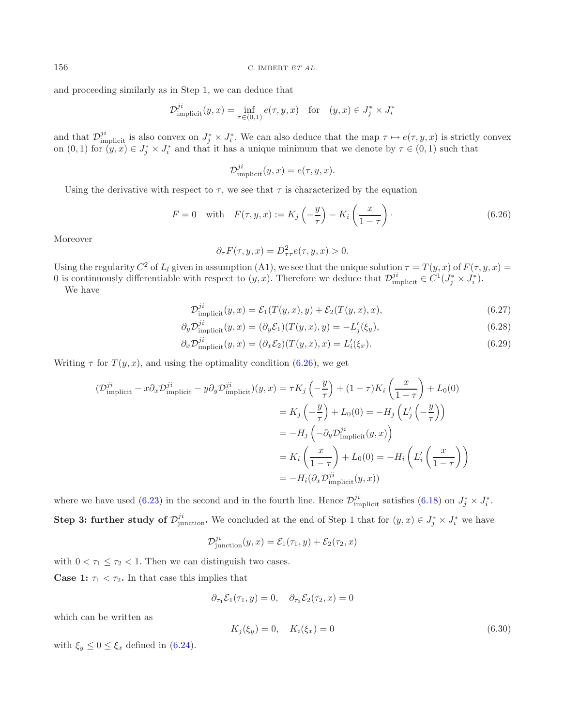and proceeding similarly as in Step 1, we can deduce that

$$
\mathcal{D}_{\text{implicit}}^{ji}(y,x) = \inf_{\tau \in (0,1)} e(\tau, y, x) \quad \text{for} \quad (y,x) \in J_j^* \times J_i^*
$$

and that  $\mathcal{D}_{\text{implicit}}^{ji}$  is also convex on  $J_j^* \times J_i^*$ . We can also deduce that the map  $\tau \mapsto e(\tau, y, x)$  is strictly convex on  $(0, 1)$  for  $(y, x) \in I^* \times I^*$  and that it has a unique minimum that we denote by  $\tau \in (0, 1)$ on  $(0,1)$  for  $(y, x) \in J_j^* \times J_i^*$  and that it has a unique minimum that we denote by  $\tau \in (0,1)$  such that

<span id="page-27-0"></span>
$$
\mathcal{D}_{\text{implicit}}^{ji}(y,x) = e(\tau, y, x).
$$

Using the derivative with respect to  $\tau$ , we see that  $\tau$  is characterized by the equation

$$
F = 0 \quad \text{with} \quad F(\tau, y, x) := K_j\left(-\frac{y}{\tau}\right) - K_i\left(\frac{x}{1-\tau}\right). \tag{6.26}
$$

Moreover

$$
\partial_{\tau} F(\tau, y, x) = D_{\tau\tau}^2 e(\tau, y, x) > 0.
$$

Using the regularity  $C^2$  of  $L_l$  given in assumption (A1), we see that the unique solution  $\tau = T(y, x)$  of  $F(\tau, y, x) =$ 0 is continuously differentiable with respect to  $(y, x)$ . Therefore we deduce that  $\mathcal{D}_{\text{implicit}}^{ji} \in C^1(\bar{J}_j^* \times \bar{J}_i^*)$ .<br>We have

<span id="page-27-2"></span>We have

$$
\mathcal{D}_{\text{implicit}}^{ji}(y,x) = \mathcal{E}_1(T(y,x),y) + \mathcal{E}_2(T(y,x),x),\tag{6.27}
$$

$$
\partial_y \mathcal{D}_{\text{implicit}}^{ji}(y,x) = (\partial_y \mathcal{E}_1)(T(y,x),y) = -L_j'(\xi_y),\tag{6.28}
$$

$$
\partial_x \mathcal{D}_{\text{implicit}}^{ji}(y, x) = (\partial_x \mathcal{E}_2)(T(y, x), x) = L_i'(\xi_x). \tag{6.29}
$$

Writing  $\tau$  for  $T(y, x)$ , and using the optimality condition [\(6.26\)](#page-27-0), we get

$$
\begin{aligned}\n(\mathcal{D}_{\text{implicit}}^{ji} - x \partial_x \mathcal{D}_{\text{implicit}}^{ji} - y \partial_y \mathcal{D}_{\text{implicit}}^{ji})(y, x) &= \tau K_j \left(-\frac{y}{\tau}\right) + (1 - \tau) K_i \left(\frac{x}{1 - \tau}\right) + L_0(0) \\
&= K_j \left(-\frac{y}{\tau}\right) + L_0(0) = -H_j \left(L'_j \left(-\frac{y}{\tau}\right)\right) \\
&= -H_j \left(-\partial_y \mathcal{D}_{\text{implicit}}^{ji}(y, x)\right) \\
&= K_i \left(\frac{x}{1 - \tau}\right) + L_0(0) = -H_i \left(L'_i \left(\frac{x}{1 - \tau}\right)\right) \\
&= -H_i(\partial_x \mathcal{D}_{\text{implicit}}^{ji}(y, x))\n\end{aligned}
$$

<span id="page-27-1"></span>where we have used [\(6.23\)](#page-26-1) in the second and in the fourth line. Hence  $\mathcal{D}_{\text{implicit}}^{ji}$  satisfies [\(6.18\)](#page-24-2) on  $J_j^* \times J_i^*$ . **Step 3: further study of**  $\mathcal{D}_{\text{junction}}^{ji}$ **. We concluded at the end of Step 1 that for**  $(y, x) \in J_j^* \times J_i^*$  **we have** 

$$
\mathcal{D}_{\text{junction}}^{ji}(y,x) = \mathcal{E}_1(\tau_1, y) + \mathcal{E}_2(\tau_2, x)
$$

with  $0 < \tau_1 \leq \tau_2 < 1$ . Then we can distinguish two cases. **Case 1:**  $\tau_1 < \tau_2$ . In that case this implies that

$$
\partial_{\tau_1} \mathcal{E}_1(\tau_1, y) = 0, \quad \partial_{\tau_2} \mathcal{E}_2(\tau_2, x) = 0
$$

which can be written as

$$
K_j(\xi_y) = 0, \quad K_i(\xi_x) = 0 \tag{6.30}
$$

with  $\xi_y \leq 0 \leq \xi_x$  defined in [\(6.24\)](#page-26-2).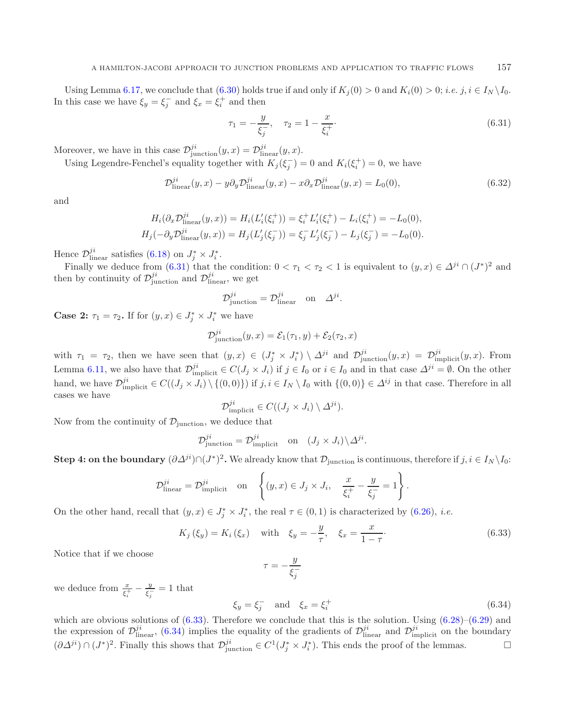Using Lemma [6.17,](#page-25-0) we conclude that  $(6.30)$  holds true if and only if  $K_i(0) > 0$  and  $K_i(0) > 0$ ; *i.e.* j,  $i \in I_N \setminus I_0$ . In this case we have  $\xi_y = \xi_j^-$  and  $\xi_x = \xi_i^+$  and then

<span id="page-28-3"></span><span id="page-28-0"></span>
$$
\tau_1 = -\frac{y}{\xi_j^-}, \quad \tau_2 = 1 - \frac{x}{\xi_i^+}.\tag{6.31}
$$

Moreover, we have in this case  $\mathcal{D}_{\text{junction}}^{ji}(y, x) = \mathcal{D}_{\text{linear}}^{ji}(y, x)$ .<br>Line Lexandre Fenchal's equality together with  $K(\zeta^{-})$ .

Using Legendre-Fenchel's equality together with  $K_j(\xi_j^-) = 0$  and  $K_i(\xi_i^+) = 0$ , we have

$$
\mathcal{D}_{\text{linear}}^{ji}(y,x) - y\partial_y \mathcal{D}_{\text{linear}}^{ji}(y,x) - x\partial_x \mathcal{D}_{\text{linear}}^{ji}(y,x) = L_0(0),\tag{6.32}
$$

and

$$
H_i(\partial_x \mathcal{D}_{\text{linear}}^{ji}(y, x)) = H_i(L'_i(\xi_i^+)) = \xi_i^+ L'_i(\xi_i^+) - L_i(\xi_i^+) = -L_0(0),
$$
  

$$
H_j(-\partial_y \mathcal{D}_{\text{linear}}^{ji}(y, x)) = H_j(L'_j(\xi_j^-)) = \xi_j^- L'_j(\xi_j^-) - L_j(\xi_j^-) = -L_0(0).
$$

Hence  $\mathcal{D}_{\text{linear}}^{ji}$  satisfies (6.18) on  $J_j^* \times J_i^*$ .  $\frac{J^i}{\text{linear}}$  satisfies [\(6.18\)](#page-24-2) on  $J^*_j$ <br>w we deduce from (6.31) +

Finally we deduce from [\(6.31\)](#page-28-0) that the condition:  $0 < \tau_1 < \tau_2 < 1$  is equivalent to  $(y, x) \in \Delta^{ji} \cap (J^*)^2$  and then by continuity of  $\mathcal{D}_{\text{junction}}^{ji}$  and  $\mathcal{D}_{\text{linear}}^{ji}$ , we get

$$
\mathcal{D}_{\text{junction}}^{ji} = \mathcal{D}_{\text{linear}}^{ji} \quad \text{on} \quad \Delta^{ji}.
$$

**Case 2:**  $\tau_1 = \tau_2$ . If for  $(y, x) \in J_j^* \times J_i^*$  we have

$$
\mathcal{D}_{\text{junction}}^{ji}(y,x) = \mathcal{E}_1(\tau_1, y) + \mathcal{E}_2(\tau_2, x)
$$

with  $\tau_1 = \tau_2$ , then we have seen that  $(y, x) \in (J^*_j \times J^*_i) \setminus \Delta^{ji}$  and  $\mathcal{D}^{ji}_{\text{junction}}(y, x) = \mathcal{D}^{ji}_{\text{implicit}}(y, x)$ . From Lemma [6.11,](#page-23-3) we also have that  $\mathcal{D}_{\text{implicit}}^{ji} \in C(J_j \times J_i)$  if  $j \in I_0$  or  $i \in I_0$  and in that case  $\Delta^{ji} = \emptyset$ . On the other hand, we have  $\mathcal{D}_{\text{implicit}}^{ji} \in C((J_j \times J_i) \setminus \{(0,0)\})$  if  $j, i \in I_N \setminus I_0$  with  $\{(0,0)\}\in \Delta^{ij}$  in that case. Therefore in all cases we have

<span id="page-28-1"></span>
$$
\mathcal{D}_{\text{implicit}}^{ji} \in C((J_j \times J_i) \setminus \Delta^{ji}).
$$

Now from the continuity of  $\mathcal{D}_{\text{junction}}$ , we deduce that

$$
\mathcal{D}_{\text{junction}}^{ji} = \mathcal{D}_{\text{implicit}}^{ji} \quad \text{on} \quad (J_j \times J_i) \backslash \Delta^{ji}.
$$

**Step 4: on the boundary**  $(\partial \Delta^{ji}) \cap (J^*)^2$ . We already know that  $\mathcal{D}_{\text{junction}}$  is continuous, therefore if  $j, i \in I_N \setminus I_0$ :

<span id="page-28-2"></span>
$$
\mathcal{D}_{\text{linear}}^{ji} = \mathcal{D}_{\text{implicit}}^{ji} \quad \text{on} \quad \left\{ (y, x) \in J_j \times J_i, \quad \frac{x}{\xi_i^+} - \frac{y}{\xi_j^-} = 1 \right\}.
$$

On the other hand, recall that  $(y, x) \in J_j^* \times J_i^*$ , the real  $\tau \in (0, 1)$  is characterized by  $(6.26)$ , *i.e.* 

$$
K_j(\xi_y) = K_i(\xi_x)
$$
 with  $\xi_y = -\frac{y}{\tau}, \quad \xi_x = \frac{x}{1-\tau}$ . (6.33)

Notice that if we choose

$$
\tau=-\frac{y}{\xi_j^-}
$$

we deduce from  $\frac{x}{\xi_i^+} - \frac{y}{\xi_j^-} = 1$  that

$$
\xi_y = \xi_j^- \quad \text{and} \quad \xi_x = \xi_i^+ \tag{6.34}
$$

which are obvious solutions of  $(6.33)$ . Therefore we conclude that this is the solution. Using  $(6.28)$ – $(6.29)$  and the expression of  $\mathcal{D}_{\text{linear}}^{ji}$ , [\(6.34\)](#page-28-2) implies the equality of the gradients of  $\mathcal{D}_{\text{linear}}^{ji}$  and  $\mathcal{D}_{\text{implicit}}^{ji}$  on the boundary  $(\partial \Delta^{ji}) \cap (J^*)^2$ . Finally this shows that  $\mathcal{D}_{\text{junction}}^{ji} \in C^1(J^*_j \times J^*_i)$ . This ends the proof of the lemmas.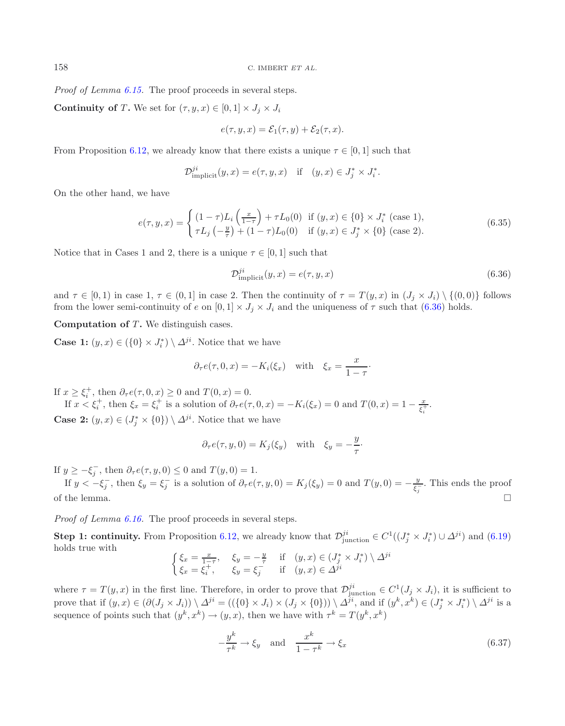<span id="page-29-1"></span>*Proof of Lemma [6.15.](#page-25-1)* The proof proceeds in several steps.

**Continuity of T.** We set for  $(\tau, y, x) \in [0, 1] \times J_i \times J_i$ 

<span id="page-29-0"></span>
$$
e(\tau, y, x) = \mathcal{E}_1(\tau, y) + \mathcal{E}_2(\tau, x).
$$

From Proposition [6.12,](#page-24-0) we already know that there exists a unique  $\tau \in [0, 1]$  such that

$$
\mathcal{D}_{\text{implicit}}^{ji}(y,x) = e(\tau, y, x) \quad \text{if} \quad (y,x) \in J_j^* \times J_i^*.
$$

On the other hand, we have

$$
e(\tau, y, x) = \begin{cases} (1 - \tau)L_i \left(\frac{x}{1 - \tau}\right) + \tau L_0(0) & \text{if } (y, x) \in \{0\} \times J_i^* \text{ (case 1)},\\ \tau L_j \left(-\frac{y}{\tau}\right) + (1 - \tau)L_0(0) & \text{if } (y, x) \in J_j^* \times \{0\} \text{ (case 2)}. \end{cases}
$$
(6.35)

Notice that in Cases 1 and 2, there is a unique  $\tau \in [0, 1]$  such that

$$
\mathcal{D}_{\text{implicit}}^{ji}(y,x) = e(\tau, y, x) \tag{6.36}
$$

and  $\tau \in [0,1)$  in case 1,  $\tau \in (0,1]$  in case 2. Then the continuity of  $\tau = T(y,x)$  in  $(J_j \times J_i) \setminus \{(0,0)\}\)$  follows from the lower semi-continuity of e on  $[0, 1] \times J_i \times J_i$  and the uniqueness of  $\tau$  such that [\(6.36\)](#page-29-0) holds.

**Computation of T.** We distinguish cases.

**Case 1:**  $(y, x) \in (\{0\} \times J_i^*) \setminus \Delta^{ji}$ . Notice that we have

$$
\partial_{\tau} e(\tau, 0, x) = -K_i(\xi_x)
$$
 with  $\xi_x = \frac{x}{1 - \tau}$ .

If  $x \geq \xi_i^+$ , then  $\partial_\tau e(\tau, 0, x) \geq 0$  and  $T(0, x) = 0$ .

If  $x < \xi_i^+$ , then  $\xi_x = \xi_i^+$  is a solution of  $\partial_\tau e(\tau, 0, x) = -K_i(\xi_x) = 0$  and  $T(0, x) = 1 - \frac{x}{\xi_i^+}$ . **Case 2:**  $(y, x) \in (J_j^* \times \{0\}) \setminus \Delta^{ji}$ . Notice that we have

$$
\partial_{\tau}e(\tau, y, 0) = K_j(\xi_y)
$$
 with  $\xi_y = -\frac{y}{\tau}$ .

If  $y \geq -\xi_j^-$ , then  $\partial_\tau e(\tau, y, 0) \leq 0$  and  $T(y, 0) = 1$ .

If  $y < -\xi_j^-$ , then  $\xi_y = \xi_j^-$  is a solution of  $\partial_\tau e(\tau, y, 0) = K_j(\xi_y) = 0$  and  $T(y, 0) = -\frac{y}{\xi_j^-}$ . This ends the proof of the lemma.  $\Box$ 

*Proof of Lemma [6.16.](#page-25-2)* The proof proceeds in several steps.

**Step 1: continuity.** From Proposition [6.12,](#page-24-0) we already know that  $\mathcal{D}_{\text{junction}}^{ji} \in C^1((J_j^* \times J_i^*) \cup \Delta^{ji})$  and [\(6.19\)](#page-25-3) holds true with holds true with

$$
\begin{cases} \xi_x = \frac{x}{1-\tau}, & \xi_y = -\frac{y}{\tau} \quad \text{if} \quad (y, x) \in (J_j^* \times J_i^*) \setminus \Delta^{ji} \\ \xi_x = \xi_i^+, & \xi_y = \xi_j^- \quad \text{if} \quad (y, x) \in \Delta^{ji} \end{cases}
$$

where  $\tau = T(y, x)$  in the first line. Therefore, in order to prove that  $\mathcal{D}^{ji}_{\text{junction}} \in C^1(J_j \times J_i)$ , it is sufficient to prove that if  $(y, x) \in (\partial (J_j \times J_i)) \setminus \Delta^{ji} = ((\{0\} \times J_i) \times (J_j \times \{0\})) \setminus \Delta^{ji}$ , and if  $(y^k, x^k) \in (J_j^* \times J_i^*) \setminus \Delta^{ji}$  is a sequence of points such that  $(y^k, x^k) \rightarrow (y, x)$ , then we have with  $\tau^k = T(y^k, x^k)$ 

$$
-\frac{y^k}{\tau^k} \to \xi_y \quad \text{and} \quad \frac{x^k}{1 - \tau^k} \to \xi_x \tag{6.37}
$$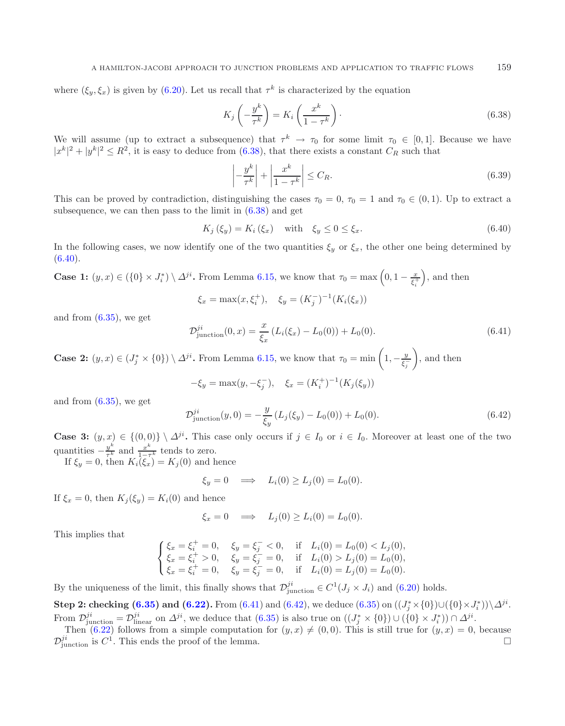where  $(\xi_y, \xi_x)$  is given by [\(6.20\)](#page-25-4). Let us recall that  $\tau^k$  is characterized by the equation

<span id="page-30-1"></span><span id="page-30-0"></span>
$$
K_j\left(-\frac{y^k}{\tau^k}\right) = K_i\left(\frac{x^k}{1-\tau^k}\right). \tag{6.38}
$$

We will assume (up to extract a subsequence) that  $\tau^k \to \tau_0$  for some limit  $\tau_0 \in [0,1]$ . Because we have  $|x^k|^2 + |y^k|^2 \leq R^2$ , it is easy to deduce from  $(6.38)$ , that there exists a constant  $C_R$  such that

$$
\left| -\frac{y^k}{\tau^k} \right| + \left| \frac{x^k}{1 - \tau^k} \right| \le C_R. \tag{6.39}
$$

<span id="page-30-2"></span>This can be proved by contradiction, distinguishing the cases  $\tau_0 = 0$ ,  $\tau_0 = 1$  and  $\tau_0 \in (0,1)$ . Up to extract a subsequence, we can then pass to the limit in [\(6.38\)](#page-30-0) and get

$$
K_j(\xi_y) = K_i(\xi_x) \quad \text{with} \quad \xi_y \le 0 \le \xi_x. \tag{6.40}
$$

<span id="page-30-3"></span>In the following cases, we now identify one of the two quantities  $\xi_y$  or  $\xi_x$ , the other one being determined by  $(6.40).$  $(6.40).$ 

**Case 1:** 
$$
(y, x) \in (\{0\} \times J_i^*) \setminus \Delta^{ji}
$$
. From Lemma 6.15, we know that  $\tau_0 = \max\left(0, 1 - \frac{x}{\xi_i^+}\right)$ , and then

$$
\xi_x = \max(x, \xi_i^+), \quad \xi_y = (K_j^-)^{-1}(K_i(\xi_x))
$$

and from  $(6.35)$ , we get

$$
\mathcal{D}_{\text{junction}}^{ji}(0,x) = \frac{x}{\xi_x} \left( L_i(\xi_x) - L_0(0) \right) + L_0(0). \tag{6.41}
$$

**Case 2:**  $(y, x) \in (J_j^* \times \{0\}) \setminus \Delta^{ji}$ . From Lemma [6.15,](#page-25-1) we know that  $\tau_0 = \min\left(1, -\frac{y}{\xi_j}\right)$  $\Big)$ , and then

$$
-\xi_y = \max(y, -\xi_j^-), \quad \xi_x = (K_i^+)^{-1}(K_j(\xi_y))
$$

and from  $(6.35)$ , we get

$$
\mathcal{D}_{\text{junction}}^{ji}(y,0) = -\frac{y}{\xi_y} \left( L_j(\xi_y) - L_0(0) \right) + L_0(0). \tag{6.42}
$$

**Case 3:**  $(y, x) \in \{(0, 0)\} \setminus \Delta^{ji}$ . This case only occurs if  $j \in I_0$  or  $i \in I_0$ . Moreover at least one of the two quantities  $-\frac{y^k}{\tau^k}$  and  $\frac{x^k}{1-\tau^k}$  tends to zero.<br>If  $\xi_y = 0$ , then  $K_i(\xi_x) = K_j(0)$  and hence

$$
\xi_y = 0 \quad \Longrightarrow \quad L_i(0) \ge L_j(0) = L_0(0).
$$

If  $\xi_x = 0$ , then  $K_i(\xi_y) = K_i(0)$  and hence

$$
\xi_x = 0 \quad \Longrightarrow \quad L_j(0) \ge L_i(0) = L_0(0).
$$

This implies that

$$
\begin{cases} \xi_x = \xi_i^+ = 0, & \xi_y = \xi_j^- < 0, \text{ if } L_i(0) = L_0(0) < L_j(0), \\ \xi_x = \xi_i^+ > 0, & \xi_y = \xi_j^- = 0, \text{ if } L_i(0) > L_j(0) = L_0(0), \\ \xi_x = \xi_i^+ = 0, & \xi_y = \xi_j^- = 0, \text{ if } L_i(0) = L_j(0) = L_0(0). \end{cases}
$$

By the uniqueness of the limit, this finally shows that  $\mathcal{D}_{\text{junction}}^{ji} \in C^1(J_j \times J_i)$  and [\(6.20\)](#page-25-4) holds.

**Step 2: checking**  $(6.35)$  **and**  $(6.22)$ **. From**  $(6.41)$  **and**  $(6.42)$ **, we deduce**  $(6.35)$  **on**  $((J_j^* \times \{0\}) \cup (\{0\} \times J_i^*)) \setminus \Delta^{ji}$ **.** From  $\mathcal{D}_{\text{junction}}^{ji} = \mathcal{D}_{\text{jinear}}^{ji}$  on  $\Delta^{ji}$ , we deduce that [\(6.35\)](#page-29-1) is also true on  $((J_j^* \times \{0\}) \cup (\{0\} \times J_i^*)) \cap \Delta^{ji}$ .<br>Then (6.22) follows from a simple computation for  $(u, x) \neq (0, 0)$ . This is still true for  $(u, x) =$ 

Then [\(6.22\)](#page-25-5) follows from a simple computation for  $(y, x) \neq (0, 0)$ . This is still true for  $(y, x) = 0$ , because  $\mathcal{D}_{\text{junction}}^{ji}$  is  $C^1$ . This ends the proof of the lemma.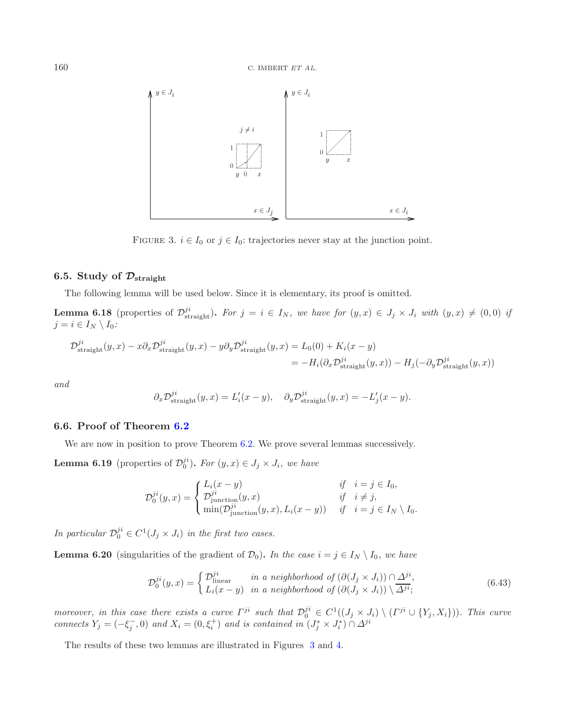<span id="page-31-4"></span><span id="page-31-0"></span>

FIGURE 3.  $i \in I_0$  or  $j \in I_0$ : trajectories never stay at the junction point.

# **6.5. Study of**  $\mathcal{D}_{\text{straight}}$

The following lemma will be used below. Since it is elementary, its proof is omitted.

**Lemma 6.18** (properties of  $\mathcal{D}_{\text{straight}}^{ji}$ ). For  $j = i \in I_N$ , we have for  $(y, x) \in J_j \times J_i$  with  $(y, x) \neq (0, 0)$  *if*  $i = i \in I_N \setminus I_0$ .  $j = i \in I_N \setminus I_0$ :

$$
\mathcal{D}_{\text{straight}}^{ji}(y,x) - x \partial_x \mathcal{D}_{\text{straight}}^{ji}(y,x) - y \partial_y \mathcal{D}_{\text{straight}}^{ji}(y,x) = L_0(0) + K_i(x - y)
$$
  
= 
$$
-H_i(\partial_x \mathcal{D}_{\text{straight}}^{ji}(y,x)) - H_j(-\partial_y \mathcal{D}_{\text{straight}}^{ji}(y,x))
$$

*and*

<span id="page-31-3"></span><span id="page-31-1"></span>
$$
\partial_x \mathcal{D}_{\text{straight}}^{ji}(y, x) = L'_i(x - y), \quad \partial_y \mathcal{D}_{\text{straight}}^{ji}(y, x) = -L'_j(x - y).
$$

### **6.6. Proof of Theorem [6.2](#page-19-1)**

We are now in position to prove Theorem [6.2.](#page-19-1) We prove several lemmas successively.

**Lemma 6.19** (properties of  $\mathcal{D}_0^{ji}$ ). *For*  $(y, x) \in J_j \times J_i$ *, we have* 

$$
\mathcal{D}_0^{ji}(y,x) = \begin{cases} L_i(x-y) & \text{if } i = j \in I_0, \\ \mathcal{D}_{\text{junction}}^{ji}(y,x) & \text{if } i \neq j, \\ \min(\mathcal{D}_{\text{junction}}^{ji}(y,x), L_i(x-y)) & \text{if } i = j \in I_N \setminus I_0. \end{cases}
$$

*In particular*  $\mathcal{D}_0^{ji} \in C^1(J_j \times J_i)$  *in the first two cases.* 

<span id="page-31-2"></span>**Lemma 6.20** (singularities of the gradient of  $\mathcal{D}_0$ ). *In the case*  $i = j \in I_N \setminus I_0$ *, we have* 

$$
\mathcal{D}_0^{ji}(y,x) = \begin{cases} \mathcal{D}_{\text{linear}}^{ji} & \text{in a neighborhood of } (\partial (J_j \times J_i)) \cap \Delta^{ji}, \\ L_i(x-y) & \text{in a neighborhood of } (\partial (J_j \times J_i)) \setminus \overline{\Delta^{ji}}; \end{cases}
$$
(6.43)

moreover, in this case there exists a curve  $\Gamma^{ji}$  such that  $\mathcal{D}_0^{ji} \in C^1((J_j \times J_i) \setminus (\Gamma^{ji} \cup \{Y_j, X_i\}))$ . This curve connects  $Y_j = (-\xi_j^-, 0)$  and  $X_i = (0, \xi_i^+)$  and is contained in  $(J_j^* \times J_i^*) \cap \Delta^{ji}$ 

The results of these two lemmas are illustrated in Figures [3](#page-31-0) and [4.](#page-32-0)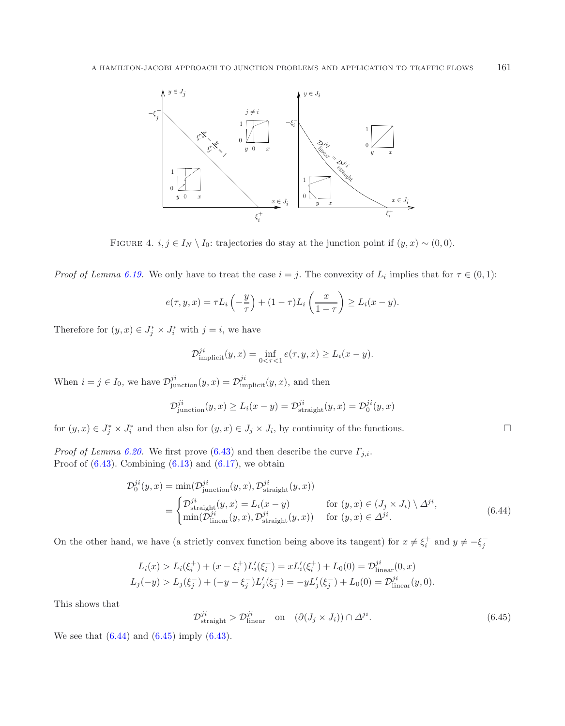<span id="page-32-0"></span>

FIGURE 4.  $i, j \in I_N \setminus I_0$ : trajectories do stay at the junction point if  $(y, x) \sim (0, 0)$ .

*Proof of Lemma [6.19.](#page-31-1)* We only have to treat the case  $i = j$ . The convexity of  $L_i$  implies that for  $\tau \in (0,1)$ :

$$
e(\tau, y, x) = \tau L_i\left(-\frac{y}{\tau}\right) + (1-\tau)L_i\left(\frac{x}{1-\tau}\right) \ge L_i(x-y).
$$

Therefore for  $(y, x) \in J_j^* \times J_i^*$  with  $j = i$ , we have

$$
\mathcal{D}_{\text{implicit}}^{ji}(y,x) = \inf_{0 < \tau < 1} e(\tau, y, x) \ge L_i(x - y).
$$

When  $i = j \in I_0$ , we have  $\mathcal{D}_{\text{junction}}^{ji}(y, x) = \mathcal{D}_{\text{implicit}}^{ji}(y, x)$ , and then

$$
\mathcal{D}_{\text{junction}}^{ji}(y,x) \ge L_i(x-y) = \mathcal{D}_{\text{straight}}^{ji}(y,x) = \mathcal{D}_0^{ji}(y,x)
$$

for  $(y, x) \in J_j^* \times J_i^*$  and then also for  $(y, x) \in J_j \times J_i$ , by continuity of the functions.

<span id="page-32-2"></span>*Proof of Lemma [6.20.](#page-31-2)* We first prove [\(6.43\)](#page-31-3) and then describe the curve  $\Gamma_{j,i}$ . Proof of  $(6.43)$ . Combining  $(6.13)$  and  $(6.17)$ , we obtain

$$
\mathcal{D}_0^{ji}(y,x) = \min(\mathcal{D}_{\text{junction}}^{ji}(y,x), \mathcal{D}_{\text{straight}}^{ji}(y,x))
$$
  
= 
$$
\begin{cases} \mathcal{D}_{\text{straight}}^{ji}(y,x) = L_i(x-y) & \text{for } (y,x) \in (J_j \times J_i) \setminus \Delta^{ji}, \\ \min(\mathcal{D}_{\text{linear}}^{ji}(y,x), \mathcal{D}_{\text{straight}}^{ji}(y,x)) & \text{for } (y,x) \in \Delta^{ji}. \end{cases}
$$
(6.44)

On the other hand, we have (a strictly convex function being above its tangent) for  $x \neq \xi_i^+$  and  $y \neq -\xi_j^-$ 

$$
L_i(x) > L_i(\xi_i^+) + (x - \xi_i^+) L'_i(\xi_i^+) = x L'_i(\xi_i^+) + L_0(0) = \mathcal{D}_{\text{linear}}^{ji}(0, x)
$$
  

$$
L_j(-y) > L_j(\xi_j^-) + (-y - \xi_j^-) L'_j(\xi_j^-) = -y L'_j(\xi_j^-) + L_0(0) = \mathcal{D}_{\text{linear}}^{ji}(y, 0).
$$

This shows that

$$
\mathcal{D}_{\text{straight}}^{ji} > \mathcal{D}_{\text{linear}}^{ji} \quad \text{on} \quad (\partial (J_j \times J_i)) \cap \Delta^{ji}.\tag{6.45}
$$

<span id="page-32-1"></span> $\Box$ 

We see that  $(6.44)$  and  $(6.45)$  imply  $(6.43)$ .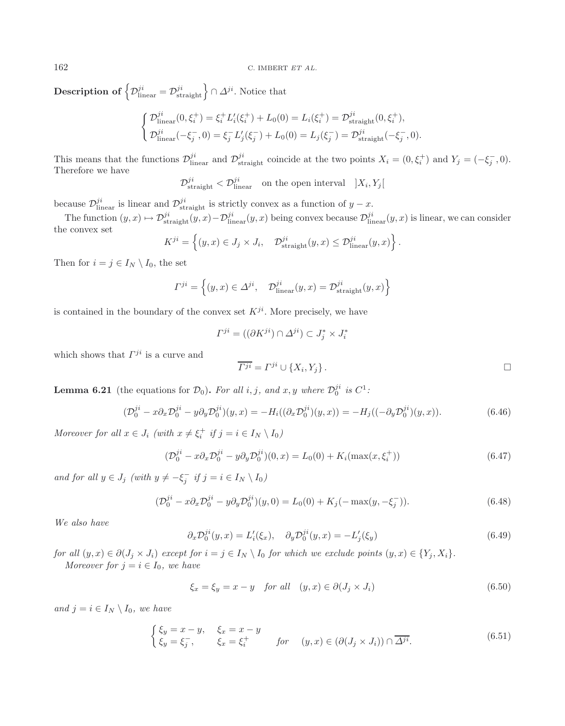**Description of**  $\left\{\mathcal{D}_{\text{linear}}^{ji} = \mathcal{D}_{\text{straight}}^{ji}\right\} \cap \varDelta^{ji}$ . Notice that

$$
\begin{cases}\n\mathcal{D}_{\text{linear}}^{ji}(0,\xi_i^+) = \xi_i^+ L_i'(\xi_i^+) + L_0(0) = L_i(\xi_i^+) = \mathcal{D}_{\text{straight}}^{ji}(0,\xi_i^+), \\
\mathcal{D}_{\text{linear}}^{ji}(-\xi_j^-,0) = \xi_j^- L_j'(\xi_j^-) + L_0(0) = L_j(\xi_j^-) = \mathcal{D}_{\text{straight}}^{ji}(-\xi_j^-,0).\n\end{cases}
$$

This means that the functions  $\mathcal{D}_{\text{linear}}^{ji}$  and  $\mathcal{D}_{\text{straight}}^{ji}$  coincide at the two points  $X_i = (0, \xi_i^+)$  and  $Y_j = (-\xi_j^-, 0)$ .<br>Therefore we have Therefore we have

 $\mathcal{D}_{\text{straight}}^{ji} < \mathcal{D}_{\text{linear}}^{ji}$  on the open interval  $|X_i, Y_j|$ 

because  $\mathcal{D}_{\text{linear}}^{ji}$  is linear and  $\mathcal{D}_{\text{straight}}^{ji}$  is strictly convex as a function of  $y - x$ .

The function  $(y, x) \mapsto \mathcal{D}_{\text{straight}}^{ji}(y, x) - \mathcal{D}_{\text{linear}}^{ji}(y, x)$  being convex because  $\mathcal{D}_{\text{linear}}^{ji}(y, x)$  is linear, we can consider the convex set

$$
K^{ji} = \left\{ (y, x) \in J_j \times J_i, \quad \mathcal{D}_{\text{straight}}^{ji}(y, x) \leq \mathcal{D}_{\text{linear}}^{ji}(y, x) \right\}.
$$

Then for  $i = j \in I_N \setminus I_0$ , the set

$$
\Gamma^{ji} = \left\{ (y, x) \in \Delta^{ji}, \quad \mathcal{D}_{\text{linear}}^{ji}(y, x) = \mathcal{D}_{\text{straight}}^{ji}(y, x) \right\}
$$

is contained in the boundary of the convex set  $K^{ji}$ . More precisely, we have

<span id="page-33-2"></span><span id="page-33-1"></span><span id="page-33-0"></span>
$$
\varGamma^{ji} = ((\partial K^{ji}) \cap \varDelta^{ji}) \subset J_j^* \times J_i^*
$$

which shows that  $\Gamma^{ji}$  is a curve and

$$
\overline{\varGamma^{ji}} = \varGamma^{ji} \cup \{X_i, Y_j\}.
$$

<span id="page-33-3"></span>**Lemma 6.21** (the equations for  $\mathcal{D}_0$ ). For all i, j, and x, y where  $\mathcal{D}_0^{ji}$  is  $C^1$ :

<span id="page-33-4"></span>
$$
(\mathcal{D}_0^{ji} - x \partial_x \mathcal{D}_0^{ji} - y \partial_y \mathcal{D}_0^{ji})(y, x) = -H_i((\partial_x \mathcal{D}_0^{ji})(y, x)) = -H_j((-\partial_y \mathcal{D}_0^{ji})(y, x)).
$$
\n(6.46)

*Moreover for all*  $x \in J_i$  *(with*  $x \neq \xi_i^+$  *if*  $j = i \in I_N \setminus I_0$ )

$$
(\mathcal{D}_0^{ji} - x \partial_x \mathcal{D}_0^{ji} - y \partial_y \mathcal{D}_0^{ji})(0, x) = L_0(0) + K_i(\max(x, \xi_i^+))
$$
\n(6.47)

<span id="page-33-5"></span>*and for all*  $y \in J_j$  *(with*  $y \neq -\xi_j^-$  *if*  $j = i \in I_N \setminus I_0$ )

$$
(\mathcal{D}_0^{ji} - x \partial_x \mathcal{D}_0^{ji} - y \partial_y \mathcal{D}_0^{ji})(y,0) = L_0(0) + K_j(-\max(y, -\xi_j^-)).
$$
\n(6.48)

*We also have*

$$
\partial_x \mathcal{D}_0^{ji}(y, x) = L'_i(\xi_x), \quad \partial_y \mathcal{D}_0^{ji}(y, x) = -L'_j(\xi_y) \tag{6.49}
$$

*for all*  $(y, x) \in \partial (J_j \times J_i)$  *except for*  $i = j \in I_N \setminus I_0$  *for which we exclude points*  $(y, x) \in \{Y_j, X_i\}$ *. Moreover for*  $j = i \in I_0$ *, we have* 

$$
\xi_x = \xi_y = x - y \quad \text{for all} \quad (y, x) \in \partial(J_j \times J_i) \tag{6.50}
$$

*and*  $j = i \in I_N \setminus I_0$ *, we have* 

$$
\begin{cases} \xi_y = x - y, & \xi_x = x - y \\ \xi_y = \xi_j^-, & \xi_x = \xi_i^+ \end{cases} \quad \text{for} \quad (y, x) \in (\partial (J_j \times J_i)) \cap \overline{\Delta^{ji}}. \tag{6.51}
$$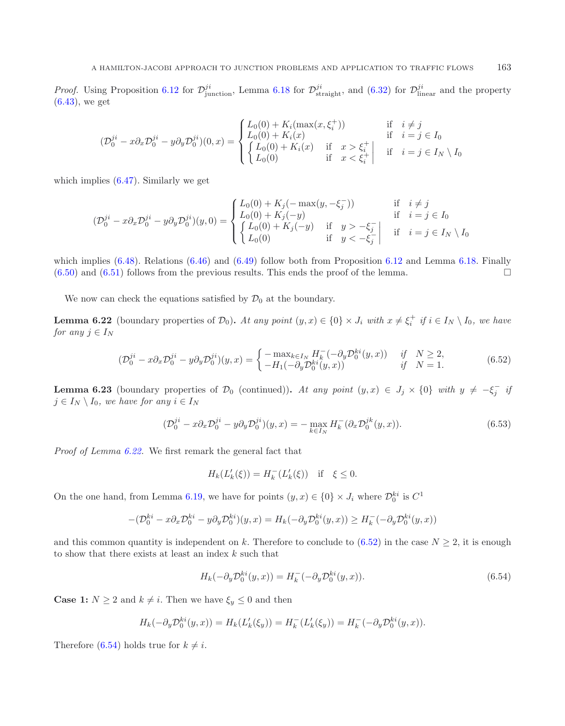*Proof.* Using Proposition [6.12](#page-24-0) for  $\mathcal{D}_{\text{junction}}^{ji}$ , Lemma [6.18](#page-31-4) for  $\mathcal{D}_{\text{straight}}^{ji}$ , and [\(6.32\)](#page-28-3) for  $\mathcal{D}_{\text{linear}}^{ji}$  and the property (6.43) we get [\(6.43\)](#page-31-3), we get

<span id="page-34-0"></span>
$$
(\mathcal{D}_0^{ji} - x \partial_x \mathcal{D}_0^{ji} - y \partial_y \mathcal{D}_0^{ji})(0, x) = \begin{cases} L_0(0) + K_i(\max(x, \xi_i^+)) & \text{if } i \neq j \\ L_0(0) + K_i(x) & \text{if } i = j \in I_0 \\ \begin{cases} L_0(0) + K_i(x) & \text{if } x > \xi_i^+ \\ L_0(0) & \text{if } x < \xi_i^+ \end{cases} & \text{if } i = j \in I_N \setminus I_0 \end{cases}
$$

<span id="page-34-1"></span>which implies  $(6.47)$ . Similarly we get

<span id="page-34-4"></span>
$$
(\mathcal{D}_0^{ji} - x \partial_x \mathcal{D}_0^{ji} - y \partial_y \mathcal{D}_0^{ji})(y,0) = \begin{cases} L_0(0) + K_j(-\max(y, -\xi_j^-)) & \text{if } i \neq j \\ L_0(0) + K_j(-y) & \text{if } i = j \in I_0 \\ \begin{cases} L_0(0) + K_j(-y) & \text{if } y > -\xi_j^- \\ L_0(0) & \text{if } y < -\xi_j^- \end{cases} & \text{if } i = j \in I_N \setminus I_0 \end{cases}
$$

which implies  $(6.48)$ . Relations  $(6.46)$  and  $(6.49)$  follow both from Proposition [6.12](#page-24-0) and Lemma [6.18.](#page-31-4) Finally  $(6.50)$  and  $(6.51)$  follows from the previous results. This ends the proof of the lemma.

We now can check the equations satisfied by  $\mathcal{D}_0$  at the boundary.

**Lemma 6.22** (boundary properties of  $\mathcal{D}_0$ ). At any point  $(y, x) \in \{0\} \times J_i$  with  $x \neq \xi_i^+$  if  $i \in I_N \setminus I_0$ , we have *for any*  $j \in I_N$ 

$$
(\mathcal{D}_0^{ji} - x \partial_x \mathcal{D}_0^{ji} - y \partial_y \mathcal{D}_0^{ji})(y, x) = \begin{cases} -\max_{k \in I_N} H_k^-(-\partial_y \mathcal{D}_0^{ki}(y, x)) & \text{if } N \ge 2, \\ -H_1(-\partial_y \mathcal{D}_0^{ki}(y, x)) & \text{if } N = 1. \end{cases}
$$
(6.52)

<span id="page-34-3"></span>**Lemma 6.23** (boundary properties of  $\mathcal{D}_0$  (continued)). At any point  $(y, x) \in J_j \times \{0\}$  with  $y \neq -\xi_j^-$  is  $j \in I_N \setminus I_0$ , we have for any  $i \in I_N$ 

<span id="page-34-2"></span>
$$
(\mathcal{D}_0^{ji} - x\partial_x \mathcal{D}_0^{ji} - y\partial_y \mathcal{D}_0^{ji})(y, x) = -\max_{k \in I_N} H_k^-(\partial_x \mathcal{D}_0^{jk}(y, x)).
$$
\n
$$
(6.53)
$$

*Proof of Lemma [6.22.](#page-34-0)* We first remark the general fact that

$$
H_k(L'_k(\xi)) = H_k^-(L'_k(\xi)) \quad \text{if} \quad \xi \le 0.
$$

On the one hand, from Lemma [6.19,](#page-31-1) we have for points  $(y, x) \in \{0\} \times J_i$  where  $\mathcal{D}_0^{ki}$  is  $C^1$ 

$$
-(\mathcal{D}_0^{ki} - x\partial_x \mathcal{D}_0^{ki} - y\partial_y \mathcal{D}_0^{ki})(y, x) = H_k(-\partial_y \mathcal{D}_0^{ki}(y, x)) \ge H_k^-(-\partial_y \mathcal{D}_0^{ki}(y, x))
$$

and this common quantity is independent on k. Therefore to conclude to  $(6.52)$  in the case  $N \geq 2$ , it is enough to show that there exists at least an index  $k$  such that

$$
H_k(-\partial_y \mathcal{D}_0^{ki}(y, x)) = H_k^-(-\partial_y \mathcal{D}_0^{ki}(y, x)).
$$
\n(6.54)

**Case 1:**  $N \geq 2$  and  $k \neq i$ . Then we have  $\xi_y \leq 0$  and then

$$
H_k(-\partial_y \mathcal{D}_0^{ki}(y, x)) = H_k(L'_k(\xi_y)) = H_k^-(L'_k(\xi_y)) = H_k^-(-\partial_y \mathcal{D}_0^{ki}(y, x)).
$$

Therefore [\(6.54\)](#page-34-2) holds true for  $k \neq i$ .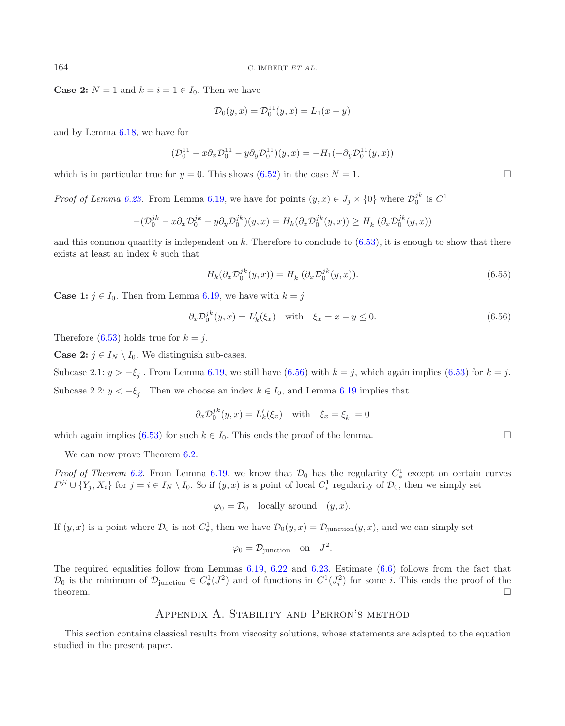**Case 2:**  $N = 1$  and  $k = i = 1 \in I_0$ . Then we have

<span id="page-35-0"></span>
$$
\mathcal{D}_0(y, x) = \mathcal{D}_0^{11}(y, x) = L_1(x - y)
$$

and by Lemma [6.18,](#page-31-4) we have for

$$
(\mathcal{D}_0^{11} - x \partial_x \mathcal{D}_0^{11} - y \partial_y \mathcal{D}_0^{11})(y, x) = -H_1(-\partial_y \mathcal{D}_0^{11}(y, x))
$$

which is in particular true for  $y = 0$ . This shows [\(6.52\)](#page-34-1) in the case  $N = 1$ .

*Proof of Lemma [6.23.](#page-34-3)* From Lemma [6.19,](#page-31-1) we have for points  $(y, x) \in J_j \times \{0\}$  where  $\mathcal{D}_0^{jk}$  is  $C^1$ 

$$
-(\mathcal{D}_0^{jk} - x\partial_x \mathcal{D}_0^{jk} - y\partial_y \mathcal{D}_0^{jk})(y, x) = H_k(\partial_x \mathcal{D}_0^{jk}(y, x)) \ge H_k^-(\partial_x \mathcal{D}_0^{jk}(y, x))
$$

and this common quantity is independent on k. Therefore to conclude to  $(6.53)$ , it is enough to show that there exists at least an index k such that

$$
H_k(\partial_x \mathcal{D}_0^{jk}(y, x)) = H_k^-(\partial_x \mathcal{D}_0^{jk}(y, x)).
$$
\n(6.55)

**Case 1:**  $j \in I_0$ . Then from Lemma [6.19,](#page-31-1) we have with  $k = j$ 

$$
\partial_x \mathcal{D}_0^{jk}(y, x) = L'_k(\xi_x) \quad \text{with} \quad \xi_x = x - y \le 0. \tag{6.56}
$$

Therefore [\(6.53\)](#page-34-4) holds true for  $k = j$ .

**Case 2:**  $j \in I_N \setminus I_0$ . We distinguish sub-cases.

Subcase 2.1:  $y > -\xi_j^-$ . From Lemma [6.19,](#page-31-1) we still have [\(6.56\)](#page-35-0) with  $k = j$ , which again implies [\(6.53\)](#page-34-4) for  $k = j$ . Subcase 2.2:  $y < -\xi_j^-$ . Then we choose an index  $k \in I_0$ , and Lemma [6.19](#page-31-1) implies that

$$
\partial_x \mathcal{D}_0^{jk}(y, x) = L'_k(\xi_x) \quad \text{with} \quad \xi_x = \xi_k^+ = 0
$$

which again implies [\(6.53\)](#page-34-4) for such  $k \in I_0$ . This ends the proof of the lemma.  $\Box$ 

We can now prove Theorem  $6.2$ .

*Proof of Theorem [6.2.](#page-19-1)* From Lemma [6.19,](#page-31-1) we know that  $\mathcal{D}_0$  has the regularity  $C^1_*$  except on certain curves  $\Gamma^{ji} \cup \{Y_j, X_i\}$  for  $j = i \in I_N \setminus I_0$ . So if  $(y, x)$  is a point of local  $C^1_*$  regularity of  $\mathcal{D}_0$ , then we simply set

 $\varphi_0 = \mathcal{D}_0$  locally around  $(y, x)$ .

If  $(y, x)$  is a point where  $\mathcal{D}_0$  is not  $C^1_*$ , then we have  $\mathcal{D}_0(y, x) = \mathcal{D}_{\text{junction}}(y, x)$ , and we can simply set

$$
\varphi_0 = \mathcal{D}_{\text{junction}} \quad \text{on} \quad J^2.
$$

The required equalities follow from Lemmas [6.19,](#page-31-1) [6.22](#page-34-0) and [6.23.](#page-34-3) Estimate [\(6.6\)](#page-20-1) follows from the fact that  $\mathcal{D}_0$  is the minimum of  $\mathcal{D}_{\text{junction}} \in C^1_*(J^2)$  and of functions in  $C^1(J^2_i)$  for some *i*. This ends the proof of the theorem.  $\Box$ 

# Appendix A. Stability and Perron's method

This section contains classical results from viscosity solutions, whose statements are adapted to the equation studied in the present paper.

 $\Box$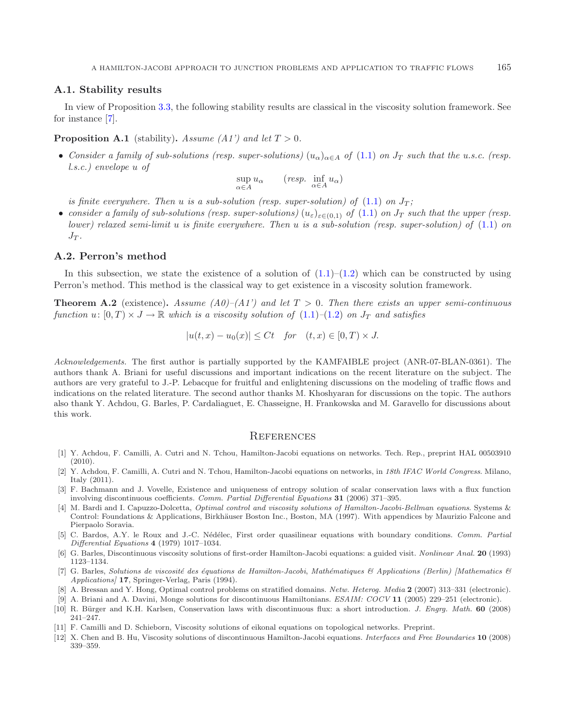### **A.1. Stability results**

In view of Proposition [3.3,](#page-10-3) the following stability results are classical in the viscosity solution framework. See for instance [\[7\]](#page-36-3).

### **Proposition A.1** (stability). *Assume (A1') and let*  $T > 0$ .

• *Consider a family of sub-solutions (resp. super-solutions)*  $(u_\alpha)_{\alpha \in A}$  *of* [\(1.1\)](#page-2-0) *on*  $J_T$  *such that the u.s.c. (resp. l.s.c.) envelope* u *of*

$$
\sup_{\alpha \in A} u_{\alpha} \qquad (resp. \inf_{\alpha \in A} u_{\alpha})
$$

*is finite everywhere. Then* u *is a sub-solution (resp. super-solution) of* [\(1.1\)](#page-2-0) *on*  $J_T$ ;

• *consider a family of sub-solutions (resp. super-solutions)*  $(u_{\varepsilon})_{\varepsilon \in (0,1)}$  *of*  $(1.1)$  *on*  $J_T$  *such that the upper (resp. lower) relaxed semi-limit* u *is finite everywhere. Then* u *is a sub-solution (resp. super-solution) of* [\(1.1\)](#page-2-0) *on*  $J_T$ .

#### **A.2. Perron's method**

In this subsection, we state the existence of a solution of  $(1.1)$ – $(1.2)$  which can be constructed by using Perron's method. This method is the classical way to get existence in a viscosity solution framework.

**Theorem A.2** (existence). Assume  $(A0)$ – $(A1')$  and let  $T > 0$ . Then there exists an upper semi-continuous *function*  $u: [0, T) \times J \to \mathbb{R}$  *which is a viscosity solution of*  $(1.1)$ – $(1.2)$  *on*  $J_T$  *and satisfies* 

$$
|u(t,x) - u_0(x)| \le Ct \quad \text{for} \quad (t,x) \in [0,T) \times J.
$$

*Acknowledgements.* The first author is partially supported by the KAMFAIBLE project (ANR-07-BLAN-0361). The authors thank A. Briani for useful discussions and important indications on the recent literature on the subject. The authors are very grateful to J.-P. Lebacque for fruitful and enlightening discussions on the modeling of traffic flows and indications on the related literature. The second author thanks M. Khoshyaran for discussions on the topic. The authors also thank Y. Achdou, G. Barles, P. Cardaliaguet, E. Chasseigne, H. Frankowska and M. Garavello for discussions about this work.

### **REFERENCES**

- <span id="page-36-1"></span>[1] Y. Achdou, F. Camilli, A. Cutri and N. Tchou, Hamilton-Jacobi equations on networks. Tech. Rep., preprint HAL 00503910  $(2010).$
- <span id="page-36-10"></span>[2] Y. Achdou, F. Camilli, A. Cutri and N. Tchou, Hamilton-Jacobi equations on networks, in 18th IFAC World Congress. Milano, Italy (2011).
- <span id="page-36-7"></span>[3] F. Bachmann and J. Vovelle, Existence and uniqueness of entropy solution of scalar conservation laws with a flux function involving discontinuous coefficients. Comm. Partial Differential Equations **31** (2006) 371–395.
- <span id="page-36-2"></span>[4] M. Bardi and I. Capuzzo-Dolcetta, *Optimal control and viscosity solutions of Hamilton-Jacobi-Bellman equations*. Systems & Control: Foundations & Applications, Birkhäuser Boston Inc., Boston, MA (1997). With appendices by Maurizio Falcone and Pierpaolo Soravia.
- <span id="page-36-11"></span>[5] C. Bardos, A.Y. le Roux and J.-C. Nédélec, First order quasilinear equations with boundary conditions. Comm. Partial Differential Equations **4** (1979) 1017–1034.
- <span id="page-36-4"></span>[6] G. Barles, Discontinuous viscosity solutions of first-order Hamilton-Jacobi equations: a guided visit. Nonlinear Anal. **20** (1993) 1123–1134.
- <span id="page-36-3"></span>[7] G. Barles, Solutions de viscosité des équations de Hamilton-Jacobi, Mathématiques & Applications (Berlin) [Mathematics & Applications] **17**, Springer-Verlag, Paris (1994).
- [8] A. Bressan and Y. Hong, Optimal control problems on stratified domains. Netw. Heterog. Media **2** (2007) 313–331 (electronic).
- [9] A. Briani and A. Davini, Monge solutions for discontinuous Hamiltonians. ESAIM: COCV **11** (2005) 229–251 (electronic).
- <span id="page-36-8"></span><span id="page-36-5"></span><span id="page-36-0"></span>[10] R. B¨urger and K.H. Karlsen, Conservation laws with discontinuous flux: a short introduction. J. Engrg. Math. **60** (2008) 241–247.
- <span id="page-36-9"></span>[11] F. Camilli and D. Schieborn, Viscosity solutions of eikonal equations on topological networks. Preprint.
- <span id="page-36-6"></span>[12] X. Chen and B. Hu, Viscosity solutions of discontinuous Hamilton-Jacobi equations. Interfaces and Free Boundaries **10** (2008) 339–359.